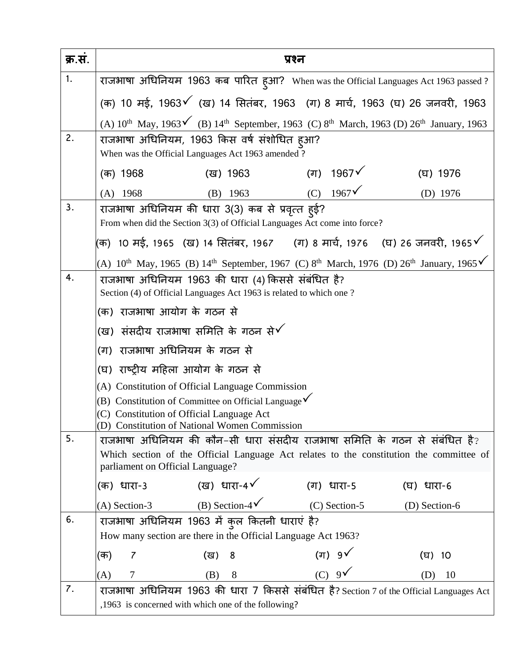| क्र.स. | प्रश्न                                                                                                                      |
|--------|-----------------------------------------------------------------------------------------------------------------------------|
| 1.     | राजभाषा अधिनियम 1963 कब पारित ह्आ? When was the Official Languages Act 1963 passed ?                                        |
|        | (क) 10 मई, 1963√ (ख) 14 सितंबर, 1963 (ग) 8 मार्च, 1963 (घ) 26 जनवरी, 1963                                                   |
|        | (A) $10^{th}$ May, $1963\check{'}$ (B) $14^{th}$ September, 1963 (C) $8^{th}$ March, 1963 (D) $26^{th}$ January, 1963       |
| 2.     | राजभाषा अधिनियम, 1963 किस वर्ष संशोधित हुआ?                                                                                 |
|        | When was the Official Languages Act 1963 amended ?                                                                          |
|        | (ग) 1967 $\checkmark$<br>(ख) 1963<br>(घ) 1976<br>(क) 1968                                                                   |
|        | (C) $1967\check{V}$<br>$(A)$ 1968<br>$(B)$ 1963<br>(D) 1976                                                                 |
| 3.     | राजभाषा अधिनियम की धारा 3(3) कब से प्रवृत्त ह्ई?                                                                            |
|        | From when did the Section 3(3) of Official Languages Act come into force?                                                   |
|        | (क)  10 मई, 1965  (ख) 14 सितंबर, 1967     (ग) 8 मार्च, 1976    (घ) 26 जनवरी, 1965  ∕                                        |
|        | (A) $10^{th}$ May, 1965 (B) $14^{th}$ September, 1967 (C) $8^{th}$ March, 1976 (D) $26^{th}$ January, 1965 $\checkmark$     |
| 4.     | राजभाषा अधिनियम 1963 की धारा (4) किससे संबंधित है?                                                                          |
|        | Section (4) of Official Languages Act 1963 is related to which one?<br>(क)  राजभाषा आयोग के गठन से                          |
|        |                                                                                                                             |
|        | (ख) संसदीय राजभाषा समिति के गठन से $\checkmark$                                                                             |
|        | (ग) राजभाषा अधिनियम के गठन से                                                                                               |
|        | (घ) राष्ट्रीय महिला आयोग के गठन से                                                                                          |
|        | (A) Constitution of Official Language Commission<br>(B) Constitution of Committee on Official Language $\checkmark$         |
|        | (C) Constitution of Official Language Act                                                                                   |
|        | (D) Constitution of National Women Commission                                                                               |
| 5.     | राजभाषा अधिनियम की कौन-सी धारा संसदीय राजभाषा समिति के गठन से संबंधित है?                                                   |
|        | Which section of the Official Language Act relates to the constitution the committee of<br>parliament on Official Language? |
|        | (ख) धारा-4 $\checkmark$<br>(क) धारा-3<br>(ग) धारा-5<br>(घ) धारा-6                                                           |
|        | (B) Section-4 $\checkmark$<br>$(C)$ Section-5<br>$(A)$ Section-3<br>(D) Section-6                                           |
| 6.     | राजभाषा अधिनियम 1963 में कुल कितनी धाराएं है?                                                                               |
|        | How many section are there in the Official Language Act 1963?                                                               |
|        | (ग)  9√<br>(क)<br>7<br>(ख)<br>8<br>(घ) 10                                                                                   |
|        | $(C) 9\checkmark$<br>7<br>(B)<br>8<br>10<br>(D)<br>(A)                                                                      |
| 7.     | राजभाषा अधिनियम 1963 की धारा 7 किससे संबंधित है? Section 7 of the Official Languages Act                                    |
|        | ,1963 is concerned with which one of the following?                                                                         |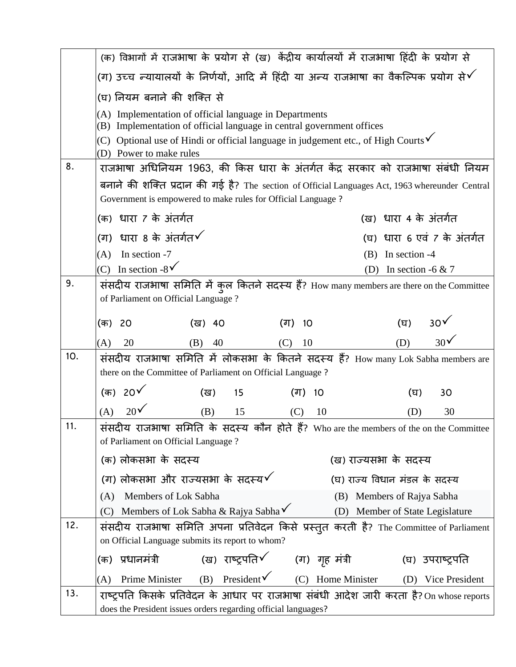|     | (क) विभागों में राजभाषा के प्रयोग से (ख) केंद्रीय कार्यालयों में राजभाषा हिंदी के प्रयोग से                                                                     |                                 |
|-----|-----------------------------------------------------------------------------------------------------------------------------------------------------------------|---------------------------------|
|     | (ग) उच्च न्यायालयों के निर्णयों, आदि में हिंदी या अन्य राजभाषा का वैकल्पिक प्रयोग से $\checkmark$                                                               |                                 |
|     | (घ) नियम बनाने की शक्ति से                                                                                                                                      |                                 |
|     | (A) Implementation of official language in Departments<br>(B) Implementation of official language in central government offices                                 |                                 |
|     | (C) Optional use of Hindi or official language in judgement etc., of High Courts $\checkmark$                                                                   |                                 |
| 8.  | (D) Power to make rules                                                                                                                                         |                                 |
|     | राजभाषा अधिनियम 1963, की किस धारा के अंतर्गत केंद्र सरकार को राजभाषा संबंधी नियम                                                                                |                                 |
|     | बनाने की शक्ति प्रदान की गई है? The section of Official Languages Act, 1963 whereunder Central<br>Government is empowered to make rules for Official Language ? |                                 |
|     | (क) धारा 7 के अंतर्गत                                                                                                                                           | (ख) धारा 4 के अंतर्गत           |
|     | (ग) धारा 8 के अंतर्गत $\checkmark$                                                                                                                              | (घ) धारा 6 एवं 7 के अंतर्गत     |
|     | In section -7<br>(A)                                                                                                                                            | $(B)$ In section -4             |
|     | (C) In section -8 $\sqrt{\ }$                                                                                                                                   | In section -6 $& 7$<br>(D)      |
| 9.  | संसदीय राजभाषा समिति में कुल कितने सदस्य हैं? How many members are there on the Committee<br>of Parliament on Official Language?                                |                                 |
|     |                                                                                                                                                                 |                                 |
|     | (क) 20<br>(ख)<br>(ग) 10<br>40                                                                                                                                   | 30 <sup>6</sup><br>(घ)          |
|     | 20<br>(A)<br>40<br>10<br>(B)<br>(C)                                                                                                                             | 30 <sup>6</sup><br>(D)          |
| 10. | संसदीय राजभाषा समिति में लोकसभा के कितने सदस्य हैं? How many Lok Sabha members are<br>there on the Committee of Parliament on Official Language ?               |                                 |
|     | (क) 20 <b>√</b><br>(ख)<br>15<br>(ग)<br>10                                                                                                                       | 30<br>(घ)                       |
|     | 20 <sup>6</sup><br>(A)<br>(B)<br>15<br>(C)<br>10                                                                                                                | 30<br>(D)                       |
| 11. | संसदीय राजभाषा समिति के सदस्य कौन होते हैं? Who are the members of the on the Committee<br>of Parliament on Official Language ?                                 |                                 |
|     | (क) लोकसभा के सदस्य                                                                                                                                             | (ख) राज्यसभा के सदस्य           |
|     | (ग) लोकसभा और राज्यसभा के सदस्य $\checkmark$                                                                                                                    | (घ) राज्य विधान मंडल के सदस्य   |
|     | Members of Lok Sabha<br>(A)                                                                                                                                     | (B) Members of Rajya Sabha      |
|     | Members of Lok Sabha & Rajya Sabha√<br>(C)                                                                                                                      | (D) Member of State Legislature |
| 12. | संसदीय राजभाषा समिति अपना प्रतिवेदन किसे प्रस्तुत करती है? The Committee of Parliament<br>on Official Language submits its report to whom?                      |                                 |
|     | (ख) राष्ट्रपति√ (ग) गृह मंत्री<br>(क) प्रधानमंत्री                                                                                                              | (घ) उपराष्ट्रपति                |
|     | Prime Minister (B) President $\checkmark$ (C) Home Minister<br>(A)                                                                                              | (D) Vice President              |
| 13. | राष्ट्रपति किसके प्रतिवेदन के आधार पर राजभाषा संबंधी आदेश जारी करता है? On whose reports                                                                        |                                 |
|     | does the President issues orders regarding official languages?                                                                                                  |                                 |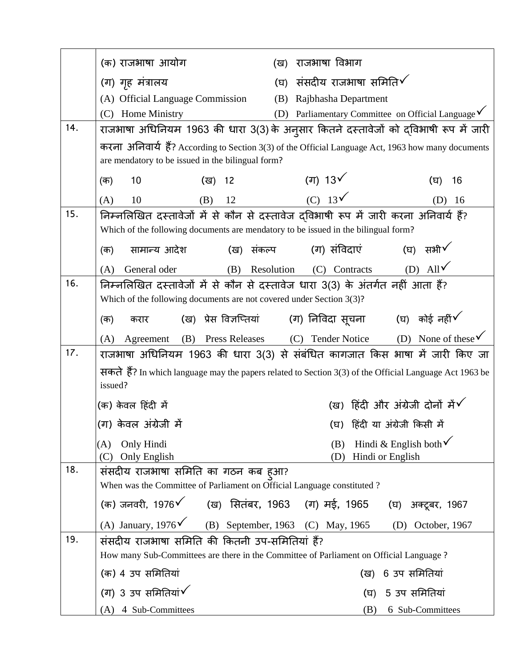|     | (क) राजभाषा आयोग<br>राजभाषा विभाग<br>(ख)                                                                           |
|-----|--------------------------------------------------------------------------------------------------------------------|
|     | (घ) संसदीय राजभाषा समिति $\checkmark$<br>(ग) गृह मंत्रालय                                                          |
|     | (A) Official Language Commission<br>(B) Rajbhasha Department                                                       |
|     | (D) Parliamentary Committee on Official Language $\checkmark$<br>(C) Home Ministry                                 |
| 14. | राजभाषा अधिनियम 1963 की धारा 3(3) के अनुसार कितने दस्तावेजों को द्विभाषी रूप में जारी                              |
|     | करना अनिवार्य हैं? According to Section 3(3) of the Official Language Act, 1963 how many documents                 |
|     | are mendatory to be issued in the bilingual form?                                                                  |
|     | (ग) 13 $\checkmark$<br>10<br>(ख)<br>12<br>(घ)<br>16<br>(क)                                                         |
|     | $(C)$ 13 $\checkmark$<br>12<br>(A)<br>10<br>(B)<br>16<br>(D)                                                       |
| 15. | निम्नलिखित दस्तावेजों में से कौन से दस्तावेज दविभाषी रूप में जारी करना अनिवार्य हैं?                               |
|     | Which of the following documents are mendatory to be issued in the bilingual form?                                 |
|     | (घ) सभी $\checkmark$<br>(ग) संविदाएं<br>सामान्य आदेश<br>(ख) संकल्प<br>(क)                                          |
|     | (D) All $\sqrt{}$<br>Resolution (C) Contracts<br>General oder<br>(B)<br>(A)                                        |
| 16. | निम्नलिखित दस्तावेजों में से कौन से दस्तावेज धारा 3(3) के अंतर्गत नहीं आता हैं?                                    |
|     | Which of the following documents are not covered under Section $3(3)$ ?                                            |
|     | (ग) निविदा सूचना      (घ)  कोई नहीं $\checkmark$<br>(ख)) प्रेस विज्ञप्तियां<br>(क)<br>करार                         |
|     | (D) None of these $\checkmark$<br>(C) Tender Notice<br>(B) Press Releases<br>Agreement<br>(A)                      |
| 17. | राजभाषा अधिनियम 1963 की धारा 3(3) से संबंधित कागजात किस भाषा में जारी किए जा                                       |
|     | सकते हैं? In which language may the papers related to Section 3(3) of the Official Language Act 1963 be<br>issued? |
|     | (ख) हिंदी और अंग्रेजी दोनों में $\checkmark$<br>(क) केवल हिंदी में                                                 |
|     | (ग) केवल अंग्रेजी में<br>(घ) हिंदी या अंग्रेजी किसी में                                                            |
|     | Hindi & English both $\checkmark$<br>Only Hindi<br>(B)<br>(A)                                                      |
|     | Hindi or English<br>(C) Only English<br>(D)                                                                        |
| 18. | संसदीय राजभाषा समिति का गठन कब हुआ?                                                                                |
|     | When was the Committee of Parliament on Official Language constituted ?                                            |
|     | (क) जनवरी, 1976९ (ख) सितंबर, 1963 (ग) मई, 1965 (घ) अक्टूबर, 1967                                                   |
|     | (A) January, $1976\check{6}$ (B) September, 1963 (C) May, 1965<br>(D) October, $1967$                              |
| 19. | संसदीय राजभाषा समिति की कितनी उप-समितियां हैं?                                                                     |
|     | How many Sub-Committees are there in the Committee of Parliament on Official Language ?                            |
|     | (क) 4 उप समितियां<br>(ख) 6 उप समितियां                                                                             |
|     | (ग) 3 उप समितियां $\checkmark$<br>5 उप समितियां<br>(ਬ)                                                             |
|     | (A) 4 Sub-Committees<br>(B)<br>6 Sub-Committees                                                                    |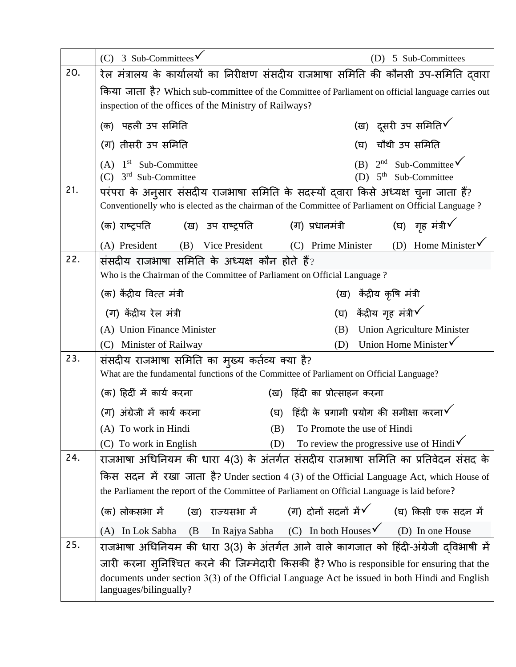|     | (C) 3 Sub-Committees $\sqrt{}$                                                                                                                                                            | 5 Sub-Committees<br>(D)                                                         |
|-----|-------------------------------------------------------------------------------------------------------------------------------------------------------------------------------------------|---------------------------------------------------------------------------------|
| 20. | रेल मंत्रालय के कार्यालयों का निरीक्षण संसदीय राजभाषा समिति की कौनसी उप-समिति दवारा                                                                                                       |                                                                                 |
|     | किया जाता है? Which sub-committee of the Committee of Parliament on official language carries out                                                                                         |                                                                                 |
|     | inspection of the offices of the Ministry of Railways?                                                                                                                                    |                                                                                 |
|     | (क)  पहली उप समिति                                                                                                                                                                        | (ख) दूसरी उप समिति $\checkmark$                                                 |
|     | (ग) तीसरी उप समिति                                                                                                                                                                        | चौथी उप समिति<br>(घ)                                                            |
|     | $(A)$ 1 <sup>st</sup> Sub-Committee<br>$3rd$ Sub-Committee<br>(C)                                                                                                                         | $2nd$ Sub-Committee $\checkmark$<br>(B)<br>5 <sup>th</sup> Sub-Committee<br>(D) |
| 21. | परंपरा के अनुसार संसदीय राजभाषा समिति के सदस्यों दवारा किसे अध्यक्ष चुना जाता हैं?<br>Conventionelly who is elected as the chairman of the Committee of Parliament on Official Language ? |                                                                                 |
|     |                                                                                                                                                                                           | (घ) गृह मंत्री $\checkmark$<br>(ग) प्रधानमंत्री                                 |
|     | (B) Vice President<br>(A) President                                                                                                                                                       | (D) Home Minister $\checkmark$<br>(C) Prime Minister                            |
| 22. | संसदीय राजभाषा समिति के अध्यक्ष कौन होते हैं?                                                                                                                                             |                                                                                 |
|     | Who is the Chairman of the Committee of Parliament on Official Language ?                                                                                                                 |                                                                                 |
|     | (क) केंद्रीय वित्त मंत्री                                                                                                                                                                 | (ख)  केंद्रीय कृषि मंत्री                                                       |
|     | (ग) केंद्रीय रेल मंत्री                                                                                                                                                                   | (घ)  केंद्रीय गृह मंत्री $\checkmark$                                           |
|     | (A) Union Finance Minister                                                                                                                                                                | <b>Union Agriculture Minister</b><br>(B)                                        |
|     | (C) Minister of Railway                                                                                                                                                                   | Union Home Minister <del>V</del><br>(D)                                         |
| 23. | संसदीय राजभाषा समिति का मुख्य कर्तव्य क्या है?                                                                                                                                            |                                                                                 |
|     | What are the fundamental functions of the Committee of Parliament on Official Language?                                                                                                   |                                                                                 |
|     | (क) हिंदीं में कार्य करना<br>(ख)                                                                                                                                                          | हिंदी का प्रोत्साहन करना                                                        |
|     | (ग) अंग्रेजी में कार्य करना<br>(घ)                                                                                                                                                        | हिंदी के प्रगामी प्रयोग की समीक्षा करना $\checkmark$                            |
|     | (A) To work in Hindi<br>(B)                                                                                                                                                               | To Promote the use of Hindi                                                     |
|     | (C) To work in English<br>(D)                                                                                                                                                             | To review the progressive use of Hindi $\checkmark$                             |
| 24. | राजभाषा अधिनियम की धारा 4(3) के अंतर्गत संसदीय राजभाषा समिति का प्रतिवेदन संसद के                                                                                                         |                                                                                 |
|     | किस सदन में रखा जाता है? Under section 4 (3) of the Official Language Act, which House of                                                                                                 |                                                                                 |
|     | the Parliament the report of the Committee of Parliament on Official Language is laid before?                                                                                             |                                                                                 |
|     | (क) लोकसभा में                                                                                                                                                                            | (ख) राज्यसभा में (ग) दोनों सदनों में $\checkmark$ (घ) किसी एक सदन में           |
|     | (B<br>(A) In Lok Sabha                                                                                                                                                                    | In Rajya Sabha (C) In both Houses $\checkmark$ (D) In one House                 |
| 25. | राजभाषा अधिनियम की धारा 3(3) के अंतर्गत आने वाले कागजात को हिंदी-अंग्रेजी दविभाषी में                                                                                                     |                                                                                 |
|     | जारी करना सुनिश्चित करने की जिम्मेदारी किसकी है? Who is responsible for ensuring that the                                                                                                 |                                                                                 |
|     | documents under section 3(3) of the Official Language Act be issued in both Hindi and English<br>languages/bilingually?                                                                   |                                                                                 |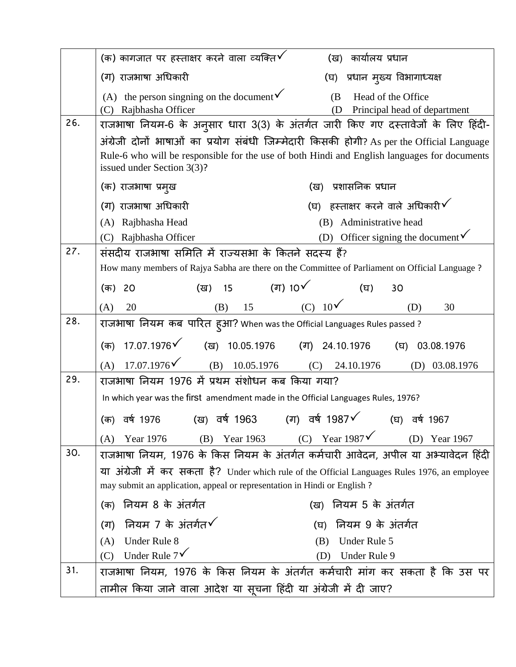|     | (क) कागजात पर हस्ताक्षर करने वाला व्यक्ति $\checkmark$<br>कार्यालय प्रधान<br>(ख)                                                                                                                                            |
|-----|-----------------------------------------------------------------------------------------------------------------------------------------------------------------------------------------------------------------------------|
|     | (घ) प्रधान मुख्य विभागाध्यक्ष<br>(ग) राजभाषा अधिकारी                                                                                                                                                                        |
|     | (A) the person singning on the document $\checkmark$<br>(B<br>Head of the Office<br>Rajbhasha Officer<br>Principal head of department<br>(D)<br>(C)                                                                         |
| 26. | राजभाषा नियम-6 के अनुसार धारा 3(3) के अंतर्गत जारी किए गए दस्तावेजों के लिए हिंदी-                                                                                                                                          |
|     | अंग्रेजी दोनों भाषाओं का प्रयोग संबंधी जिम्मेदारी किसकी होगी? As per the Official Language<br>Rule-6 who will be responsible for the use of both Hindi and English languages for documents<br>issued under Section $3(3)$ ? |
|     | (ख) प्रशासनिक प्रधान<br>(क) राजभाषा प्रमुख                                                                                                                                                                                  |
|     | (घ) हस्ताक्षर करने वाले अधिकारी $\checkmark$<br>(ग) राजभाषा अधिकारी                                                                                                                                                         |
|     | Administrative head<br>Rajbhasha Head<br>(B)<br>(A)                                                                                                                                                                         |
|     | (D) Officer signing the document $\checkmark$<br>(C) Rajbhasha Officer                                                                                                                                                      |
| 27. | संसदीय राजभाषा समिति में राज्यसभा के कितने सदस्य हैं?                                                                                                                                                                       |
|     | How many members of Rajya Sabha are there on the Committee of Parliament on Official Language?                                                                                                                              |
|     | (ग) 10 $\checkmark$<br>( <b>ख)</b> 15<br>(घ)<br>30<br>(क)<br>20                                                                                                                                                             |
|     | (B) 15 (C) $10\sqrt{ }$<br>(D)<br>(A)<br>20<br>30                                                                                                                                                                           |
| 28. | राजभाषा  नियम  कब  पारित  ह्आ? When was the Official Languages Rules passed ?                                                                                                                                               |
|     | $17.07.1976$ (ख) 10.05.1976 (ग) 24.10.1976<br>(क)<br>$(\overline{u})$ 03.08.1976                                                                                                                                            |
|     | $17.07.1976\checkmark$<br>(A)<br>(B) $10.05.1976$ (C)<br>24.10.1976<br>(D) 03.08.1976                                                                                                                                       |
| 29. | राजभाषा नियम 1976 में प्रथम संशोधन कब किया गया?                                                                                                                                                                             |
|     | In which year was the first amendment made in the Official Languages Rules, 1976?                                                                                                                                           |
|     | (ग) वर्ष 1987 $\checkmark$<br>(ख) वर्ष 1963<br>(क) वर्ष 1976<br>(घ) वर्ष 1967                                                                                                                                               |
|     | (C) Year $1987\check{V}$<br>Year 1963<br>Year 1967<br>Year 1976<br>(B)<br>(D)<br>(A)                                                                                                                                        |
| 30. | राजभाषा नियम, 1976 के किस नियम के अंतर्गत कर्मचारी आवेदन, अपील या अभ्यावेदन हिंदी                                                                                                                                           |
|     | या अंग्रेजी में कर सकता है? Under which rule of the Official Languages Rules 1976, an employee                                                                                                                              |
|     | may submit an application, appeal or representation in Hindi or English?                                                                                                                                                    |
|     | नियम 8 के अंतर्गत<br>(ख) नियम 5 के अंतर्गत<br>(क)                                                                                                                                                                           |
|     | नियम 7 के अंतर्गत $\checkmark$<br>नियम 9 के अंतर्गत<br>(ग)<br>(घ)                                                                                                                                                           |
|     | Under Rule 8<br>Under Rule 5<br>(A)<br>(B)                                                                                                                                                                                  |
|     | Under Rule $7\sqrt{ }$<br>(C)<br>Under Rule 9<br>(D)                                                                                                                                                                        |
| 31. | राजभाषा नियम, 1976 के किस नियम के अंतर्गत कर्मचारी मांग कर सकता है कि उस पर                                                                                                                                                 |
|     | तामील किया जाने वाला आदेश या सूचना हिंदी या अंग्रेजी में दी जाए?                                                                                                                                                            |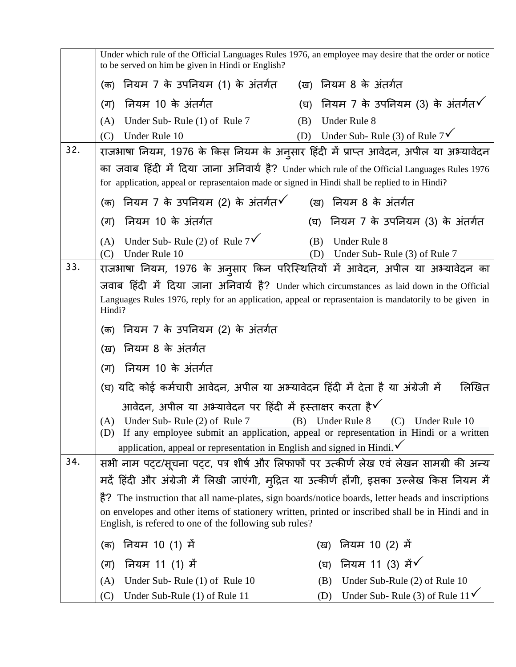|     | Under which rule of the Official Languages Rules 1976, an employee may desire that the order or notice<br>to be served on him be given in Hindi or English? |                                                                                                       |
|-----|-------------------------------------------------------------------------------------------------------------------------------------------------------------|-------------------------------------------------------------------------------------------------------|
|     | (क) नियम 7 के उपनियम (1) के अंतर्गत (ख) नियम 8 के अंतर्गत                                                                                                   |                                                                                                       |
|     | नियम 10 के अंतर्गत<br>(ग)                                                                                                                                   | नियम 7 के उपनियम (3) के अंतर्गत $\checkmark$<br>(घ)                                                   |
|     | Under Sub-Rule (1) of Rule 7<br>(A)                                                                                                                         | Under Rule 8<br>(B)                                                                                   |
|     | Under Rule 10<br>(C)                                                                                                                                        | (D) Under Sub- Rule (3) of Rule $7^{\checkmark}$                                                      |
| 32. |                                                                                                                                                             | राजभाषा नियम, 1976 के किस नियम के अनुसार हिंदी में प्राप्त आवेदन, अपील या अभ्यावेदन                   |
|     | for application, appeal or reprasentaion made or signed in Hindi shall be replied to in Hindi?                                                              | का जवाब हिंदी में दिया जाना अनिवार्य है? Under which rule of the Official Languages Rules 1976        |
|     | (क) नियम 7 के उपनियम (2) के अंतर्गत $\checkmark$                                                                                                            | (ख) नियम 8 के अंतर्गत                                                                                 |
|     | नियम 10 के अंतर्गत<br>(ग)                                                                                                                                   | नियम 7 के उपनियम (3) के अंतर्गत<br>(घ)                                                                |
|     | Under Sub- Rule (2) of Rule $7^{\checkmark}$<br>(A)                                                                                                         | Under Rule 8<br>(B)                                                                                   |
|     | Under Rule 10<br>(C)                                                                                                                                        | Under Sub-Rule (3) of Rule 7<br>(D)                                                                   |
| 33. |                                                                                                                                                             | राजभाषा नियम, 1976 के अनुसार किन परिस्थितियों में आवेदन, अपील या अभ्यावेदन का                         |
|     |                                                                                                                                                             | जवाब हिंदी में दिया जाना अनिवार्य है? Under which circumstances as laid down in the Official          |
|     | Hindi?                                                                                                                                                      | Languages Rules 1976, reply for an application, appeal or reprasentaion is mandatorily to be given in |
|     | (क) नियम 7 के उपनियम (2) के अंतर्गत                                                                                                                         |                                                                                                       |
|     | (ख) नियम 8 के अंतर्गत                                                                                                                                       |                                                                                                       |
|     | (ग) नियम 10 के अंतर्गत                                                                                                                                      |                                                                                                       |
|     | (घ) यदि कोई कर्मचारी आवेदन, अपील या अभ्यावेदन हिंदी में देता है या अंग्रेजी में                                                                             | लिखित                                                                                                 |
|     | आवेदन, अपील या अभ्यावेदन पर हिंदी में हस्ताक्षर करता है $\checkmark$                                                                                        |                                                                                                       |
|     | (A) Under Sub- Rule (2) of Rule 7 (B) Under Rule 8 (C) Under Rule 10                                                                                        |                                                                                                       |
|     |                                                                                                                                                             | (D) If any employee submit an application, appeal or representation in Hindi or a written             |
| 34. | application, appeal or representation in English and signed in Hindi. $\checkmark$                                                                          | सभी नाम पट्ट/सूचना पट्ट, पत्र शीर्ष और लिफाफों पर उत्कीर्ण लेख एवं लेखन सामग्री की अन्य               |
|     |                                                                                                                                                             | मदें हिंदी और अंग्रेजी में लिखी जाएंगी, मुद्रित या उत्कीर्ण होंगी, इसका उल्लेख किस नियम में           |
|     |                                                                                                                                                             | है? The instruction that all name-plates, sign boards/notice boards, letter heads and inscriptions    |
|     | English, is refered to one of the following sub rules?                                                                                                      | on envelopes and other items of stationery written, printed or inscribed shall be in Hindi and in     |
|     | नियम 10 (1) में<br>(क)                                                                                                                                      | (ख) नियम 10 (2) में                                                                                   |
|     | नियम 11 (1) में<br>(ग)                                                                                                                                      | नियम 11 (3) में $\checkmark$<br>(घ)                                                                   |
|     | Under Sub- Rule (1) of Rule 10<br>(A)                                                                                                                       | Under Sub-Rule (2) of Rule 10<br>(B)                                                                  |
|     | (C)<br>Under Sub-Rule (1) of Rule 11                                                                                                                        | Under Sub- Rule (3) of Rule $11\check{V}$<br>(D)                                                      |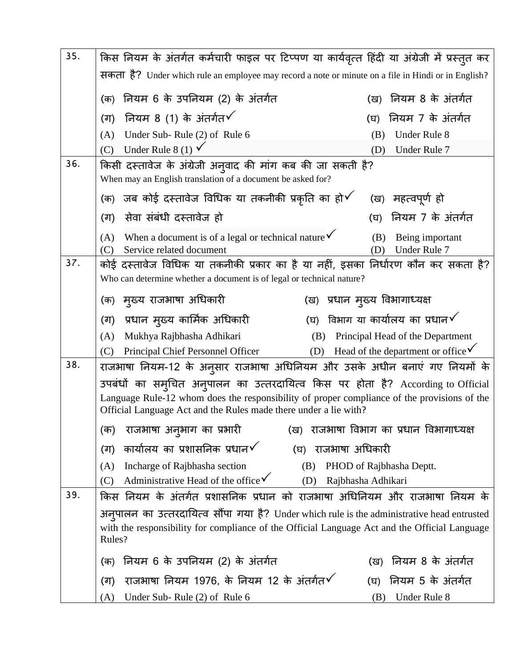| 35. | किस नियम के अंतर्गत कर्मचारी फाइल पर टिप्पण या कार्यवृत्त हिंदी या अंग्रेजी में प्रस्तुत कर                                                                                                                                                                |                                               |
|-----|------------------------------------------------------------------------------------------------------------------------------------------------------------------------------------------------------------------------------------------------------------|-----------------------------------------------|
|     | सकता है? Under which rule an employee may record a note or minute on a file in Hindi or in English?                                                                                                                                                        |                                               |
|     | नियम 6 के उपनियम (2) के अंतर्गत<br>(क)                                                                                                                                                                                                                     | नियम 8 के अंतर्गत<br>(ख)                      |
|     | (ग) नियम 8 (1) के अंतर्गत $\checkmark$                                                                                                                                                                                                                     | नियम 7 के अंतर्गत<br>(घ)                      |
|     | Under Sub- Rule (2) of Rule 6<br>(A)                                                                                                                                                                                                                       | Under Rule 8<br>(B)                           |
|     | Under Rule 8 (1) $\checkmark$<br>(C)                                                                                                                                                                                                                       | Under Rule 7<br>(D)                           |
| 36. | किसी दस्तावेज के अंग्रेजी अन् <b>वाद की मांग कब की जा सकती है</b> ?<br>When may an English translation of a document be asked for?                                                                                                                         |                                               |
|     | (क)  जब कोई दस्तावेज विधिक या तकनीकी प्रकृति का हो $\checkmark$                                                                                                                                                                                            | (ख)  महत्वपूर्ण हो                            |
|     | सेवा संबंधी दस्तावेज हो<br>(ग)                                                                                                                                                                                                                             | नियम 7 के अंतर्गत<br>(घ)                      |
|     | When a document is of a legal or technical nature $\checkmark$<br>(A)<br>Service related document<br>(C)                                                                                                                                                   | Being important<br>(B)<br>Under Rule 7<br>(D) |
| 37. | कोई दस्तावेज विधिक या तकनीकी प्रकार का है या नहीं, इसका निर्धारण कौन कर सकता है?<br>Who can determine whether a document is of legal or technical nature?                                                                                                  |                                               |
|     | (क)  मुख्य राजभाषा अधिकारी                                                                                                                                                                                                                                 | (ख)  प्रधान मुख्य विभागाध्यक्ष                |
|     | (ग) प्रधान मुख्य कार्मिक अधिकारी<br>(ਬ)                                                                                                                                                                                                                    | विभाग या कार्यालय का प्रधान $\checkmark$      |
|     | Mukhya Rajbhasha Adhikari<br>(A)<br>(B)                                                                                                                                                                                                                    | Principal Head of the Department              |
|     | Principal Chief Personnel Officer<br>(D)<br>(C)                                                                                                                                                                                                            | Head of the department or office $\checkmark$ |
| 38. | राजभाषा नियम-12 के अनुसार राजभाषा अधिनियम और उसके अधीन बनाएं गए नियमों के                                                                                                                                                                                  |                                               |
|     | उपबंधों का सम् <b>चित अनुपालन का उत्तरदायित्व किस पर होता</b> है? According to Official<br>Language Rule-12 whom does the responsibility of proper compliance of the provisions of the<br>Official Language Act and the Rules made there under a lie with? |                                               |
|     | राजभाषा अनुभाग का प्रभारी<br>(क)                                                                                                                                                                                                                           | (ख)  राजभाषा विभाग का प्रधान विभागाध्यक्ष     |
|     | कार्यालय का प्रशासनिक प्रधान $\checkmark$<br>राजभाषा अधिकारी<br>(ग)<br>(घ)                                                                                                                                                                                 |                                               |
|     | Incharge of Rajbhasha section<br>(B)<br>(A)                                                                                                                                                                                                                | PHOD of Rajbhasha Deptt.                      |
|     | Administrative Head of the office $\checkmark$<br>(C)<br>(D)                                                                                                                                                                                               | Rajbhasha Adhikari                            |
| 39. | किस नियम के अंतर्गत प्रशासनिक प्रधान को राजभाषा अधिनियम और राजभाषा नियम के                                                                                                                                                                                 |                                               |
|     | अनुपालन का उत्तरदायित्व सौंपा गया है? Under which rule is the administrative head entrusted<br>with the responsibility for compliance of the Official Language Act and the Official Language<br>Rules?                                                     |                                               |
|     | नियम 6 के उपनियम (2) के अंतर्गत<br>(क)                                                                                                                                                                                                                     | नियम 8 के अंतर्गत<br>(ख)                      |
|     | राजभाषा नियम 1976, के नियम 12 के अंतर्गत $\checkmark$<br>(ग)                                                                                                                                                                                               | नियम 5 के अंतर्गत<br>(घ)                      |
|     | (A)<br>Under Sub- Rule (2) of Rule 6                                                                                                                                                                                                                       | (B)<br>Under Rule 8                           |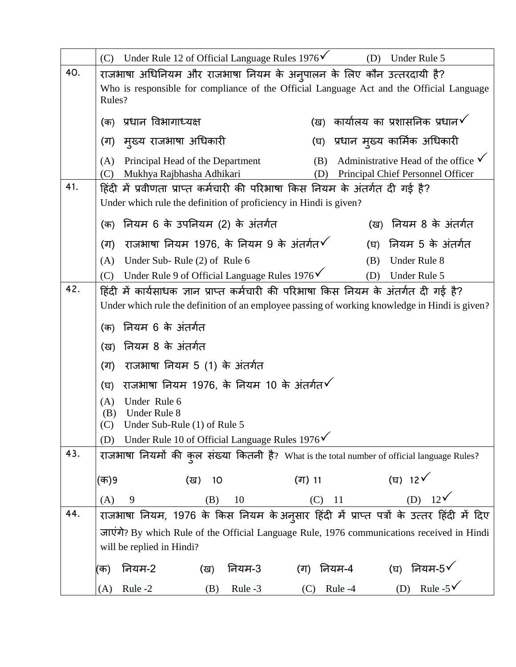|     | (C) Under Rule 12 of Official Language Rules $1976\check{V}$                                                                                                              | (D)<br>Under Rule 5                                                                               |
|-----|---------------------------------------------------------------------------------------------------------------------------------------------------------------------------|---------------------------------------------------------------------------------------------------|
| 40. | राजभाषा अधिनियम और राजभाषा नियम के अनुपालन के लिए कौन उत्तरदायी है?<br>Who is responsible for compliance of the Official Language Act and the Official Language<br>Rules? |                                                                                                   |
|     | प्रधान विभागाध्यक्ष<br>(क)                                                                                                                                                | (ख)  कार्यालय का प्रशासनिक प्रधान $\checkmark$                                                    |
|     | (ग) मुख्य राजभाषा अधिकारी                                                                                                                                                 | (घ) प्रधान मुख्य कार्मिक अधिकारी                                                                  |
|     | Principal Head of the Department<br>(A)<br>Mukhya Rajbhasha Adhikari<br>(C)                                                                                               | Administrative Head of the office $\checkmark$<br>(B)<br>Principal Chief Personnel Officer<br>(D) |
| 41. | हिंदी में प्रवीणता प्राप्त कर्मचारी की परिभाषा किस नियम के अंतर्गत दी गई है?<br>Under which rule the definition of proficiency in Hindi is given?                         |                                                                                                   |
|     | नियम 6 के उपनियम (2) के अंतर्गत<br>(क)                                                                                                                                    | (ख) नियम 8 के अंतर्गत                                                                             |
|     | राजभाषा नियम 1976, के नियम 9 के अंतर्गत $\checkmark$<br>(ग)                                                                                                               | (घ) नियम 5 के अंतर्गत                                                                             |
|     | Under Sub-Rule (2) of Rule 6<br>(A)                                                                                                                                       | Under Rule 8<br>(B)                                                                               |
|     | Under Rule 9 of Official Language Rules 1976√<br>(C)                                                                                                                      | Under Rule 5<br>(D)                                                                               |
| 42. | हिंदी में कार्यसाधक ज्ञान प्राप्त कर्मचारी की परिभाषा किस नियम के अंतर्गत दी गई है?                                                                                       |                                                                                                   |
|     | Under which rule the definition of an employee passing of working knowledge in Hindi is given?                                                                            |                                                                                                   |
|     | (क) नियम 6 के अंतर्गत                                                                                                                                                     |                                                                                                   |
|     | नियम 8 के अंतर्गत<br>(ख)                                                                                                                                                  |                                                                                                   |
|     | राजभाषा नियम 5 (1) के अंतर्गत<br>(ग)                                                                                                                                      |                                                                                                   |
|     | राजभाषा नियम 1976, के नियम 10 के अंतर्गत $\checkmark$<br>(घ)                                                                                                              |                                                                                                   |
|     | Under Rule 6<br>(A)<br>Under Rule 8<br>(B)<br>$(C)$ Under Sub-Rule (1) of Rule 5<br>Under Rule 10 of Official Language Rules 1976 $\checkmark$<br>(D)                     |                                                                                                   |
| 43. | राजभाषा नियमों की कुल संख्या कितनी है? What is the total number of official language Rules?                                                                               |                                                                                                   |
|     | (क)9<br>(ग) 11<br>(ख)<br>10                                                                                                                                               | (घ) 12 $\sqrt{ }$                                                                                 |
|     | 9<br>(A)<br>(B)<br>10                                                                                                                                                     | (D) $12\sqrt{ }$<br><sup>11</sup><br>(C)                                                          |
| 44. | राजभाषा नियम, 1976 के किस नियम के अनुसार हिंदी में प्राप्त पत्रों के उत्तर हिंदी में दिए                                                                                  |                                                                                                   |
|     | जाएंगे? By which Rule of the Official Language Rule, 1976 communications received in Hindi<br>will be replied in Hindi?                                                   |                                                                                                   |
|     | नियम-2<br>नियम-3<br>(ग)<br>(ख)<br>(क)                                                                                                                                     | (घ) नियम-5 $\checkmark$<br>नियम-4                                                                 |
|     | Rule -3<br>Rule -2<br>(B)<br>(C)<br>(A)                                                                                                                                   | (D) Rule -5 $\checkmark$<br>Rule -4                                                               |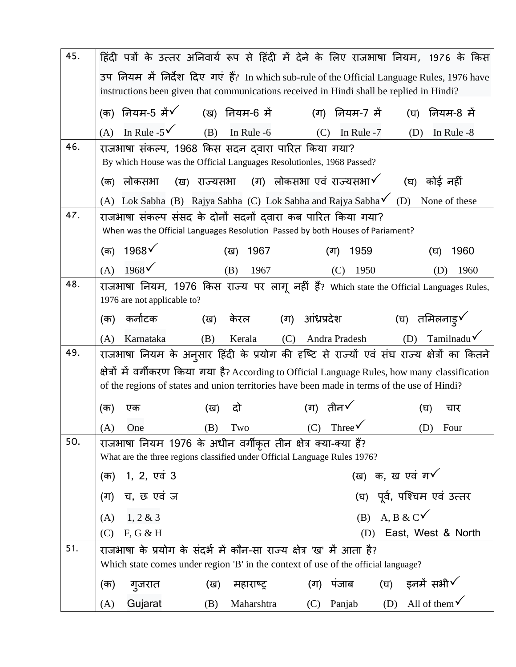| 45. |                                                                           |                                                                       |                                                                                                                                               | हिंदी पत्रों के उत्तर अनिवार्य रूप से हिंदी में देने के लिए राजभाषा नियम, 1976 के किस             |
|-----|---------------------------------------------------------------------------|-----------------------------------------------------------------------|-----------------------------------------------------------------------------------------------------------------------------------------------|---------------------------------------------------------------------------------------------------|
|     |                                                                           |                                                                       | instructions been given that communications received in Hindi shall be replied in Hindi?                                                      | उप नियम में निर्देश दिए गएं हैं? In which sub-rule of the Official Language Rules, 1976 have      |
|     | नियम-5 में $\checkmark$<br>(क)                                            | (ख) नियम-6 में                                                        | (ग) नियम-7 में                                                                                                                                | नियम-8 में<br>(ਬ)                                                                                 |
|     | In Rule -5 $\checkmark$<br>(A)                                            | (B)<br>In Rule -6                                                     | (C)<br>In Rule -7                                                                                                                             | In Rule -8<br>(D)                                                                                 |
| 46. | राजभाषा संकल्प, 1968 किस सदन दवारा पारित किया गया?                        |                                                                       |                                                                                                                                               |                                                                                                   |
|     |                                                                           | By which House was the Official Languages Resolutionles, 1968 Passed? |                                                                                                                                               |                                                                                                   |
|     | लोकसभा<br>(क)                                                             | (ख) राज्यसभा (ग) लोकसभा एवं राज्यसभा $\checkmark$                     |                                                                                                                                               | (घ) कोई नहीं                                                                                      |
|     | (A)                                                                       |                                                                       | Lok Sabha (B) Rajya Sabha (C) Lok Sabha and Rajya Sabha $\checkmark$                                                                          | (D)<br>None of these                                                                              |
| 47. |                                                                           |                                                                       | राजभाषा संकल्प संसद के दोनों सदनों दवारा कब पारित किया गया?<br>When was the Official Languages Resolution Passed by both Houses of Pariament? |                                                                                                   |
|     | 1968 <sup>6</sup><br>(क)                                                  | 1967<br>(ख)                                                           | 1959<br>(ग)                                                                                                                                   | 1960<br>(घ)                                                                                       |
|     | $1968\checkmark$                                                          |                                                                       |                                                                                                                                               |                                                                                                   |
| 48. | (A)                                                                       | (B)<br>1967                                                           | 1950<br>(C)                                                                                                                                   | 1960<br>(D)                                                                                       |
|     | 1976 are not applicable to?                                               |                                                                       |                                                                                                                                               | राजभाषा नियम, 1976 किस राज्य पर लागू नहीं हैं? Which state the Official Languages Rules,          |
|     | कर्नाटक<br>(क)                                                            | (ख)                                                                   | केरल (ग) आंध्रप्रदेश   (घ) तमिलनाडु $\checkmark$                                                                                              |                                                                                                   |
|     |                                                                           |                                                                       |                                                                                                                                               |                                                                                                   |
|     | Karnataka<br>(A)                                                          | (B)<br>Kerala                                                         | (C) Andra Pradesh                                                                                                                             | $TamiInadu\checkmark$<br>(D)                                                                      |
| 49. |                                                                           |                                                                       |                                                                                                                                               | राजभाषा नियम के अनुसार हिंदी के प्रयोग की दृष्टि से राज्यों एवं संघ राज्य क्षेत्रों का कितने      |
|     |                                                                           |                                                                       |                                                                                                                                               | क्षेत्रों में वर्गीकरण किया गया है? According to Official Language Rules, how many classification |
|     |                                                                           |                                                                       | of the regions of states and union territories have been made in terms of the use of Hindi?                                                   |                                                                                                   |
|     | (क)<br>एक                                                                 | दो<br>(ख)                                                             | (ग) तीन $\checkmark$                                                                                                                          | (घ)<br>चार                                                                                        |
|     | (A)<br>One                                                                | (B)<br>Two                                                            | (C) Three $\checkmark$                                                                                                                        | (D)<br>Four                                                                                       |
| 50. | राजभाषा नियम 1976 के अधीन वर्गीकृत तीन क्षेत्र क्या-क्या हैं?             |                                                                       |                                                                                                                                               |                                                                                                   |
|     | What are the three regions classified under Official Language Rules 1976? |                                                                       |                                                                                                                                               |                                                                                                   |
|     | (क) 1, 2, एवं 3                                                           |                                                                       |                                                                                                                                               | (ख) क, ख एवं ग $\checkmark$                                                                       |
|     | च, छ एवं ज<br>(ग)                                                         |                                                                       |                                                                                                                                               | (घ) पूर्व, पश्चिम एवं उत्तर                                                                       |
|     | 1, 2 & 3<br>(A)                                                           |                                                                       |                                                                                                                                               | (B) A, B & C $\checkmark$                                                                         |
|     | F, G & H<br>(C)                                                           |                                                                       | (D)                                                                                                                                           | East, West & North                                                                                |
| 51. | राजभाषा के प्रयोग के संदर्भ में कौन-सा राज्य क्षेत्र 'ख' में आता है?      |                                                                       |                                                                                                                                               |                                                                                                   |
|     |                                                                           |                                                                       | Which state comes under region 'B' in the context of use of the official language?                                                            |                                                                                                   |
|     | गुजरात<br>(क)                                                             | महाराष्ट्र<br>(ख)                                                     | पंजाब<br>(ग)                                                                                                                                  | (घ) = इनमें सभी $\checkmark$                                                                      |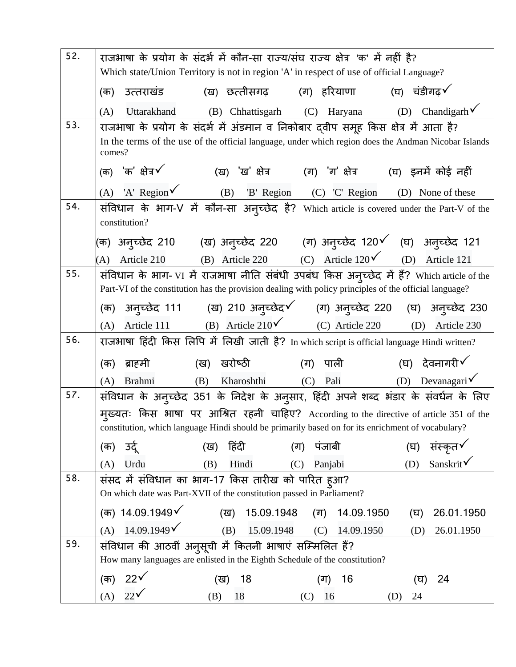| 52. | राजभाषा के प्रयोग के संदर्भ में कौन-सा राज्य/संघ राज्य क्षेत्र 'क' में नहीं है?                                                                                                              |
|-----|----------------------------------------------------------------------------------------------------------------------------------------------------------------------------------------------|
|     | Which state/Union Territory is not in region 'A' in respect of use of official Language?                                                                                                     |
|     | (ख) छत्तीसगढ़ (ग) हरियाणा (घ) चंडीगढ़ $\checkmark$<br>उत्तराखंड<br>(क)                                                                                                                       |
|     | Chandigarh $\checkmark$<br>(D)<br>(B) Chhattisgarh (C) Haryana<br>Uttarakhand<br>(A)                                                                                                         |
| 53. | राजभाषा के प्रयोग के संदर्भ में अंडमान व निकोबार द्वीप समूह किस क्षेत्र में आता है?                                                                                                          |
|     | In the terms of the use of the official language, under which region does the Andman Nicobar Islands<br>comes?                                                                               |
|     | (क) $'$ क' क्षेत्र $\checkmark$<br>(ख) 'ख' क्षेत्र (ग) 'ग' क्षेत्र (घ) इनमें कोई नहीं                                                                                                        |
|     | (A) 'A' Region $\checkmark$ (B) 'B' Region (C) 'C' Region<br>(D) None of these                                                                                                               |
| 54. | संविधान के भाग-V में कौन-सा अनुच्छेद है? Which article is covered under the Part-V of the<br>constitution?                                                                                   |
|     | (क) अनुच्छेद 210     (ख) अनुच्छेद 220     (ग) अनुच्छेद 120९   (घ)  अनुच्छेद 121                                                                                                              |
|     | Article 210 (B) Article 220 (C) Article 120 (D) Article 121<br>(A)                                                                                                                           |
| 55. | संविधान के भाग- VI में राजभाषा नीति संबंधी उपबंध किस अन्च्छेद में हैं? Which article of the                                                                                                  |
|     | Part-VI of the constitution has the provision dealing with policy principles of the official language?                                                                                       |
|     |                                                                                                                                                                                              |
|     | Article 111 (B) Article 210 $\checkmark$ (C) Article 220 (D) Article 230<br>(A)                                                                                                              |
| 56. | राजभाषा हिंदी किस लिपि में लिखी जाती है? In which script is official language Hindi written?                                                                                                 |
|     | (ग) पाली $($ घ) देवनागरी $\checkmark$<br>खरोष्ठी<br>ब्राहमी<br>(ख)<br>(क)                                                                                                                    |
|     | Kharoshthi (C) Pali (D) Devanagari $\checkmark$<br>(B)<br>(A)<br>Brahmi                                                                                                                      |
| 57. | संविधान के अनुच्छेद 351 के निदेश के अनुसार, हिंदी अपने शब्द भंडार के संवर्धन के लिए                                                                                                          |
|     | मुख्यतः किस भाषा पर आश्रित रहनी चाहिए? According to the directive of article 351 of the<br>constitution, which language Hindi should be primarily based on for its enrichment of vocabulary? |
|     | उर्दू<br>हिंदी<br>पंजाबी<br>संस्कृत√<br>(क)<br>(घ)<br>(ख)<br>(ग)                                                                                                                             |
|     | Sanskrit√<br>(C) Panjabi<br>(D)<br>Urdu<br>Hindi<br>(B)<br>(A)                                                                                                                               |
| 58. | संसद में संविधान का भाग-17 किस तारीख को पारित हुआ?<br>On which date was Part-XVII of the constitution passed in Parliament?                                                                  |
|     | (क) 14.09.1949√<br>15.09.1948<br>14.09.1950<br>26.01.1950<br>(ख)<br>(ग)<br>(घ)                                                                                                               |
|     | $14.09.1949\check{v}$<br>15.09.1948<br>(B)<br>(A)<br>14.09.1950<br>(C)<br>26.01.1950<br>(D)                                                                                                  |
| 59. | संविधान की आठवीं अनुसूची में कितनी भाषाएं सम्मिलित हैं?<br>How many languages are enlisted in the Eighth Schedule of the constitution?                                                       |
|     | 22 <sup>′</sup><br>(क)<br>18<br>24<br>16<br>(ख)<br>(घ)<br>(ग)                                                                                                                                |
|     | $22\sqrt{ }$<br>(A)<br>(B)<br>18<br>16<br>24<br>(D)<br>(C)                                                                                                                                   |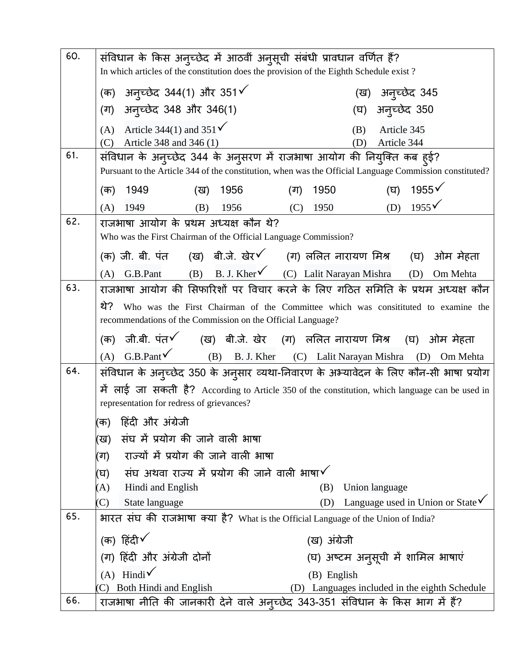| 60. | संविधान के किस अनुच्छेद में आठवीं अनुसूची संबंधी प्रावधान वर्णित हैं?                  |                                                                                                         |
|-----|----------------------------------------------------------------------------------------|---------------------------------------------------------------------------------------------------------|
|     | In which articles of the constitution does the provision of the Eighth Schedule exist? |                                                                                                         |
|     | (क) अन्च्छेद 344(1) और 351√                                                            | (ख) अन्च्छेद 345                                                                                        |
|     | (ग) अन्च्छेद 348 और 346(1)                                                             | (घ) अनुच्छेद 350                                                                                        |
|     | (A) Article 344(1) and 351 $\checkmark$                                                | Article 345<br>(B)                                                                                      |
|     | Article 348 and 346 (1)<br>(C)                                                         | Article 344<br>(D)                                                                                      |
| 61. | संविधान के अन्च्छेद 344 के अनुसरण में राजभाषा आयोग की नियुक्ति कब हुई?                 |                                                                                                         |
|     |                                                                                        | Pursuant to the Article 344 of the constitution, when was the Official Language Commission constituted? |
|     | 1949<br>(ख) 1956<br>(क)                                                                | (घ) $1955\sqrt{ }$<br>(ग)<br>1950                                                                       |
|     | 1949<br>(B)<br>(A)<br>1956                                                             | (D) $1955\sqrt{ }$<br>(C)<br>1950                                                                       |
| 62. | राजभाषा आयोग के प्रथम अध्यक्ष कौन थे?                                                  |                                                                                                         |
|     | Who was the First Chairman of the Official Language Commission?                        |                                                                                                         |
|     |                                                                                        |                                                                                                         |
|     | G.B.Pant (B) B.J. Kher (C) Lalit Narayan Mishra<br>(A)                                 | (D) Om Mehta                                                                                            |
| 63. |                                                                                        | राजभाषा आयोग की सिफारिशों पर विचार करने के लिए गठित समिति के प्रथम अध्यक्ष कौन                          |
|     | थे?                                                                                    | Who was the First Chairman of the Committee which was consitituted to examine the                       |
|     | recommendations of the Commission on the Official Language?                            |                                                                                                         |
|     | (क) जी.बी. पंत√ (ख) बी.जे. खेर (ग) ललित नारायण मिश्र (घ) ओम मेहता                      |                                                                                                         |
|     | (A)                                                                                    | G.B.Pant (B) B.J. Kher (C) Lalit Narayan Mishra (D) Om Mehta                                            |
| 64. |                                                                                        | संविधान के अन्च्छेद 350 के अनुसार व्यथा-निवारण के अभ्यावेदन के लिए कौन-सी भाषा प्रयोग                   |
|     |                                                                                        | में लाई जा सकती है? According to Article 350 of the constitution, which language can be used in         |
|     | representation for redress of grievances?                                              |                                                                                                         |
|     | (क)   हिंदी और अंग्रेजी                                                                |                                                                                                         |
|     | संघ में प्रयोग की जाने वाली भाषा<br>(ख)                                                |                                                                                                         |
|     | राज्यों में प्रयोग की जाने वाली भाषा<br>(ग)                                            |                                                                                                         |
|     | संघ अथवा राज्य में प्रयोग की जाने वाली भाषा $\checkmark$<br>(घ)                        |                                                                                                         |
|     | Hindi and English<br>(A)                                                               | Union language<br>(B)                                                                                   |
|     | (C)<br>State language                                                                  | Language used in Union or State $\checkmark$<br>(D)                                                     |
| 65. | भारत संघ की राजभाषा क्या है? What is the Official Language of the Union of India?      |                                                                                                         |
|     | (क) हिंदी $\checkmark$                                                                 | (ख) अंग्रेजी                                                                                            |
|     | (ग) हिंदी और अंग्रेजी दोनों                                                            | (घ) अष्टम अनुसूची में शामिल भाषाएं                                                                      |
|     | (A) Hindi $\checkmark$                                                                 | (B) English                                                                                             |
|     | Both Hindi and English<br>C)                                                           | (D) Languages included in the eighth Schedule                                                           |
| 66. | राजभाषा नीति की जानकारी देने वाले अन्च्छेद 343-351 संविधान के किस भाग में हैं?         |                                                                                                         |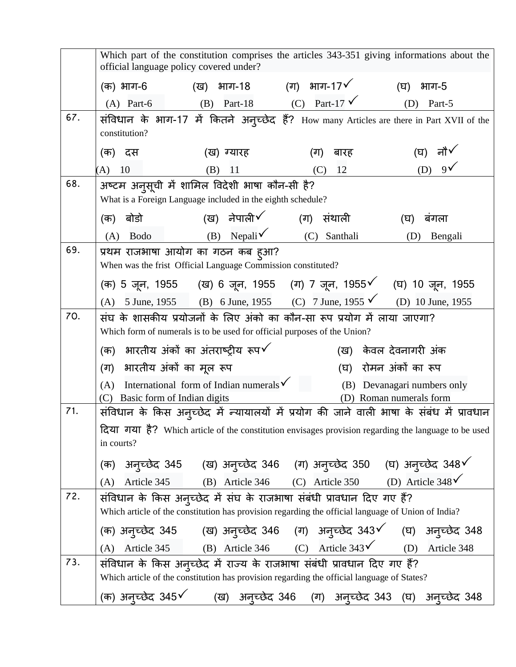|     | Which part of the constitution comprises the articles 343-351 giving informations about the<br>official language policy covered under?                                       |
|-----|------------------------------------------------------------------------------------------------------------------------------------------------------------------------------|
|     | (ग) भाग-17 $\checkmark$<br>(ख) भाग-18<br>(क) भाग-6<br>भाग-5<br>(घ)                                                                                                           |
|     | (B) Part-18 (C) Part-17 $\checkmark$<br>Part-5<br>$(A)$ Part-6<br>(D)                                                                                                        |
| 67. | संविधान के भाग-17 में कितने अनुच्छेद हैं? How many Articles are there in Part XVII of the<br>constitution?                                                                   |
|     | (घ) नौ√<br>(ख) ग्यारह<br>(ग)<br>बारह<br>(क) दस                                                                                                                               |
|     | (D) $9\sqrt{ }$<br>10<br>11<br>12<br>(A)<br>(B)<br>(C)                                                                                                                       |
| 68. | अष्टम अनुसूची में शामिल विदेशी भाषा कौन-सी है?<br>What is a Foreign Language included in the eighth schedule?                                                                |
|     | (ख) नेपाली $\checkmark$<br>(ग) संथाली<br>बोर्डो<br>बंगला<br>(क)<br>(घ)                                                                                                       |
|     | (B) Nepali $\checkmark$ (C) Santhali<br>Bodo<br>(D)<br>(A)<br>Bengali                                                                                                        |
| 69. | प्रथम राजभाषा आयोग का गठन कब ह्आ?<br>When was the frist Official Language Commission constituted?                                                                            |
|     |                                                                                                                                                                              |
|     | 5 June, 1955 (B) 6 June, 1955 (C) 7 June, 1955 (D) 10 June, 1955<br>(A)                                                                                                      |
| 70. | संघ के शासकीय प्रयोजनों के लिए अंको का कौन-सा रूप प्रयोग में लाया जाएगा?<br>Which form of numerals is to be used for official purposes of the Union?                         |
|     | भारतीय अंकों का अंतराष्ट्रीय रूप $\checkmark$<br>(ख) केवल देवनागरी अंक<br>(क)                                                                                                |
|     | (घ) रोमन अंकों का रूप<br>(ग) भारतीय अंकों का मूल रूप                                                                                                                         |
|     | International form of Indian numerals $\checkmark$<br>(B) Devanagari numbers only<br>(A)<br>(C)<br>Basic form of Indian digits<br>(D) Roman numerals form                    |
| 71. | संविधान के किस अनुच्छेद में न्यायालयों में प्रयोग की जाने वाली भाषा के संबंध में प्रावधान                                                                                    |
|     | दिया गया है? Which article of the constitution envisages provision regarding the language to be used<br>in courts?                                                           |
|     |                                                                                                                                                                              |
|     | (क) अनुच्छेद 345 (ख) अनुच्छेद 346 (ग) अनुच्छेद 350 (घ) अनुच्छेद 348 $\checkmark$<br>(A) Article 345 (B) Article 346 (C) Article 350 (D) Article 348 $\checkmark$             |
| 72. | संविधान के किस अन्च्छेद में संघ के राजभाषा संबंधी प्रावधान दिए गए हैं?<br>Which article of the constitution has provision regarding the official language of Union of India? |
|     |                                                                                                                                                                              |
|     | (क) अनुच्छेद 345 (ख) अनुच्छेद 346 (ग) अनुच्छेद 343 $\checkmark$ (घ) अनुच्छेद 348<br>(A) Article 345 (B) Article 346 (C) Article 343 $\checkmark$ (D) Article 348             |
| 73. | संविधान के किस अनुच्छेद में राज्य के राजभाषा संबंधी प्रावधान दिए गए हैं?                                                                                                     |
|     | Which article of the constitution has provision regarding the official language of States?                                                                                   |
|     | (क) अन् <i>च्छे</i> द 345 $\checkmark$<br>(ख)  अनुच्छेद 346  (ग)  अनुच्छेद 343 (घ)  अनुच्छेद 348                                                                             |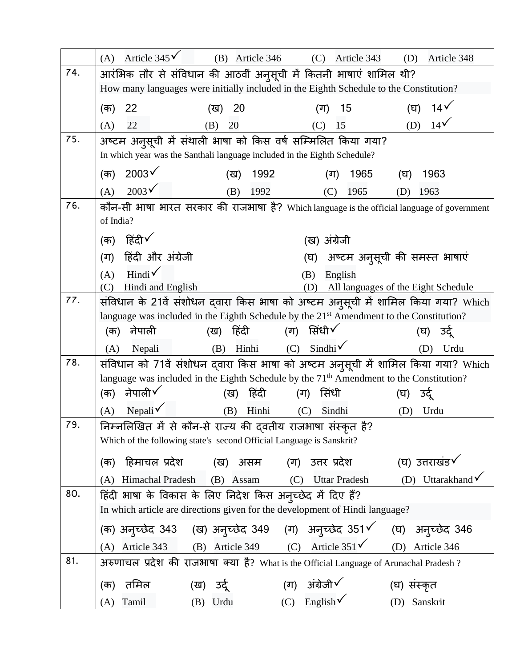|     | Article $345\sqrt{ }$<br>(A)<br>$(B)$ Article 346                                                                    | (C)<br>Article 343<br>(D)                       | Article 348                  |
|-----|----------------------------------------------------------------------------------------------------------------------|-------------------------------------------------|------------------------------|
| 74. | आरंभिक तौर से संविधान की आठवीं अनुसूची में कितनी भाषाएं शामिल थी?                                                    |                                                 |                              |
|     | How many languages were initially included in the Eighth Schedule to the Constitution?                               |                                                 |                              |
|     | 22<br>20<br>(क)<br>(ख)                                                                                               | (ग)<br>15<br>(घ)                                | 14 <sup>′</sup>              |
|     | 22<br>(B)<br>20<br>(A)                                                                                               | (D)<br>15<br>(C)                                | $14\sqrt{ }$                 |
| 75. | अष्टम अनुसूची में संथाली भाषा को किस वर्ष सम्मिलित किया गया?                                                         |                                                 |                              |
|     | In which year was the Santhali language included in the Eighth Schedule?                                             |                                                 |                              |
|     | 2003 <sup>6</sup><br>(क)<br>1992<br>(ख)                                                                              | 1965<br>(ग)<br>(घ)                              | 1963                         |
|     | $2003\sqrt{ }$<br>(A)<br>1992<br>(B)                                                                                 | 1965<br>(C)<br>(D)                              | 1963                         |
| 76. | कौन-सी भाषा भारत सरकार की राजभाषा है? Which language is the official language of government                          |                                                 |                              |
|     | of India?                                                                                                            |                                                 |                              |
|     | (क) हिंदी√                                                                                                           | (ख) अंग्रेजी                                    |                              |
|     | हिंदी और अंग्रेजी<br>(ग)                                                                                             | (घ) अष्टम अनुसूची की समस्त भाषाएं               |                              |
|     | Hindi $\checkmark$<br>(A)<br>(B)                                                                                     | English                                         |                              |
| 77. | Hindi and English<br>(D)<br>(C)<br>संविधान के 21वें संशोधन दवारा किस भाषा को अष्टम अनुसूची में शामिल किया गया? Which | All languages of the Eight Schedule             |                              |
|     | language was included in the Eighth Schedule by the 21 <sup>st</sup> Amendment to the Constitution?                  |                                                 |                              |
|     | हिंदी<br>नेपाली<br>(ख)<br>(क)                                                                                        | (ग) सिंधी $\checkmark$                          | (घ) उद्                      |
|     | Hinhi<br>(B)<br>Nepali<br>(A)                                                                                        | $(C)$ Sindhi <sup><math>\checkmark</math></sup> | (D)<br>Urdu                  |
| 78. | संविधान को 71वें संशोधन द्वारा किस भाषा को अष्टम अनुसूची में शामिल किया गया? Which                                   |                                                 |                              |
|     | language was included in the Eighth Schedule by the 71 <sup>th</sup> Amendment to the Constitution?                  |                                                 |                              |
|     | नेपाली√<br>(क)<br>हिंदी<br>(ग)<br>(ख)                                                                                | सिंधी<br>(घ)                                    | उदे                          |
|     | Nepali $\checkmark$<br>(A)<br>(B)<br>Hinhi<br>(C)                                                                    | Sindhi<br>(D)                                   | Urdu                         |
| 79  | निम्नलिखित में से कौन-से राज्य की दवतीय राजभाषा संस्कृत है?                                                          |                                                 |                              |
|     | Which of the following state's second Official Language is Sanskrit?                                                 |                                                 |                              |
|     | हिमाचल प्रदेश<br>(ग) उत्तर प्रदेश<br>असम<br>(क)<br>(ख)                                                               |                                                 | (घ) उत्तराखंड $\checkmark$   |
|     | Himachal Pradesh<br>Assam<br>(B)<br>(C)<br>(A)                                                                       | <b>Uttar Pradesh</b>                            | (D) Uttarakhand $\checkmark$ |
| 80. | हिंदी भाषा के विकास के लिए निदेश किस अनुच्छेद में दिए हैं?                                                           |                                                 |                              |
|     | In which article are directions given for the development of Hindi language?                                         |                                                 |                              |
|     | (क) अनुच्छेद 343 (ख) अनुच्छेद 349 (ग) अनुच्छेद 351√ (घ) अनुच्छेद 346                                                 |                                                 |                              |
|     | (B) Article 349 (C) Article $351\check{6}$<br>(A) Article 343                                                        |                                                 | (D) Article 346              |
| 81. | अरुणाचल प्रदेश की राजभाषा क्या है? What is the Official Language of Arunachal Pradesh ?                              |                                                 |                              |
|     | तमिल<br>(ख) उर्दू<br>(ग)<br>(क)                                                                                      | अंग्रेजी√<br>(घ) सस्कृत                         |                              |
|     | (C)<br>Tamil<br>Urdu<br>(A)<br>(B)                                                                                   | English $\checkmark$<br>(D)                     | Sanskrit                     |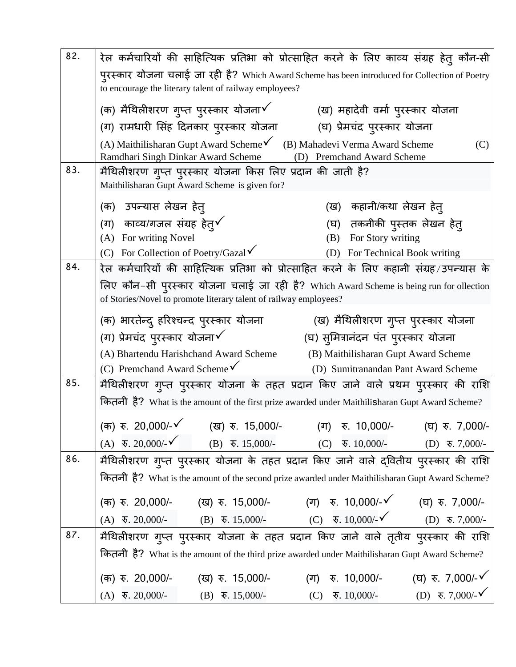| 82. | रेल कर्मचारियों की साहित्यिक प्रतिभा को प्रोत्साहित करने के लिए काव्य संग्रह हेतु कौन-सी                                                                                             |  |  |  |  |  |
|-----|--------------------------------------------------------------------------------------------------------------------------------------------------------------------------------------|--|--|--|--|--|
|     | पुरस्कार योजना चलाई जा रही है? Which Award Scheme has been introduced for Collection of Poetry<br>to encourage the literary talent of railway employees?                             |  |  |  |  |  |
|     | (क) मैथिलीशरण गुप्त पुरस्कार योजना $\checkmark$<br>(ख) महादेवी वर्मा पुरस्कार योजना                                                                                                  |  |  |  |  |  |
|     | (घ) प्रेमचंद पुरस्कार योजना<br>(ग) रामधारी सिंह दिनकार पुरस्कार योजना                                                                                                                |  |  |  |  |  |
|     | (A) Maithilisharan Gupt Award Scheme (B) Mahadevi Verma Award Scheme<br>(C)<br>Ramdhari Singh Dinkar Award Scheme<br>(D) Premchand Award Scheme                                      |  |  |  |  |  |
| 83. | मैथिलीशरण गुप्त पुरस्कार योजना किस लिए प्रदान की जाती है?<br>Maithilisharan Gupt Award Scheme is given for?                                                                          |  |  |  |  |  |
|     | (क)  उपन्यास लेखन हेत्<br>(ख)  कहानी/कथा लेखन हेत्                                                                                                                                   |  |  |  |  |  |
|     | (ग) काव्य/गजल संग्रह हेत् $\checkmark$<br>(घ) तकनीकी पुस्तक लेखन हेत्                                                                                                                |  |  |  |  |  |
|     | (A) For writing Novel<br>(B) For Story writing                                                                                                                                       |  |  |  |  |  |
|     | (C) For Collection of Poetry/Gazal $\checkmark$<br>(D) For Technical Book writing                                                                                                    |  |  |  |  |  |
| 84. | रेल कर्मचारियों की साहित्यिक प्रतिभा को प्रोत्साहित करने के लिए कहानी संग्रह/उपन्यास के                                                                                              |  |  |  |  |  |
|     | लिए कौन-सी पुरस्कार योजना चलाई जा रही है? Which Award Scheme is being run for ollection<br>of Stories/Novel to promote literary talent of railway employees?                         |  |  |  |  |  |
|     | (ख) मैथिलीशरण गुप्त पुरस्कार योजना<br>(क) भारतेन्द् हरिश्चन्द पुरस्कार योजना                                                                                                         |  |  |  |  |  |
|     | (ग) प्रेमचंद पुरस्कार योजना $\checkmark$<br>(घ) सुमित्रानंदन पंत पुरस्कार योजना                                                                                                      |  |  |  |  |  |
|     | (A) Bhartendu Harishchand Award Scheme<br>(B) Maithilisharan Gupt Award Scheme                                                                                                       |  |  |  |  |  |
|     | (C) Premchand Award Scheme $\checkmark$<br>(D) Sumitranandan Pant Award Scheme                                                                                                       |  |  |  |  |  |
| 85. | मैथिलीशरण ग्प्त पुरस्कार योजना के तहत प्रदान किए जाने वाले प्रथम पुरस्कार की राशि                                                                                                    |  |  |  |  |  |
|     | कितनी है? What is the amount of the first prize awarded under Maithilisharan Gupt Award Scheme?                                                                                      |  |  |  |  |  |
|     | (क) रु. 20,000/-√ (ख) रु. 15,000/- (ग) रु. 10,000/- (घ) रु. 7,000/-                                                                                                                  |  |  |  |  |  |
|     | (A) $\overline{\mathbf{v}}$ , 20,000/- $\check{\mathbf{v}}$ (B) $\overline{\mathbf{v}}$ , 15,000/- (C) $\overline{\mathbf{v}}$ , 10,000/-<br>$(D)$ ₹. 7,000/-                        |  |  |  |  |  |
| 86. | मैथिलीशरण गुप्त पुरस्कार योजना के तहत प्रदान किए जाने वाले द्वितीय पुरस्कार की राशि                                                                                                  |  |  |  |  |  |
|     | कितनी है? What is the amount of the second prize awarded under Maithilisharan Gupt Award Scheme?                                                                                     |  |  |  |  |  |
|     | (ख) रु. 15,000/-         (ग)   रु. 10,000/-✔         (घ)  रु. 7,000/-<br>(क) रु. 20,000/-                                                                                            |  |  |  |  |  |
|     | (B) $\overline{\mathbf{v}}$ . 15,000/- (C) $\overline{\mathbf{v}}$ . 10,000/- $\check{\mathbf{v}}$ (D) $\overline{\mathbf{v}}$ . 7,000/-<br>$(A)$ $\overline{\mathbf{v}}$ . 20,000/- |  |  |  |  |  |
| 87. | मैथिलीशरण गुप्त पुरस्कार योजना के तहत प्रदान किए जाने वाले तृतीय पुरस्कार की राशि                                                                                                    |  |  |  |  |  |
|     | कितनी है? What is the amount of the third prize awarded under Maithilisharan Gupt Award Scheme?                                                                                      |  |  |  |  |  |
|     | (घ) रु. 7,000/- $\checkmark$<br>(क) रु. 20,000/-<br>$\overline{x}$ . 10,000/-<br>(ख) $\overline{x}$ . 15,000/-<br>(ग)                                                                |  |  |  |  |  |
|     | (D) ₹.7,000/- $\checkmark$<br>$\overline{\mathbf{v}}$ . 10,000/-<br>$(A)$ $\overline{\mathbf{v}}$ . 20,000/-<br>$(B)$ $\overline{\mathbf{v}}$ . 15,000/-<br>(C)                      |  |  |  |  |  |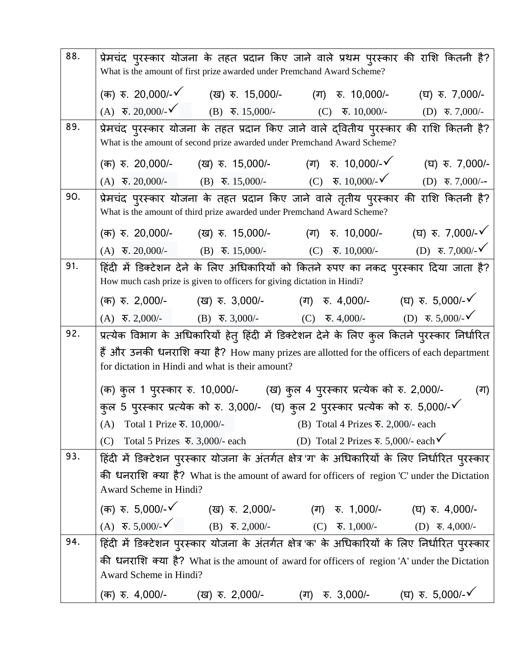| 88. | प्रेमचंद पुरस्कार योजना के तहत प्रदान किए जाने वाले प्रथम पुरस्कार की राशि कितनी है?<br>What is the amount of first prize awarded under Premchand Award Scheme?                                                                                                      |
|-----|----------------------------------------------------------------------------------------------------------------------------------------------------------------------------------------------------------------------------------------------------------------------|
|     |                                                                                                                                                                                                                                                                      |
|     | (क) रु. 20,000/-√ (ख) रु. 15,000/- (ग) रु. 10,000/- (घ) रु. 7,000/-                                                                                                                                                                                                  |
| 89. | (A) $\overline{\mathbf{v}}$ . 20,000/- $\check{\mathbf{v}}$ (B) $\overline{\mathbf{v}}$ . 15,000/- (C) $\overline{\mathbf{v}}$ . 10,000/-<br>(D) $\overline{\mathbf{v}}$ . 7,000/-                                                                                   |
|     | प्रेमचंद पुरस्कार योजना के तहत प्रदान किए जाने वाले द्वितीय पुरस्कार की राशि कितनी है?<br>What is the amount of second prize awarded under Premchand Award Scheme?                                                                                                   |
|     | (क) रु. 20,000/-       (ख) रु. 15,000/-        (ग) रु. 10,000/-ヾ<br>(घ) रु. 7,000/-                                                                                                                                                                                  |
|     | (A) $\overline{\mathbf{v}}$ . 20,000/- (B) $\overline{\mathbf{v}}$ . 15,000/- (C) $\overline{\mathbf{v}}$ . 10,000/- $\check{\mathbf{v}}$<br>$(D)$ ₹. 7,000/--                                                                                                       |
| 90. | प्रेमचंद पुरस्कार योजना के तहत प्रदान किए जाने वाले तृतीय पुरस्कार की राशि कितनी है?<br>What is the amount of third prize awarded under Premchand Award Scheme?                                                                                                      |
|     | (क) रु. 20,000/- (ख) रु. 15,000/- (ग) रु. 10,000/- (घ) रु. 7,000/- $\checkmark$                                                                                                                                                                                      |
|     | (D) $\overline{\mathbf{v}}$ . 7,000/- $\checkmark$<br>$(B)$ $\overline{\triangledown}$ . 15,000/-<br>$(A)$ $\overline{\triangledown}$ . 20,000/-<br>(C) $\overline{\mathbf{v}}$ . 10,000/-                                                                           |
| 91. | हिंदी में डिक्टेशन देने के लिए अधिकारियों को कितने रुपए का नकद पुरस्कार दिया जाता है?<br>How much cash prize is given to officers for giving dictation in Hindi?                                                                                                     |
|     | (क) रु. 2,000/- (ख) रु. 3,000/- (ग) रु. 4,000/- (घ) रु. 5,000/- $\checkmark$                                                                                                                                                                                         |
|     | (A) $\overline{\mathbf{v}}$ , 2,000/- (B) $\overline{\mathbf{v}}$ , 3,000/- (C) $\overline{\mathbf{v}}$ , 4,000/- (D) $\overline{\mathbf{v}}$ , 5,000/- $\checkmark$                                                                                                 |
| 92. | प्रत्येक विभाग के अधिकारियों हेतु हिंदी में डिक्टेशन देने के लिए कुल कितने पुरस्कार निर्धारित                                                                                                                                                                        |
|     | हैं और उनकी धनराशि क्या है? How many prizes are allotted for the officers of each department<br>for dictation in Hindi and what is their amount?                                                                                                                     |
|     | (क) कुल 1 पुरस्कार रु. 10,000/- (ख) कुल 4 पुरस्कार प्रत्येक को रु. 2,000/-<br>(ग)                                                                                                                                                                                    |
|     | कुल 5 पुरस्कार प्रत्येक को रु. 3,000/- (घ) कुल 2 पुरस्कार प्रत्येक को रु. 5,000/-√                                                                                                                                                                                   |
|     | (A) Total 1 Prize $\overline{\ast}$ . 10,000/- (B) Total 4 Prizes $\overline{\ast}$ . 2,000/- each                                                                                                                                                                   |
|     | Total 5 Prizes $\overline{\ast}$ . 3,000/- each (D) Total 2 Prizes $\overline{\ast}$ . 5,000/- each $\checkmark$<br>(C)                                                                                                                                              |
| 93. | हिंदी में डिक्टेशन पुरस्कार योजना के अंतर्गत क्षेत्र ग' के अधिकारियों के लिए निर्धारित पुरस्कार                                                                                                                                                                      |
|     | की धनराशि क्या है? What is the amount of award for officers of region 'C' under the Dictation                                                                                                                                                                        |
|     | Award Scheme in Hindi?                                                                                                                                                                                                                                               |
|     |                                                                                                                                                                                                                                                                      |
|     | (क) $\overline{x}$ . 5,000/- $\checkmark$ (ख) $\overline{x}$ . 2,000/- (ग) $\overline{x}$ . 1,000/- (घ) $\overline{x}$ . 4,000/-<br>(A) $\overline{x}$ . 5,000/- $\checkmark$ (B) $\overline{x}$ . 2,000/- (C) $\overline{x}$ . 1,000/- (D) $\overline{x}$ . 4,000/- |
| 94. | हिंदी में डिक्टेशन पुरस्कार योजना के अंतर्गत क्षेत्र क' के अधिकारियों के लिए निर्धारित पुरस्कार                                                                                                                                                                      |
|     | की धनराशि क्या है? What is the amount of award for officers of region 'A' under the Dictation                                                                                                                                                                        |
|     | Award Scheme in Hindi?                                                                                                                                                                                                                                               |
|     | (ग) रु. 3,000/-      (घ) रु. 5,000/-४<br>(क) रु. 4,000/- (ख) रु. 2,000/-                                                                                                                                                                                             |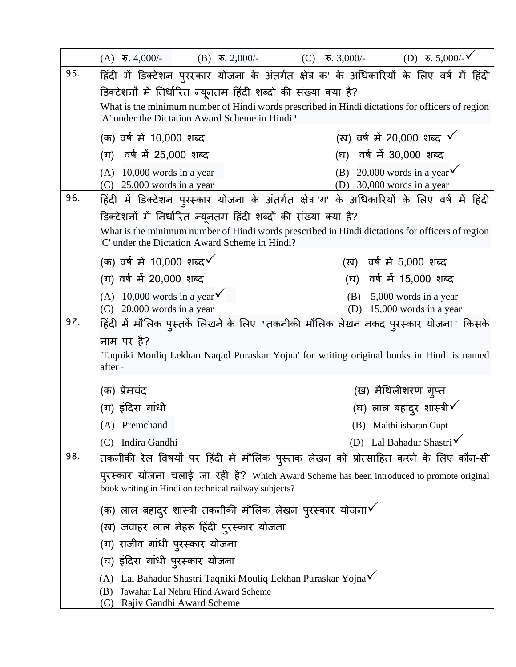|     | $(A)$ $\overline{\mathbf{v}}$ . 4,000/-                                                                                                           |  | $(B)$ $\overline{6}$ , 2,000/- |                          | (C) | $\overline{\mathbf{v}}$ . 3,000/- |                                                                       | (D) $\bar{x}$ . 5,000/- $\check{V}$ |  |
|-----|---------------------------------------------------------------------------------------------------------------------------------------------------|--|--------------------------------|--------------------------|-----|-----------------------------------|-----------------------------------------------------------------------|-------------------------------------|--|
| 95. | हिंदी में डिक्टेशन पुरस्कार योजना के अंतर्गत क्षेत्र क' के अधिकारियों के लिए वर्ष में हिंदी                                                       |  |                                |                          |     |                                   |                                                                       |                                     |  |
|     | डिक्टेशनों में निर्धारित न्यूनतम हिंदी शब्दों की संख्या क्या है?                                                                                  |  |                                |                          |     |                                   |                                                                       |                                     |  |
|     | What is the minimum number of Hindi words prescribed in Hindi dictations for officers of region<br>'A' under the Dictation Award Scheme in Hindi? |  |                                |                          |     |                                   |                                                                       |                                     |  |
|     | (क) वर्ष में 10,000 शब्द                                                                                                                          |  |                                |                          |     |                                   | (ख) वर्ष में 20,000 शब्द $\checkmark$                                 |                                     |  |
|     | (ग) वर्ष में 25,000 शब्द                                                                                                                          |  |                                | (घ) वर्ष में 30,000 शब्द |     |                                   |                                                                       |                                     |  |
|     | $(A)$ 10,000 words in a year<br>$(C)$ 25,000 words in a year                                                                                      |  |                                |                          |     |                                   | (B) 20,000 words in a year $\checkmark$<br>(D) 30,000 words in a year |                                     |  |
| 96. | हिंदी में डिक्टेशन पुरस्कार योजना के अंतर्गत क्षेत्र ग' के अधिकारियों के लिए वर्ष में हिंदी                                                       |  |                                |                          |     |                                   |                                                                       |                                     |  |
|     | डिक्टेशनों में निर्धारित न्यूनतम हिंदी शब्दों की संख्या क्या है?                                                                                  |  |                                |                          |     |                                   |                                                                       |                                     |  |
|     | What is the minimum number of Hindi words prescribed in Hindi dictations for officers of region<br>'C' under the Dictation Award Scheme in Hindi? |  |                                |                          |     |                                   |                                                                       |                                     |  |
|     | (क) वर्ष में 10,000 शब्द $\checkmark$                                                                                                             |  |                                |                          |     |                                   | (ख) वर्ष में 5,000 शब्द                                               |                                     |  |
|     | (ग) वर्ष में 20,000 शब्द                                                                                                                          |  |                                |                          |     |                                   | (घ) वर्ष में 15,000 शब्द                                              |                                     |  |
|     | (A) 10,000 words in a year $\checkmark$                                                                                                           |  |                                |                          |     | (B)                               |                                                                       | 5,000 words in a year               |  |
|     | $(C)$ 20,000 words in a year                                                                                                                      |  |                                |                          |     |                                   | (D) $15,000$ words in a year                                          |                                     |  |
| 97. | हिंदी में मौलिक पुस्तकें लिखने के लिए 'तकनीकी मौलिक लेखन नकद पुरस्कार योजना' किसके                                                                |  |                                |                          |     |                                   |                                                                       |                                     |  |
|     | नाम पर है?<br>Taqniki Mouliq Lekhan Naqad Puraskar Yojna' for writing original books in Hindi is named<br>after -                                 |  |                                |                          |     |                                   |                                                                       |                                     |  |
|     | (क) प्रेमचंद                                                                                                                                      |  |                                |                          |     |                                   | (ख) मैथिलीशरण गुप्त                                                   |                                     |  |
|     | (ग) इंदिरा गांधी                                                                                                                                  |  |                                |                          |     |                                   | (घ) लाल बहादुर शास्त्री $\checkmark$                                  |                                     |  |
|     | (A) Premchand                                                                                                                                     |  |                                |                          |     |                                   | (B) Maithilisharan Gupt                                               |                                     |  |
|     | Indira Gandhi<br>(C)                                                                                                                              |  |                                |                          |     |                                   | (D) Lal Bahadur Shastri $\checkmark$                                  |                                     |  |
| 98. | तकनीकी रेल विषयों पर हिंदी में मौलिक पुस्तक लेखन को प्रोत्साहित करने के लिए कौन-सी                                                                |  |                                |                          |     |                                   |                                                                       |                                     |  |
|     | पुरस्कार योजना चलाई जा रही है? Which Award Scheme has been introduced to promote original<br>book writing in Hindi on technical railway subjects? |  |                                |                          |     |                                   |                                                                       |                                     |  |
|     | (क) लाल बहादुर शास्त्री तकनीकी मौलिक लेखन पुरस्कार योजना $\checkmark$                                                                             |  |                                |                          |     |                                   |                                                                       |                                     |  |
|     | (ख) जवाहर लाल नेहरू हिंदी पुरस्कार योजना                                                                                                          |  |                                |                          |     |                                   |                                                                       |                                     |  |
|     | (ग) राजीव गांधी पुरस्कार योजना                                                                                                                    |  |                                |                          |     |                                   |                                                                       |                                     |  |
|     | (घ) इंदिरा गांधी पुरस्कार योजना                                                                                                                   |  |                                |                          |     |                                   |                                                                       |                                     |  |
|     | (A) Lal Bahadur Shastri Taqniki Mouliq Lekhan Puraskar Yojna V                                                                                    |  |                                |                          |     |                                   |                                                                       |                                     |  |
|     | Jawahar Lal Nehru Hind Award Scheme<br>(B)<br>Rajiv Gandhi Award Scheme<br>(C)                                                                    |  |                                |                          |     |                                   |                                                                       |                                     |  |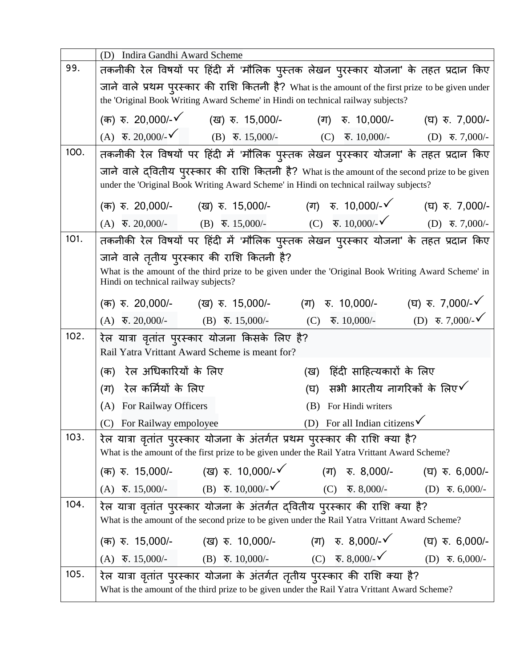|      | Indira Gandhi Award Scheme<br>(D)                                                                                                                                                         |  |  |  |  |  |
|------|-------------------------------------------------------------------------------------------------------------------------------------------------------------------------------------------|--|--|--|--|--|
| 99.  | तकनीकी रेल विषयों पर हिंदी में 'मौलिक पुस्तक लेखन पुरस्कार योजना' के तहत प्रदान किए                                                                                                       |  |  |  |  |  |
|      | जाने वाले प्रथम पुरस्कार की राशि कितनी है? What is the amount of the first prize to be given under                                                                                        |  |  |  |  |  |
|      | the 'Original Book Writing Award Scheme' in Hindi on technical railway subjects?                                                                                                          |  |  |  |  |  |
|      | (क) रु. 20,000/-✔   (ख) रु. 15,000/-   (ग) रु. 10,000/-<br>(घ) रु. 7,000/-                                                                                                                |  |  |  |  |  |
|      | (A) $\overline{\mathbf{v}}$ , 20,000/- $\check{\mathbf{v}}$ (B) $\overline{\mathbf{v}}$ , 15,000/- (C) $\overline{\mathbf{v}}$ , 10,000/- (D) $\overline{\mathbf{v}}$ , 7,000/-           |  |  |  |  |  |
| 100. | तकनीकी रेल विषयों पर हिंदी में 'मौलिक पुस्तक लेखन पुरस्कार योजना' के तहत प्रदान किए                                                                                                       |  |  |  |  |  |
|      | जाने वाले द्वितीय पुरस्कार की राशि कितनी है? What is the amount of the second prize to be given<br>under the 'Original Book Writing Award Scheme' in Hindi on technical railway subjects? |  |  |  |  |  |
|      | (क) रु. 20,000/- (ख) रु. 15,000/- (ग) रु. 10,000/- $\checkmark$ (घ) रु. 7,000/-                                                                                                           |  |  |  |  |  |
|      | (A) $\overline{\mathbf{v}}$ , 20,000/- (B) $\overline{\mathbf{v}}$ , 15,000/- (C) $\overline{\mathbf{v}}$ , 10,000/- $\check{\mathbf{v}}$ (D) $\overline{\mathbf{v}}$ , 7,000/-           |  |  |  |  |  |
| 101. | तकनीकी रेल विषयों पर हिंदी में 'मौलिक पुस्तक लेखन पुरस्कार योजना' के तहत प्रदान किए                                                                                                       |  |  |  |  |  |
|      | जाने वाले तृतीय पुरस्कार की राशि कितनी है?                                                                                                                                                |  |  |  |  |  |
|      | What is the amount of the third prize to be given under the 'Original Book Writing Award Scheme' in<br>Hindi on technical railway subjects?                                               |  |  |  |  |  |
|      | (क) रु. 20,000/- (ख) रु. 15,000/- (ग) रु. 10,000/- (घ) रु. 7,000/-४                                                                                                                       |  |  |  |  |  |
|      | (D) $\overline{\mathbf{v}}$ . 7,000/- $\checkmark$<br>(A) $\overline{\mathbf{v}}$ . 20,000/- (B) $\overline{\mathbf{v}}$ . 15,000/-<br>रु. $10,000/$ -<br>(C)                             |  |  |  |  |  |
| 102. | रेल यात्रा वृतांत पुरस्कार योजना किसके लिए है?                                                                                                                                            |  |  |  |  |  |
|      | Rail Yatra Vrittant Award Scheme is meant for?                                                                                                                                            |  |  |  |  |  |
|      | रेल अधिकारियों के लिए<br>हिंदी साहित्यकारों के लिए<br>(क)<br>(ख)                                                                                                                          |  |  |  |  |  |
|      | सभी भारतीय नागरिकों के लिए $\checkmark$<br>रेल कर्मियों के लिए<br>(ग)<br>(घ)                                                                                                              |  |  |  |  |  |
|      | (A) For Railway Officers<br>(B) For Hindi writers                                                                                                                                         |  |  |  |  |  |
|      |                                                                                                                                                                                           |  |  |  |  |  |
| 103. | (C) For Railway empoloyee (D) For all Indian citizens<br>रेल यात्रा वृतांत पुरस्कार योजना के अंतर्गत प्रथम पुरस्कार की राशि क्या है?                                                      |  |  |  |  |  |
|      | What is the amount of the first prize to be given under the Rail Yatra Vrittant Award Scheme?                                                                                             |  |  |  |  |  |
|      | (क) रु. 15,000/- (ख) रु. 10,000/- $\checkmark$ (ग) रु. 8,000/- (घ) रु. 6,000/-                                                                                                            |  |  |  |  |  |
|      | (A) $\overline{\ast}$ , 15,000/- (B) $\overline{\ast}$ , 10,000/- (C) $\overline{\ast}$ , 8,000/- (D) $\overline{\ast}$ , 6,000/-                                                         |  |  |  |  |  |
| 104. | रेल यात्रा वृतांत पुरस्कार योजना के अंतर्गत द्वितीय पुरस्कार की राशि क्या है?                                                                                                             |  |  |  |  |  |
|      | What is the amount of the second prize to be given under the Rail Yatra Vrittant Award Scheme?                                                                                            |  |  |  |  |  |
|      | (क) रु. 15,000/- (ख) रु. 10,000/- (ग) रु. 8,000/- $\checkmark$ (घ) रु. 6,000/-                                                                                                            |  |  |  |  |  |
|      | (A) $\overline{\mathbf{v}}$ . 15,000/- (B) $\overline{\mathbf{v}}$ . 10,000/- (C) $\overline{\mathbf{v}}$ . 8,000/- (D) $\overline{\mathbf{v}}$ . 6,000/-                                 |  |  |  |  |  |
| 105. | रेल यात्रा वृतांत पुरस्कार योजना के अंतर्गत तृतीय पुरस्कार की राशि क्या है?                                                                                                               |  |  |  |  |  |
|      | What is the amount of the third prize to be given under the Rail Yatra Vrittant Award Scheme?                                                                                             |  |  |  |  |  |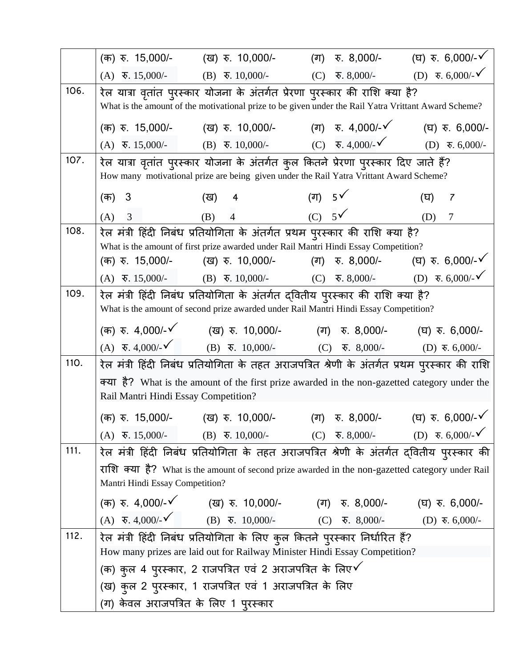|      | (क) रु. 15,000/-                      | (ख) হ. 10,000/-                                                                                                                                                               | (ग) रु. 8,000/-                                                              | (घ) $\bar{x}$ . 6,000/- $\sqrt{ }$                         |
|------|---------------------------------------|-------------------------------------------------------------------------------------------------------------------------------------------------------------------------------|------------------------------------------------------------------------------|------------------------------------------------------------|
|      | $(A)$ $\overline{6}$ , 15,000/-       |                                                                                                                                                                               | (B) $\overline{\mathbf{v}}$ . 10,000/- (C) $\overline{\mathbf{v}}$ . 8,000/- | (D) $\overline{\ast}$ . 6,000/- $\check{\phantom{0}}$      |
| 106. |                                       | रेल यात्रा वृतांत पुरस्कार योजना के अंतर्गत प्रेरणा पुरस्कार की राशि क्या है?                                                                                                 |                                                                              |                                                            |
|      |                                       | What is the amount of the motivational prize to be given under the Rail Yatra Vrittant Award Scheme?                                                                          |                                                                              |                                                            |
|      |                                       | (क) रु. 15,000/- (ख) रु. 10,000/- (ग) रु. 4,000/-४                                                                                                                            |                                                                              | (घ) रु. 6,000/-                                            |
|      |                                       | (A) $\overline{\mathbf{v}}$ , 15,000/- (B) $\overline{\mathbf{v}}$ , 10,000/- (C) $\overline{\mathbf{v}}$ , 4,000/- (D) $\overline{\mathbf{v}}$ , 6,000/-                     |                                                                              |                                                            |
| 107. |                                       | रेल यात्रा वृतांत पुरस्कार योजना के अंतर्गत कुल कितने प्रेरणा पुरस्कार दिए जाते हैं?                                                                                          |                                                                              |                                                            |
|      |                                       | How many motivational prize are being given under the Rail Yatra Vrittant Award Scheme?                                                                                       |                                                                              |                                                            |
|      | 3<br>(क)                              | (ख)<br>4                                                                                                                                                                      | (ग) $5\sqrt{ }$                                                              | (घ)<br>7                                                   |
|      | 3<br>(A)                              | (B)<br>$\overline{4}$                                                                                                                                                         | $(C)$ 5 $\checkmark$                                                         | (D)<br>$\overline{7}$                                      |
| 108. |                                       | रेल मंत्री हिंदी निबंध प्रतियोगिता के अंतर्गत प्रथम पुरस्कार की राशि क्या है?                                                                                                 |                                                                              |                                                            |
|      |                                       | What is the amount of first prize awarded under Rail Mantri Hindi Essay Competition?                                                                                          |                                                                              |                                                            |
|      | (क) रु. 15,000/-                      | (ख) $\bar{x}$ . 10,000/-                                                                                                                                                      | (ग) रु. 8,000/-                                                              | (घ) रु. 6,000/- $\checkmark$                               |
|      |                                       | (A) $\overline{\mathbf{v}}$ . 15,000/- (B) $\overline{\mathbf{v}}$ . 10,000/- (C) $\overline{\mathbf{v}}$ . 8,000/-                                                           |                                                                              | (D) $\overline{\mathbf{v}}$ . 6,000/- $\check{\mathbf{v}}$ |
| 109. |                                       | रेल मंत्री हिंदी निबंध प्रतियोगिता के अंतर्गत द्वितीय पुरस्कार की राशि क्या है?                                                                                               |                                                                              |                                                            |
|      |                                       | What is the amount of second prize awarded under Rail Mantri Hindi Essay Competition?                                                                                         |                                                                              |                                                            |
|      |                                       | (क) रु. 4,000/-√ (ख) रु. 10,000/- (ग) रु. 8,000/- (घ) रु. 6,000/-                                                                                                             |                                                                              |                                                            |
|      |                                       | (A) $\overline{\ast}$ , 4,000/- $\check{\phantom{0}}$ (B) $\overline{\ast}$ , 10,000/- (C) $\overline{\ast}$ , 8,000/- (D) $\overline{\ast}$ , 6,000/-                        |                                                                              |                                                            |
| 110. |                                       | रेल मंत्री हिंदी निबंध प्रतियोगिता के तहत अराजपत्रित श्रेणी के अंतर्गत प्रथम पुरस्कार की राशि                                                                                 |                                                                              |                                                            |
|      |                                       | क्या है? What is the amount of the first prize awarded in the non-gazetted category under the                                                                                 |                                                                              |                                                            |
|      | Rail Mantri Hindi Essay Competition?  |                                                                                                                                                                               |                                                                              |                                                            |
|      |                                       | (क) रु. 15,000/- (ख) रु. 10,000/- (ग) रु. 8,000/- (घ) रु. 6,000/- $\checkmark$                                                                                                |                                                                              |                                                            |
|      |                                       | (A) $\overline{\mathbf{v}}$ . 15,000/- (B) $\overline{\mathbf{v}}$ . 10,000/- (C) $\overline{\mathbf{v}}$ . 8,000/- (D) $\overline{\mathbf{v}}$ . 6,000/- $\checkmark$        |                                                                              |                                                            |
| 111. |                                       | रेल मंत्री हिंदी निबंध प्रतियोगिता के तहत अराजपत्रित श्रेणी के अंतर्गत द्वितीय पुरस्कार की                                                                                    |                                                                              |                                                            |
|      |                                       | राशि क्या है? What is the amount of second prize awarded in the non-gazetted category under Rail                                                                              |                                                                              |                                                            |
|      | Mantri Hindi Essay Competition?       |                                                                                                                                                                               |                                                                              |                                                            |
|      |                                       | (क) रु. 4,000/-√ (ख) रु. 10,000/- (ग) रु. 8,000/- (घ) रु. 6,000/-                                                                                                             |                                                                              |                                                            |
|      |                                       | (A) $\overline{\mathbf{v}}$ , 4,000/- $\check{\mathbf{v}}$ (B) $\overline{\mathbf{v}}$ , 10,000/- (C) $\overline{\mathbf{v}}$ , 8,000/- (D) $\overline{\mathbf{v}}$ , 6,000/- |                                                                              |                                                            |
| 112. |                                       | रेल मंत्री हिंदी निबंध प्रतियोगिता के लिए कुल कितने पुरस्कार निर्धारित हैं?                                                                                                   |                                                                              |                                                            |
|      |                                       | How many prizes are laid out for Railway Minister Hindi Essay Competition?                                                                                                    |                                                                              |                                                            |
|      |                                       | (क) कुल 4 पुरस्कार, 2 राजपत्रित एवं 2 अराजपत्रित के लिए $\checkmark$                                                                                                          |                                                                              |                                                            |
|      |                                       | (ख) कुल 2 पुरस्कार, 1 राजपत्रित एवं 1 अराजपत्रित के लिए                                                                                                                       |                                                                              |                                                            |
|      | (ग) केवल अराजपत्रित के लिए 1 पुरस्कार |                                                                                                                                                                               |                                                                              |                                                            |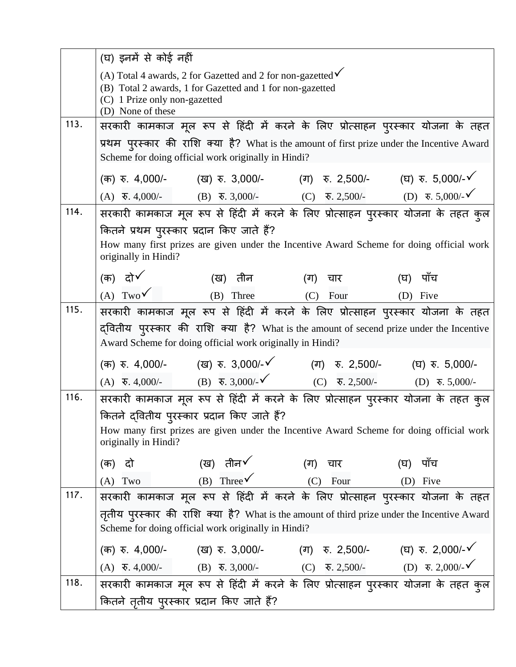|      | (घ) इनमें से कोई नहीं                                                                                                                                                                     |                                                                                                                                              |               |                                                                                          |  |
|------|-------------------------------------------------------------------------------------------------------------------------------------------------------------------------------------------|----------------------------------------------------------------------------------------------------------------------------------------------|---------------|------------------------------------------------------------------------------------------|--|
|      | (A) Total 4 awards, 2 for Gazetted and 2 for non-gazetted $\checkmark$<br>(B) Total 2 awards, 1 for Gazetted and 1 for non-gazetted<br>(C) 1 Prize only non-gazetted<br>(D) None of these |                                                                                                                                              |               |                                                                                          |  |
| 113. |                                                                                                                                                                                           |                                                                                                                                              |               | सरकारी कामकाज मूल रूप से हिंदी में करने के लिए प्रोत्साहन पुरस्कार योजना के तहत          |  |
|      |                                                                                                                                                                                           | प्रथम पुरस्कार की राशि क्या है? What is the amount of first prize under the Incentive Award                                                  |               |                                                                                          |  |
|      |                                                                                                                                                                                           | Scheme for doing official work originally in Hindi?                                                                                          |               |                                                                                          |  |
|      |                                                                                                                                                                                           | (क) रु. 4,000/- (ख) रु. 3,000/- (ग) रु. 2,500/- (घ) रु. 5,000/-√                                                                             |               |                                                                                          |  |
|      |                                                                                                                                                                                           | (A) $\overline{\ast}$ , 4,000/- (B) $\overline{\ast}$ , 3,000/- (C) $\overline{\ast}$ , 2,500/- (D) $\overline{\ast}$ , 5,000/- $\checkmark$ |               |                                                                                          |  |
| 114. |                                                                                                                                                                                           |                                                                                                                                              |               | सरकारी कामकाज मूल रूप से हिंदी में करने के लिए प्रोत्साहन पुरस्कार योजना के तहत कुल      |  |
|      | कितने प्रथम पुरस्कार प्रदान किए जाते हैं?                                                                                                                                                 |                                                                                                                                              |               |                                                                                          |  |
|      |                                                                                                                                                                                           |                                                                                                                                              |               | How many first prizes are given under the Incentive Award Scheme for doing official work |  |
|      | originally in Hindi?                                                                                                                                                                      |                                                                                                                                              |               |                                                                                          |  |
|      | (क) दो $\checkmark$                                                                                                                                                                       | (ख) तीन                                                                                                                                      | (ग) चार       | पॉच<br>(घ)                                                                               |  |
|      | (A) Two $\checkmark$                                                                                                                                                                      | (B) Three (C) Four                                                                                                                           |               | (D) Five                                                                                 |  |
| 115. |                                                                                                                                                                                           |                                                                                                                                              |               | सरकारी कामकाज मूल रूप से हिंदी में करने के लिए प्रोत्साहन पुरस्कार योजना के तहत          |  |
|      |                                                                                                                                                                                           | द्वितीय पुरस्कार की राशि क्या है? What is the amount of secend prize under the Incentive                                                     |               |                                                                                          |  |
|      |                                                                                                                                                                                           | Award Scheme for doing official work originally in Hindi?                                                                                    |               |                                                                                          |  |
|      |                                                                                                                                                                                           | (क) रु. 4,000/-       (ख) रु. 3,000/-४         (ग) रु. 2,500/-       (घ) रु. 5,000/-                                                         |               |                                                                                          |  |
|      |                                                                                                                                                                                           | (A) $\overline{\ast}$ , 4,000/- (B) $\overline{\ast}$ , 3,000/- $\checkmark$ (C) $\overline{\ast}$ , 2,500/- (D) $\overline{\ast}$ , 5,000/- |               |                                                                                          |  |
| 116. |                                                                                                                                                                                           |                                                                                                                                              |               | सरकारी कामकाज मूल रूप से हिंदी में करने के लिए प्रोत्साहन पुरस्कार योजना के तहत कुल      |  |
|      |                                                                                                                                                                                           | कितने द्वितीय पुरस्कार प्रदान किए जाते हैं?                                                                                                  |               |                                                                                          |  |
|      |                                                                                                                                                                                           |                                                                                                                                              |               | How many first prizes are given under the Incentive Award Scheme for doing official work |  |
|      | originally in Hindi?                                                                                                                                                                      |                                                                                                                                              |               |                                                                                          |  |
|      | (क) दो                                                                                                                                                                                    | (ख) तीन $\checkmark$                                                                                                                         | (ग)<br>चार बा | पाँच<br>(घ)                                                                              |  |
|      | $(A)$ Two                                                                                                                                                                                 | (B) Three $\checkmark$ (C)                                                                                                                   | Four          | (D) Five                                                                                 |  |
| 117. |                                                                                                                                                                                           |                                                                                                                                              |               | सरकारी कामकाज मूल रूप से हिंदी में करने के लिए प्रोत्साहन पुरस्कार योजना के तहत          |  |
|      | तृतीय पुरस्कार की राशि क्या है? What is the amount of third prize under the Incentive Award                                                                                               |                                                                                                                                              |               |                                                                                          |  |
|      |                                                                                                                                                                                           | Scheme for doing official work originally in Hindi?                                                                                          |               |                                                                                          |  |
|      |                                                                                                                                                                                           | (क) रु. 4,000/-       (ख) रु. 3,000/-        (ग) रु. 2,500/-       (घ) रु. 2,000/-✔                                                          |               |                                                                                          |  |
|      |                                                                                                                                                                                           | (A) $\overline{\ast}$ , 4,000/- (B) $\overline{\ast}$ , 3,000/- (C) $\overline{\ast}$ , 2,500/- (D) $\overline{\ast}$ , 2,000/- $\checkmark$ |               |                                                                                          |  |
| 118. |                                                                                                                                                                                           |                                                                                                                                              |               | सरकारी कामकाज मूल रूप से हिंदी में करने के लिए प्रोत्साहन पुरस्कार योजना के तहत कुल      |  |
|      | कितने तृतीय पुरस्कार प्रदान किए जाते हैं?                                                                                                                                                 |                                                                                                                                              |               |                                                                                          |  |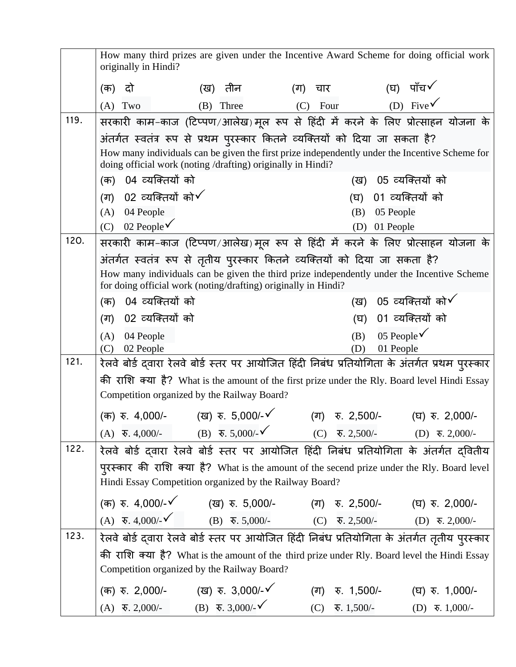|      | How many third prizes are given under the Incentive Award Scheme for doing official work<br>originally in Hindi? |                                                                                                                                                                                                                                                                                    |             |                                                                                                                                                                                                                                                                                                                                                                                                                                                                                                                                                                                                                                                                                                                    |  |
|------|------------------------------------------------------------------------------------------------------------------|------------------------------------------------------------------------------------------------------------------------------------------------------------------------------------------------------------------------------------------------------------------------------------|-------------|--------------------------------------------------------------------------------------------------------------------------------------------------------------------------------------------------------------------------------------------------------------------------------------------------------------------------------------------------------------------------------------------------------------------------------------------------------------------------------------------------------------------------------------------------------------------------------------------------------------------------------------------------------------------------------------------------------------------|--|
|      | दो<br>(क)                                                                                                        | (ख) तीन                                                                                                                                                                                                                                                                            | (ग)<br>चार  | (घ) पाँच√                                                                                                                                                                                                                                                                                                                                                                                                                                                                                                                                                                                                                                                                                                          |  |
|      | $(A)$ Two                                                                                                        | (B) Three                                                                                                                                                                                                                                                                          | (C)<br>Four | (D) Five                                                                                                                                                                                                                                                                                                                                                                                                                                                                                                                                                                                                                                                                                                           |  |
| 119. |                                                                                                                  |                                                                                                                                                                                                                                                                                    |             | सरकारी काम-काज (टिप्पण/आलेख) मूल रूप से हिंदी में करने के लिए प्रोत्साहन योजना के                                                                                                                                                                                                                                                                                                                                                                                                                                                                                                                                                                                                                                  |  |
|      |                                                                                                                  | अंतर्गत स्वतंत्र रूप से प्रथम पुरस्कार कितने व्यक्तियों को दिया जा सकता है?                                                                                                                                                                                                        |             |                                                                                                                                                                                                                                                                                                                                                                                                                                                                                                                                                                                                                                                                                                                    |  |
|      |                                                                                                                  | doing official work (noting /drafting) originally in Hindi?                                                                                                                                                                                                                        |             | How many individuals can be given the first prize independently under the Incentive Scheme for                                                                                                                                                                                                                                                                                                                                                                                                                                                                                                                                                                                                                     |  |
|      | 04 व्यक्तियों को<br>(क)                                                                                          |                                                                                                                                                                                                                                                                                    |             | 05 व्यक्तियों को<br>(ख)                                                                                                                                                                                                                                                                                                                                                                                                                                                                                                                                                                                                                                                                                            |  |
|      | (ग) $02$ व्यक्तियों को $\checkmark$                                                                              |                                                                                                                                                                                                                                                                                    |             | 01 व्यक्तियों को<br>(घ)                                                                                                                                                                                                                                                                                                                                                                                                                                                                                                                                                                                                                                                                                            |  |
|      | $(A)$ 04 People                                                                                                  |                                                                                                                                                                                                                                                                                    |             | 05 People<br>(B)                                                                                                                                                                                                                                                                                                                                                                                                                                                                                                                                                                                                                                                                                                   |  |
|      | 02 People $\checkmark$<br>(C)                                                                                    |                                                                                                                                                                                                                                                                                    |             | 01 People<br>(D)                                                                                                                                                                                                                                                                                                                                                                                                                                                                                                                                                                                                                                                                                                   |  |
| 120. |                                                                                                                  |                                                                                                                                                                                                                                                                                    |             | सरकारी काम-काज (टिप्पण/आलेख)मूल रूप से हिंदी में करने के लिए प्रोत्साहन योजना के                                                                                                                                                                                                                                                                                                                                                                                                                                                                                                                                                                                                                                   |  |
|      | अंतर्गत स्वतंत्र रूप से तृतीय पुरस्कार कितने व्यक्तियों को दिया जा सकता है?                                      |                                                                                                                                                                                                                                                                                    |             |                                                                                                                                                                                                                                                                                                                                                                                                                                                                                                                                                                                                                                                                                                                    |  |
|      |                                                                                                                  | for doing official work (noting/drafting) originally in Hindi?                                                                                                                                                                                                                     |             |                                                                                                                                                                                                                                                                                                                                                                                                                                                                                                                                                                                                                                                                                                                    |  |
|      | 04 व्यक्तियों को<br>(क)                                                                                          |                                                                                                                                                                                                                                                                                    |             | 05 व्यक्तियों को $\checkmark$<br>(ख)                                                                                                                                                                                                                                                                                                                                                                                                                                                                                                                                                                                                                                                                               |  |
|      | 02 व्यक्तियों को<br>(ग)                                                                                          |                                                                                                                                                                                                                                                                                    |             | 01 व्यक्तियों को<br>(घ)                                                                                                                                                                                                                                                                                                                                                                                                                                                                                                                                                                                                                                                                                            |  |
|      | 04 People<br>(A)                                                                                                 |                                                                                                                                                                                                                                                                                    |             | (B)<br>05 People $\checkmark$                                                                                                                                                                                                                                                                                                                                                                                                                                                                                                                                                                                                                                                                                      |  |
|      |                                                                                                                  |                                                                                                                                                                                                                                                                                    |             |                                                                                                                                                                                                                                                                                                                                                                                                                                                                                                                                                                                                                                                                                                                    |  |
|      |                                                                                                                  |                                                                                                                                                                                                                                                                                    |             |                                                                                                                                                                                                                                                                                                                                                                                                                                                                                                                                                                                                                                                                                                                    |  |
|      |                                                                                                                  |                                                                                                                                                                                                                                                                                    |             |                                                                                                                                                                                                                                                                                                                                                                                                                                                                                                                                                                                                                                                                                                                    |  |
|      |                                                                                                                  |                                                                                                                                                                                                                                                                                    |             |                                                                                                                                                                                                                                                                                                                                                                                                                                                                                                                                                                                                                                                                                                                    |  |
|      |                                                                                                                  |                                                                                                                                                                                                                                                                                    |             | (ग) रु. 2,500/- (घ) रु. 2,000/-                                                                                                                                                                                                                                                                                                                                                                                                                                                                                                                                                                                                                                                                                    |  |
|      |                                                                                                                  |                                                                                                                                                                                                                                                                                    |             |                                                                                                                                                                                                                                                                                                                                                                                                                                                                                                                                                                                                                                                                                                                    |  |
| 122. |                                                                                                                  |                                                                                                                                                                                                                                                                                    |             | रेलवे बोर्ड दवारा रेलवे बोर्ड स्तर पर आयोजित हिंदी निबंध प्रतियोगिता के अंतर्गत दवितीय                                                                                                                                                                                                                                                                                                                                                                                                                                                                                                                                                                                                                             |  |
|      |                                                                                                                  |                                                                                                                                                                                                                                                                                    |             | पुरस्कार की राशि क्या है? What is the amount of the secend prize under the Rly. Board level                                                                                                                                                                                                                                                                                                                                                                                                                                                                                                                                                                                                                        |  |
|      |                                                                                                                  | Hindi Essay Competition organized by the Railway Board?                                                                                                                                                                                                                            |             |                                                                                                                                                                                                                                                                                                                                                                                                                                                                                                                                                                                                                                                                                                                    |  |
|      |                                                                                                                  |                                                                                                                                                                                                                                                                                    |             | (क) रु. 4,000/- $\checkmark$ (ख) रु. 5,000/- (ग) रु. 2,500/- (घ) रु. 2,000/-                                                                                                                                                                                                                                                                                                                                                                                                                                                                                                                                                                                                                                       |  |
|      |                                                                                                                  |                                                                                                                                                                                                                                                                                    |             |                                                                                                                                                                                                                                                                                                                                                                                                                                                                                                                                                                                                                                                                                                                    |  |
| 123. |                                                                                                                  |                                                                                                                                                                                                                                                                                    |             | रेलवे बोर्ड दवारा रेलवे बोर्ड स्तर पर आयोजित हिंदी निबंध प्रतियोगिता के अंतर्गत तृतीय पुरस्कार                                                                                                                                                                                                                                                                                                                                                                                                                                                                                                                                                                                                                     |  |
|      |                                                                                                                  |                                                                                                                                                                                                                                                                                    |             | की राशि क्या है? What is the amount of the third prize under Rly. Board level the Hindi Essay                                                                                                                                                                                                                                                                                                                                                                                                                                                                                                                                                                                                                      |  |
|      |                                                                                                                  |                                                                                                                                                                                                                                                                                    |             |                                                                                                                                                                                                                                                                                                                                                                                                                                                                                                                                                                                                                                                                                                                    |  |
|      |                                                                                                                  |                                                                                                                                                                                                                                                                                    |             |                                                                                                                                                                                                                                                                                                                                                                                                                                                                                                                                                                                                                                                                                                                    |  |
| 121. | (C)<br>02 People<br>$(A)$ $\overline{\mathbf{v}}$ . 2,000/-                                                      | Competition organized by the Railway Board?<br>(क) रु. 4,000/- (ख) रु. 5,000/- $\checkmark$<br>Competition organized by the Railway Board?<br>(क) $\overline{x}$ . 2,000/- (ख) $\overline{x}$ . 3,000/- $\checkmark$<br>(B) $\overline{\mathbf{v}}$ . 3,000/- $\check{\mathbf{v}}$ | (ग)<br>(C)  | How many individuals can be given the third prize independently under the Incentive Scheme<br>(D)<br>01 People<br>रेलवे बोर्ड दवारा रेलवे बोर्ड स्तर पर आयोजित हिंदी निबंध प्रतियोगिता के अंतर्गत प्रथम पुरस्कार<br>की राशि क्या है? What is the amount of the first prize under the Rly. Board level Hindi Essay<br>(A) $\overline{\ast}$ , 4,000/- (B) $\overline{\ast}$ , 5,000/- $\checkmark$ (C) $\overline{\ast}$ , 2,500/- (D) $\overline{\ast}$ , 2,000/-<br>(A) $\overline{\ast}$ , 4,000/- $\check{\phantom{0}}$ (B) $\overline{\ast}$ , 5,000/- (C) $\overline{\ast}$ , 2,500/- (D) $\overline{\ast}$ , 2,000/-<br>रु. 1,500/- (घ) रु. 1,000/-<br>$\overline{\mathbf{v}}$ . 1,500/-<br>$(D)$ ₹. 1,000/- |  |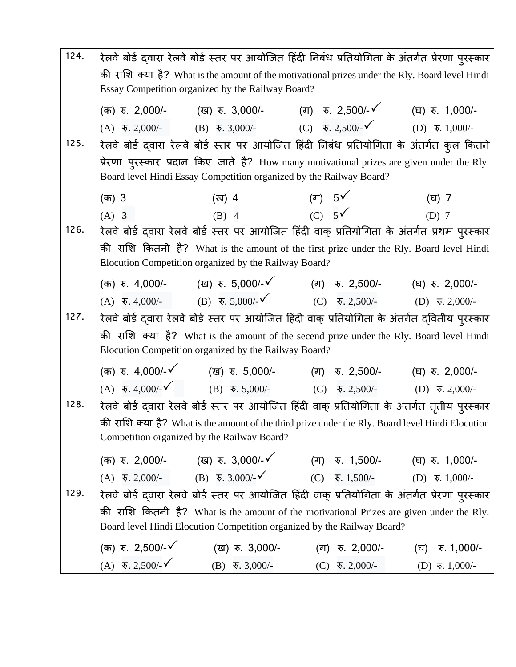| 124. | रेलवे बोर्ड द्वारा रेलवे बोर्ड स्तर पर आयोजित हिंदी निबंध प्रतियोगिता के अंतर्गत प्रेरणा पुरस्कार |                                                       |                                                                                                                                                                              |                                                                             |  |  |
|------|---------------------------------------------------------------------------------------------------|-------------------------------------------------------|------------------------------------------------------------------------------------------------------------------------------------------------------------------------------|-----------------------------------------------------------------------------|--|--|
|      | की राशि क्या है? What is the amount of the motivational prizes under the Rly. Board level Hindi   |                                                       |                                                                                                                                                                              |                                                                             |  |  |
|      | Essay Competition organized by the Railway Board?                                                 |                                                       |                                                                                                                                                                              |                                                                             |  |  |
|      |                                                                                                   |                                                       | (क) रु. 2,000/-       (ख) रु. 3,000/-        (ग) रु. 2,500/-४       (घ) रु. 1,000/-                                                                                          |                                                                             |  |  |
|      |                                                                                                   |                                                       | (A) $\overline{\mathbf{v}}$ . 2,000/- (B) $\overline{\mathbf{v}}$ . 3,000/- (C) $\overline{\mathbf{v}}$ . 2,500/- (D) $\overline{\mathbf{v}}$ . 1,000/-                      |                                                                             |  |  |
| 125. |                                                                                                   |                                                       | रेलवे बोर्ड द्वारा रेलवे बोर्ड स्तर पर आयोजित हिंदी निबंध प्रतियोगिता के अंतर्गत कुल कितने                                                                                   |                                                                             |  |  |
|      |                                                                                                   |                                                       | प्रेरणा पुरस्कार प्रदान किए जाते हैं? How many motivational prizes are given under the Rly.                                                                                  |                                                                             |  |  |
|      |                                                                                                   |                                                       | Board level Hindi Essay Competition organized by the Railway Board?                                                                                                          |                                                                             |  |  |
|      | (क) 3                                                                                             |                                                       |                                                                                                                                                                              | (ঘ) 7                                                                       |  |  |
|      | $(A)$ 3                                                                                           |                                                       | (4) 4 (4) $5\sqrt{ }$<br>(B) 4 (C) $5\sqrt{ }$                                                                                                                               | $(D)$ 7                                                                     |  |  |
| 126. |                                                                                                   |                                                       | रेलवे बोर्ड दवारा रेलवे बोर्ड स्तर पर आयोजित हिंदी वाक् प्रतियोगिता के अंतर्गत प्रथम पुरस्कार                                                                                |                                                                             |  |  |
|      |                                                                                                   |                                                       | की राशि कितनी है? What is the amount of the first prize under the Rly. Board level Hindi                                                                                     |                                                                             |  |  |
|      |                                                                                                   | Elocution Competition organized by the Railway Board? |                                                                                                                                                                              |                                                                             |  |  |
|      |                                                                                                   |                                                       | (क) रु. 4,000/-       (ख) रु. 5,000/-✔         (ग)   रु. 2,500/-        (घ) रु. 2,000/-                                                                                      |                                                                             |  |  |
|      |                                                                                                   |                                                       | (A) $\overline{\mathbf{v}}$ , 4,000/- (B) $\overline{\mathbf{v}}$ , 5,000/- $\check{\mathbf{v}}$ (C) $\overline{\mathbf{v}}$ , 2,500/- (D) $\overline{\mathbf{v}}$ , 2,000/- |                                                                             |  |  |
| 127. |                                                                                                   |                                                       | रेलवे बोर्ड द्वारा रेलवे बोर्ड स्तर पर आयोजित हिंदी वाक् प्रतियोगिता के अंतर्गत द्वितीय पुरस्कार                                                                             |                                                                             |  |  |
|      |                                                                                                   |                                                       | की राशि क्या है? What is the amount of the secend prize under the Rly. Board level Hindi                                                                                     |                                                                             |  |  |
|      |                                                                                                   | Elocution Competition organized by the Railway Board? |                                                                                                                                                                              |                                                                             |  |  |
|      |                                                                                                   |                                                       | (क) रु. 4,000/-४ (ख) रु. 5,000/- (ग) रु. 2,500/- (घ) रु. 2,000/-                                                                                                             |                                                                             |  |  |
|      |                                                                                                   |                                                       | (A) $\overline{\mathbf{v}}$ , 4,000/- $\check{\mathbf{v}}$ (B) $\overline{\mathbf{v}}$ , 5,000/- (C) $\overline{\mathbf{v}}$ , 2,500/- (D) $\overline{\mathbf{v}}$ , 2,000/- |                                                                             |  |  |
| 128. |                                                                                                   |                                                       | रेलवे बोर्ड द्वारा रेलवे बोर्ड स्तर पर आयोजित हिंदी वाक् प्रतियोगिता के अंतर्गत तृतीय पुरस्कार                                                                               |                                                                             |  |  |
|      |                                                                                                   |                                                       | की राशि क्या है? What is the amount of the third prize under the Rly. Board level Hindi Elocution                                                                            |                                                                             |  |  |
|      |                                                                                                   | Competition organized by the Railway Board?           |                                                                                                                                                                              |                                                                             |  |  |
|      |                                                                                                   |                                                       | (क) रु. 2,000/- (ख) रु. 3,000/-√ (ग) रु. 1,500/- (घ) रु. 1,000/-                                                                                                             |                                                                             |  |  |
|      |                                                                                                   |                                                       | (A) $\overline{\ast}$ , 2,000/- (B) $\overline{\ast}$ , 3,000/- $\checkmark$ (C) $\overline{\ast}$ , 1,500/- (D) $\overline{\ast}$ , 1,000/-                                 |                                                                             |  |  |
| 129. |                                                                                                   |                                                       | रेलवे बोर्ड दवारा रेलवे बोर्ड स्तर पर आयोजित हिंदी वाक् प्रतियोगिता के अंतर्गत प्रेरणा पुरस्कार                                                                              |                                                                             |  |  |
|      |                                                                                                   |                                                       | की राशि कितनी है? What is the amount of the motivational Prizes are given under the Rly.                                                                                     |                                                                             |  |  |
|      |                                                                                                   |                                                       | Board level Hindi Elocution Competition organized by the Railway Board?                                                                                                      |                                                                             |  |  |
|      | (क) रु. 2,500/- $\checkmark$                                                                      |                                                       | (ख) रु. 3,000/-         (ग) रु. 2,000/-        (घ) रु. 1,000/-                                                                                                               |                                                                             |  |  |
|      | $(A) \quad \overline{\mathbf{v}}. 2,500/2$                                                        | $(B) \quad \overline{\mathbf{v}}. 3,000/-$            |                                                                                                                                                                              | (C) $\overline{\mathbf{v}}$ , 2,000/- (D) $\overline{\mathbf{v}}$ , 1,000/- |  |  |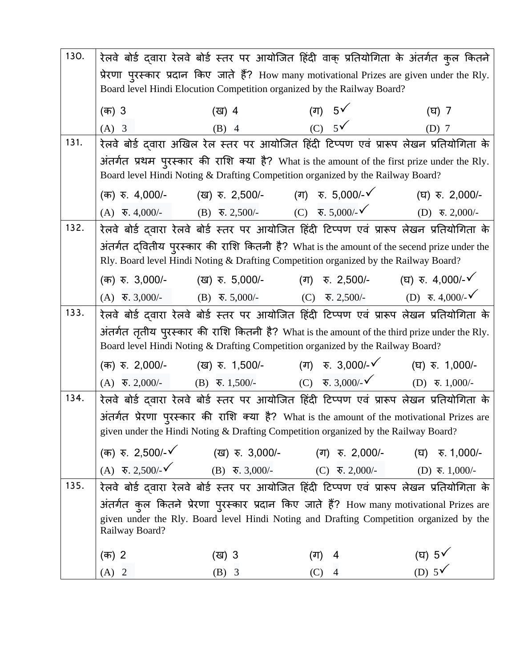| 130. | रेलवे बोर्ड द्वारा रेलवे बोर्ड स्तर पर आयोजित हिंदी वाक् प्रतियोगिता के अंतर्गत कुल कितने   |                                                                                                                       |                                                                                                                                                                                 |                                       |  |  |
|------|---------------------------------------------------------------------------------------------|-----------------------------------------------------------------------------------------------------------------------|---------------------------------------------------------------------------------------------------------------------------------------------------------------------------------|---------------------------------------|--|--|
|      | प्रेरणा पुरस्कार प्रदान किए जाते हैं? How many motivational Prizes are given under the Rly. |                                                                                                                       |                                                                                                                                                                                 |                                       |  |  |
|      | Board level Hindi Elocution Competition organized by the Railway Board?                     |                                                                                                                       |                                                                                                                                                                                 |                                       |  |  |
|      | (क) 3                                                                                       | (ख) 4                                                                                                                 | (ग) $5\sqrt{ }$                                                                                                                                                                 | (घ) 7                                 |  |  |
|      | $(A)$ 3                                                                                     | $(B)$ 4                                                                                                               | $(C)$ 5 $\checkmark$                                                                                                                                                            | $(D)$ 7                               |  |  |
| 131. |                                                                                             |                                                                                                                       | रेलवे बोर्ड द्वारा अखिल रेल स्तर पर आयोजित हिंदी टिप्पण एवं प्रारूप लेखन प्रतियोगिता के                                                                                         |                                       |  |  |
|      |                                                                                             |                                                                                                                       | अंतर्गत प्रथम पुरस्कार की राशि क्या है? What is the amount of the first prize under the Rly.<br>Board level Hindi Noting & Drafting Competition organized by the Railway Board? |                                       |  |  |
|      |                                                                                             |                                                                                                                       | (क) रु. 4,000/- (ख) रु. 2,500/- (ग) रु. 5,000/-√ (घ) रु. 2,000/-                                                                                                                |                                       |  |  |
|      |                                                                                             | (A) $\overline{\ast}$ , 4,000/- (B) $\overline{\ast}$ , 2,500/- (C) $\overline{\ast}$ , 5,000/- $\check{\phantom{1}}$ |                                                                                                                                                                                 | (D) $\overline{\mathbf{v}}$ . 2,000/- |  |  |
| 132. |                                                                                             |                                                                                                                       | रेलवे बोर्ड दवारा रेलवे बोर्ड स्तर पर आयोजित हिंदी टिप्पण एवं प्रारूप लेखन प्रतियोगिता के                                                                                       |                                       |  |  |
|      |                                                                                             |                                                                                                                       | अंतर्गत द्वितीय पुरस्कार की राशि कितनी है? What is the amount of the secend prize under the                                                                                     |                                       |  |  |
|      |                                                                                             |                                                                                                                       | Rly. Board level Hindi Noting & Drafting Competition organized by the Railway Board?                                                                                            |                                       |  |  |
|      |                                                                                             |                                                                                                                       | (क) रु. 3,000/- (ख) रु. 5,000/- (ग) रु. 2,500/- (घ) रु. 4,000/-√                                                                                                                |                                       |  |  |
|      |                                                                                             |                                                                                                                       | (A) $\overline{\mathbf{v}}$ , 3,000/- (B) $\overline{\mathbf{v}}$ , 5,000/- (C) $\overline{\mathbf{v}}$ , 2,500/- (D) $\overline{\mathbf{v}}$ , 4,000/- $\checkmark$            |                                       |  |  |
| 133. |                                                                                             |                                                                                                                       | रेलवे बोर्ड दवारा रेलवे बोर्ड स्तर पर आयोजित हिंदी टिप्पण एवं प्रारूप लेखन प्रतियोगिता के                                                                                       |                                       |  |  |
|      |                                                                                             |                                                                                                                       | अंतर्गत तृतीय पुरस्कार की राशि कितनी है? What is the amount of the third prize under the Rly.                                                                                   |                                       |  |  |
|      |                                                                                             |                                                                                                                       | Board level Hindi Noting & Drafting Competition organized by the Railway Board?                                                                                                 |                                       |  |  |
|      | (क) रु. 2,000/-                                                                             |                                                                                                                       | (ख) रु. 1,500/-           (ग)   रु. 3,000/- र्⁄           (घ)  रु. 1,000/-                                                                                                      |                                       |  |  |
|      |                                                                                             |                                                                                                                       | (A) $\overline{\ast}$ , 2,000/- (B) $\overline{\ast}$ , 1,500/- (C) $\overline{\ast}$ , 3,000/- $\check{\phantom{0}}$ (D) $\overline{\ast}$ , 1,000/-                           |                                       |  |  |
| 134. |                                                                                             |                                                                                                                       | रेलवे बोर्ड दवारा रेलवे बोर्ड स्तर पर आयोजित हिंदी टिप्पण एवं प्रारूप लेखन प्रतियोगिता के                                                                                       |                                       |  |  |
|      |                                                                                             |                                                                                                                       | अंतर्गत प्रेरणा पुरस्कार की राशि क्या है? What is the amount of the motivational Prizes are                                                                                     |                                       |  |  |
|      |                                                                                             |                                                                                                                       | given under the Hindi Noting & Drafting Competition organized by the Railway Board?                                                                                             |                                       |  |  |
|      |                                                                                             |                                                                                                                       | (क) रु. 2,500/-√ (ख) रु. 3,000/- (ग) रु. 2,000/- (घ) रु. 1,000/-                                                                                                                |                                       |  |  |
|      |                                                                                             |                                                                                                                       | (A) $\overline{\mathbf{v}}$ , 2,500/- $\check{\mathbf{v}}$ (B) $\overline{\mathbf{v}}$ , 3,000/- (C) $\overline{\mathbf{v}}$ , 2,000/- (D) $\overline{\mathbf{v}}$ , 1,000/-    |                                       |  |  |
| 135. |                                                                                             |                                                                                                                       | रेलवे बोर्ड दवारा रेलवे बोर्ड स्तर पर आयोजित हिंदी टिप्पण एवं प्रारूप लेखन प्रतियोगिता के                                                                                       |                                       |  |  |
|      |                                                                                             |                                                                                                                       | अंतर्गत कुल कितने प्रेरणा पुरस्कार प्रदान किए जाते हैं? How many motivational Prizes are                                                                                        |                                       |  |  |
|      | Railway Board?                                                                              |                                                                                                                       | given under the Rly. Board level Hindi Noting and Drafting Competition organized by the                                                                                         |                                       |  |  |
|      | (क) 2                                                                                       | (ख) 3                                                                                                                 | (ग)<br>4                                                                                                                                                                        |                                       |  |  |
|      | $(A)$ 2                                                                                     | $(B)$ 3                                                                                                               | $(C)$ 4                                                                                                                                                                         | (E) $5\sqrt{ }$<br>(D) $5\sqrt{ }$    |  |  |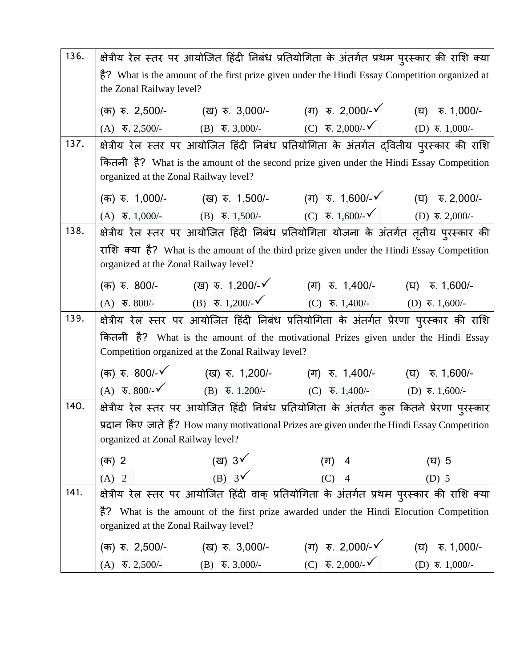| 136. |                                       |                                                   | क्षेत्रीय रेल स्तर पर आयोजित हिंदी निबंध प्रतियोगिता के अंतर्गत प्रथम पुरस्कार की राशि क्या                                                                                |                                           |
|------|---------------------------------------|---------------------------------------------------|----------------------------------------------------------------------------------------------------------------------------------------------------------------------------|-------------------------------------------|
|      |                                       |                                                   | है? What is the amount of the first prize given under the Hindi Essay Competition organized at                                                                             |                                           |
|      | the Zonal Railway level?              |                                                   |                                                                                                                                                                            |                                           |
|      |                                       |                                                   | (क) रु. 2,500/- (ख) रु. 3,000/- (ग) रु. 2,000/- $\checkmark$ (घ) रु. 1,000/-                                                                                               |                                           |
|      |                                       |                                                   | (A) $\overline{\ast}$ , 2,500/- (B) $\overline{\ast}$ , 3,000/- (C) $\overline{\ast}$ , 2,000/- (D) $\overline{\ast}$ , 1,000/-                                            |                                           |
| 137. |                                       |                                                   | क्षेत्रीय रेल स्तर पर आयोजित हिंदी निबंध प्रतियोगिता के अंतर्गत द्वितीय पुरस्कार की राशि                                                                                   |                                           |
|      |                                       |                                                   | कितनी है? What is the amount of the second prize given under the Hindi Essay Competition                                                                                   |                                           |
|      | organized at the Zonal Railway level? |                                                   |                                                                                                                                                                            |                                           |
|      |                                       |                                                   | (क) रु. 1,000/- (ख) रु. 1,500/- (ग) रु. 1,600/- $\checkmark$ (घ) रु. 2,000/-                                                                                               |                                           |
|      |                                       |                                                   | (A) $\overline{\ast}$ , 1,000/- (B) $\overline{\ast}$ , 1,500/- (C) $\overline{\ast}$ , 1,600/- (D) $\overline{\ast}$ , 2,000/-                                            |                                           |
| 138. |                                       |                                                   | क्षेत्रीय रेल स्तर पर आयोजित हिंदी निबंध प्रतियोगिता योजना के अंतर्गत तृतीय पुरस्कार की                                                                                    |                                           |
|      |                                       |                                                   | राशि क्या है? What is the amount of the third prize given under the Hindi Essay Competition                                                                                |                                           |
|      | organized at the Zonal Railway level? |                                                   |                                                                                                                                                                            |                                           |
|      |                                       |                                                   | (क) रु. 800/- (ख) रु. 1,200/- $\checkmark$ (ग) रु. 1,400/- (घ) रु. 1,600/-                                                                                                 |                                           |
|      |                                       |                                                   | (A) $\overline{\mathbf{v}}$ , 800/- (B) $\overline{\mathbf{v}}$ , 1,200/- $\checkmark$ (C) $\overline{\mathbf{v}}$ , 1,400/- (D) $\overline{\mathbf{v}}$ , 1,600/-         |                                           |
| 139. |                                       |                                                   | क्षेत्रीय रेल स्तर पर आयोजित हिंदी निबंध प्रतियोगिता के अंतर्गत प्रेरणा पुरस्कार की राशि                                                                                   |                                           |
|      |                                       |                                                   | कितनी है? What is the amount of the motivational Prizes given under the Hindi Essay                                                                                        |                                           |
|      |                                       | Competition organized at the Zonal Railway level? |                                                                                                                                                                            |                                           |
|      |                                       |                                                   | (क) रु. 800/- $\checkmark$ (ख) रु. 1,200/- (ग) रु. 1,400/- (घ) रु. 1,600/-                                                                                                 |                                           |
|      |                                       |                                                   | (A) $\overline{\mathbf{v}}$ , 800/- $\check{\mathbf{v}}$ (B) $\overline{\mathbf{v}}$ , 1,200/- (C) $\overline{\mathbf{v}}$ , 1,400/- (D) $\overline{\mathbf{v}}$ , 1,600/- |                                           |
| 140. |                                       |                                                   | क्षेत्रीय रेल स्तर पर आयोजित हिंदी निबंध प्रतियोगिता के अंतर्गत कुल कितने प्रेरणा पुरस्कार                                                                                 |                                           |
|      |                                       |                                                   | प्रदान किए जाते हैं? How many motivational Prizes are given under the Hindi Essay Competition                                                                              |                                           |
|      | organized at Zonal Railway level?     |                                                   |                                                                                                                                                                            |                                           |
|      | (क) 2                                 | (ख) 3 $\checkmark$                                | (ग)<br>4                                                                                                                                                                   | (घ) 5                                     |
|      | $(A)$ 2                               | (B) $3\sqrt{ }$                                   | $(C)$ 4                                                                                                                                                                    | $(D)$ 5                                   |
| 141. |                                       |                                                   | क्षेत्रीय रेल स्तर पर आयोजित हिंदी वाक् प्रतियोगिता के अंतर्गत प्रथम पुरस्कार की राशि क्या                                                                                 |                                           |
|      | है?                                   |                                                   | What is the amount of the first prize awarded under the Hindi Elocution Competition                                                                                        |                                           |
|      | organized at the Zonal Railway level? |                                                   |                                                                                                                                                                            |                                           |
|      | (क) रु. 2,500/-                       | (ख) रु. 3,000/-                                   | (ग) रु. 2,000/- $\checkmark$                                                                                                                                               | $\overline{\mathcal{F}}$ . 1,000/-<br>(घ) |
|      | $(A)$ $\bar{6}$ , 2,500/-             | $(B) \quad \overline{\mathbf{v}}$ . 3,000/-       | (C) $\overline{\mathbf{v}}$ . 2,000/- $\checkmark$                                                                                                                         | $(D)$ ₹. 1,000/-                          |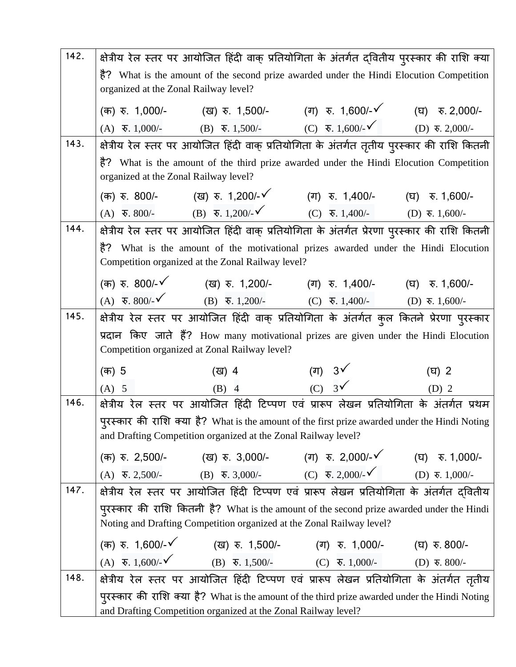| 142. |                                                                                                | क्षेत्रीय रेल स्तर पर आयोजित हिंदी वाक् प्रतियोगिता के अंतर्गत द्वितीय पुरस्कार की राशि क्या                                                                               |                                                                             |                  |  |
|------|------------------------------------------------------------------------------------------------|----------------------------------------------------------------------------------------------------------------------------------------------------------------------------|-----------------------------------------------------------------------------|------------------|--|
|      | है? What is the amount of the second prize awarded under the Hindi Elocution Competition       |                                                                                                                                                                            |                                                                             |                  |  |
|      | organized at the Zonal Railway level?                                                          |                                                                                                                                                                            |                                                                             |                  |  |
|      |                                                                                                | (क) रु. 1,000/- (ख) रु. 1,500/- (ग) रु. 1,600/-√ (घ) रु. 2,000/-                                                                                                           |                                                                             |                  |  |
|      |                                                                                                | (A) $\overline{\mathbf{v}}$ . 1,000/- (B) $\overline{\mathbf{v}}$ . 1,500/- (C) $\overline{\mathbf{v}}$ . 1,600/- $\checkmark$                                             |                                                                             | $(D)$ ₹. 2,000/- |  |
| 143. |                                                                                                | क्षेत्रीय रेल स्तर पर आयोजित हिंदी वाक् प्रतियोगिता के अंतर्गत तृतीय पुरस्कार की राशि कितनी                                                                                |                                                                             |                  |  |
|      |                                                                                                | है? What is the amount of the third prize awarded under the Hindi Elocution Competition                                                                                    |                                                                             |                  |  |
|      | organized at the Zonal Railway level?                                                          |                                                                                                                                                                            |                                                                             |                  |  |
|      |                                                                                                | (क) रु. 800/-         (ख) रु. 1,200/-४         (ग) रु. 1,400/-       (घ) रु. 1,600/-                                                                                       |                                                                             |                  |  |
|      | (A) $\overline{\mathbf{v}}$ . 800/- (B) $\overline{\mathbf{v}}$ . 1,200/- $\check{\mathbf{v}}$ |                                                                                                                                                                            | (C) $\overline{\mathbf{v}}$ . 1,400/- (D) $\overline{\mathbf{v}}$ . 1,600/- |                  |  |
| 144. |                                                                                                | क्षेत्रीय रेल स्तर पर आयोजित हिंदी वाक् प्रतियोगिता के अंतर्गत प्रेरणा पुरस्कार की राशि कितनी                                                                              |                                                                             |                  |  |
|      |                                                                                                | है? What is the amount of the motivational prizes awarded under the Hindi Elocution                                                                                        |                                                                             |                  |  |
|      |                                                                                                | Competition organized at the Zonal Railway level?                                                                                                                          |                                                                             |                  |  |
|      |                                                                                                | (क) रु. 800/-४ (ख) रु. 1,200/- (ग) रु. 1,400/- (घ) रु. 1,600/-                                                                                                             |                                                                             |                  |  |
|      |                                                                                                | (A) $\overline{\mathbf{v}}$ , 800/- $\check{\mathbf{v}}$ (B) $\overline{\mathbf{v}}$ , 1,200/- (C) $\overline{\mathbf{v}}$ , 1,400/- (D) $\overline{\mathbf{v}}$ , 1,600/- |                                                                             |                  |  |
| 145. |                                                                                                | क्षेत्रीय रेल स्तर पर आयोजित हिंदी वाक् प्रतियोगिता के अंतर्गत कुल कितने प्रेरणा प् <b>रस्का</b> र                                                                         |                                                                             |                  |  |
|      |                                                                                                | प्रदान किए जाते हैं? How many motivational prizes are given under the Hindi Elocution                                                                                      |                                                                             |                  |  |
|      |                                                                                                | Competition organized at Zonal Railway level?                                                                                                                              |                                                                             |                  |  |
|      | (क) 5                                                                                          | (ख) 4                                                                                                                                                                      | (ग) $3\sqrt{ }$                                                             | $(T)$ 2          |  |
|      | $(A)$ 5                                                                                        | $(B)$ 4                                                                                                                                                                    | $(C)$ 3 $\checkmark$                                                        | $(D)$ 2          |  |
| 146. |                                                                                                | क्षेत्रीय रेल स्तर पर आयोजित हिंदी टिप्पण एवं प्रारूप लेखन प्रतियोगिता के अंतर्गत प्रथम                                                                                    |                                                                             |                  |  |
|      |                                                                                                | पुरस्कार की राशि क्या है? What is the amount of the first prize awarded under the Hindi Noting                                                                             |                                                                             |                  |  |
|      |                                                                                                | and Drafting Competition organized at the Zonal Railway level?                                                                                                             |                                                                             |                  |  |
|      |                                                                                                | (क) रु. 2,500/- (ख) रु. 3,000/- (ग) रु. 2,000/- $\checkmark$ (घ) रु. 1,000/-                                                                                               |                                                                             |                  |  |
|      |                                                                                                | (A) $\overline{\ast}$ , 2,500/- (B) $\overline{\ast}$ , 3,000/- (C) $\overline{\ast}$ , 2,000/- $\check{\phantom{0}}$ (D) $\overline{\ast}$ , 1,000/-                      |                                                                             |                  |  |
| 147. |                                                                                                | क्षेत्रीय रेल स्तर पर आयोजित हिंदी टिप्पण एवं प्रारूप लेखन प्रतियोगिता के अंतर्गत दवितीय                                                                                   |                                                                             |                  |  |
|      |                                                                                                | पुरस्कार की राशि कितनी है? What is the amount of the second prize awarded under the Hindi                                                                                  |                                                                             |                  |  |
|      |                                                                                                | Noting and Drafting Competition organized at the Zonal Railway level?                                                                                                      |                                                                             |                  |  |
|      |                                                                                                | (क) रु. 1,600/- $\checkmark$ (ख) रु. 1,500/- (ग) रु. 1,000/- (घ) रु. 800/-                                                                                                 |                                                                             |                  |  |
|      |                                                                                                | (A) $\overline{\mathbf{v}}$ . 1,600/- $\check{\mathbf{v}}$ (B) $\overline{\mathbf{v}}$ . 1,500/- (C) $\overline{\mathbf{v}}$ . 1,000/- (D) $\overline{\mathbf{v}}$ . 800/- |                                                                             |                  |  |
| 148. |                                                                                                | क्षेत्रीय रेल स्तर पर आयोजित हिंदी टिप्पण एवं प्रारूप लेखन प्रतियोगिता के अंतर्गत तृतीय                                                                                    |                                                                             |                  |  |
|      |                                                                                                | पुरस्कार की राशि क्या है? What is the amount of the third prize awarded under the Hindi Noting                                                                             |                                                                             |                  |  |
|      |                                                                                                | and Drafting Competition organized at the Zonal Railway level?                                                                                                             |                                                                             |                  |  |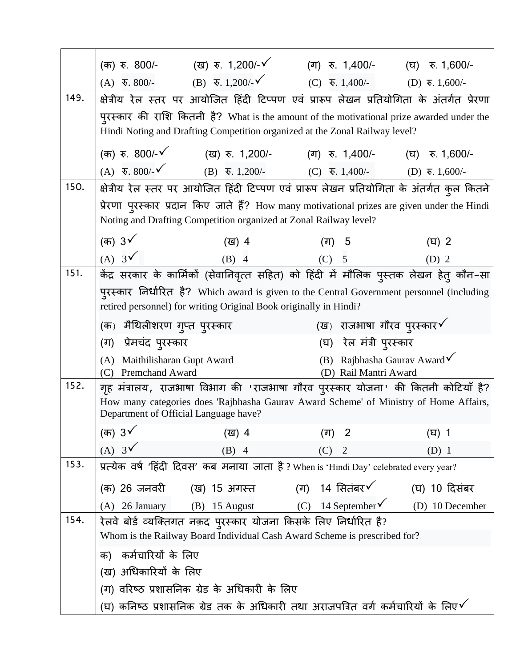|      | (क) रु. 800/-         (ख) रु. 1,200/-✔                                                                                                                                     | (ग) रु. 1,400/-      (घ) रु. 1,600/-                             |  |  |
|------|----------------------------------------------------------------------------------------------------------------------------------------------------------------------------|------------------------------------------------------------------|--|--|
|      | (A) $\overline{\ast}$ , 800/- (B) $\overline{\ast}$ , 1,200/- $\checkmark$ (C) $\overline{\ast}$ , 1,400/- (D) $\overline{\ast}$ , 1,600/-                                 |                                                                  |  |  |
| 149. | क्षेत्रीय रेल स्तर पर आयोजित हिंदी टिप्पण एवं प्रारूप लेखन प्रतियोगिता के अंतर्गत प्रेरणा                                                                                  |                                                                  |  |  |
|      | पुरस्कार की राशि कितनी है? What is the amount of the motivational prize awarded under the                                                                                  |                                                                  |  |  |
|      | Hindi Noting and Drafting Competition organized at the Zonal Railway level?                                                                                                |                                                                  |  |  |
|      | (क) रु. 800/-४ (ख) रु. 1,200/- (ग) रु. 1,400/- (घ) रु. 1,600/-                                                                                                             |                                                                  |  |  |
|      | (A) $\overline{\mathbf{v}}$ , 800/- $\check{\mathbf{v}}$ (B) $\overline{\mathbf{v}}$ , 1,200/- (C) $\overline{\mathbf{v}}$ , 1,400/- (D) $\overline{\mathbf{v}}$ , 1,600/- |                                                                  |  |  |
| 150. | क्षेत्रीय रेल स्तर पर आयोजित हिंदी टिप्पण एवं प्रारूप लेखन प्रतियोगिता के अंतर्गत कुल कितने                                                                                |                                                                  |  |  |
|      | प्रेरणा पुरस्कार प्रदान किए जाते हैं? How many motivational prizes are given under the Hindi                                                                               |                                                                  |  |  |
|      | Noting and Drafting Competition organized at Zonal Railway level?                                                                                                          |                                                                  |  |  |
|      | (क) 3√<br>(ख) 4                                                                                                                                                            | (ग) 5<br>$(\overline{u})$ 2                                      |  |  |
|      |                                                                                                                                                                            |                                                                  |  |  |
| 151. | (क) 3 $\checkmark$ ((a) 4 (a) 5 (b) 2 (A) 3 $\checkmark$ (B) 4 (C) 5 (D) 2 (D) 2 केंद्र सरकार के कार्मिकों (सेवानिवृत्त सहित) को हिंदी में मौलिक पुस्तक लेखन हेतु कौन-सा   |                                                                  |  |  |
|      | पुरस्कार निर्धारित है? Which award is given to the Central Government personnel (including                                                                                 |                                                                  |  |  |
|      | retired personnel) for writing Original Book originally in Hindi?                                                                                                          |                                                                  |  |  |
|      | (क)  मैथिलीशरण गुप्त पुरस्कार                                                                                                                                              | (ख) राजभाषा गौरव पुरस्कार $\checkmark$                           |  |  |
|      | (ग) प्रेमचंद पुरस्कार                                                                                                                                                      | (घ) रेल मंत्री पुरस्कार                                          |  |  |
|      | (A) Maithilisharan Gupt Award<br>(C) Premchand Award                                                                                                                       | (B) Rajbhasha Gaurav Award $\checkmark$<br>(D) Rail Mantri Award |  |  |
| 152. | गृह मंत्रालय, राजभाषा विभाग की 'राजभाषा गौरव पुरस्कार योजना' की कितनी कोटियाँ है?                                                                                          |                                                                  |  |  |
|      | How many categories does 'Rajbhasha Gaurav Award Scheme' of Ministry of Home Affairs,<br>Department of Official Language have?                                             |                                                                  |  |  |
|      |                                                                                                                                                                            |                                                                  |  |  |
|      | (क) 3 $\checkmark$<br>(ख) 4                                                                                                                                                | (ग) 2<br>$(T)$ 1                                                 |  |  |
| 153. | $(A)$ 3 $\checkmark$<br>$(B)$ 4                                                                                                                                            | (C)<br>$\overline{2}$<br>$(D)$ 1                                 |  |  |
|      | प्रत्येक वर्ष 'हिंदी दिवस' कब मनाया जाता है? When is 'Hindi Day' celebrated every year?                                                                                    |                                                                  |  |  |
|      | (क) 26 जनवरी      (ख) 15 अगस्त         (ग)   14 सितंबर ∕                                                                                                                   | (घ) 10 दिसंबर                                                    |  |  |
|      | (A) 26 January (B) 15 August (C) 14 September (D) 10 December                                                                                                              |                                                                  |  |  |
| 154. | रेलवे बोर्ड व्यक्तिगत नक़द पुरस्कार योजना किसके लिए निर्धारित है?                                                                                                          |                                                                  |  |  |
|      | Whom is the Railway Board Individual Cash Award Scheme is prescribed for?                                                                                                  |                                                                  |  |  |
|      | क)  कर्मचारियों के लिए                                                                                                                                                     |                                                                  |  |  |
|      | (ख) अधिकारियों के लिए                                                                                                                                                      |                                                                  |  |  |
|      | (ग) वरिष्ठ प्रशासनिक ग्रेड के अधिकारी के लिए                                                                                                                               |                                                                  |  |  |
|      | (घ) कनिष्ठ प्रशासनिक ग्रेड तक के अधिकारी तथा अराजपत्रित वर्ग कर्मचारियों के लिए $\checkmark$                                                                               |                                                                  |  |  |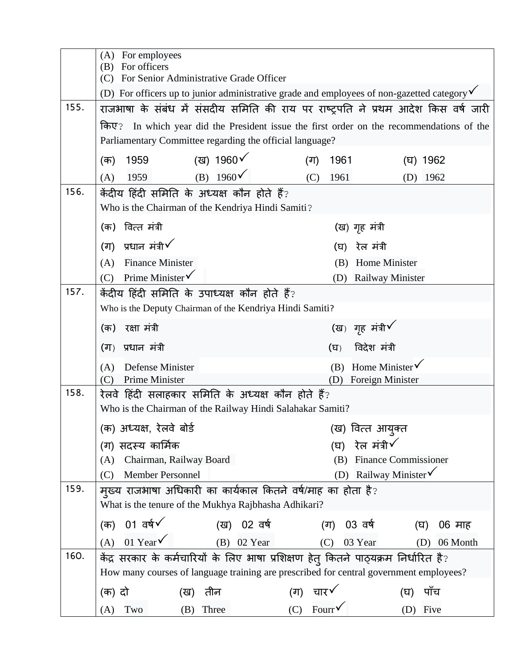|      | For employees<br>(A)<br>(B) For officers                                                               |  |  |
|------|--------------------------------------------------------------------------------------------------------|--|--|
|      | (C) For Senior Administrative Grade Officer                                                            |  |  |
|      | (D) For officers up to junior administrative grade and employees of non-gazetted category $\checkmark$ |  |  |
| 155. | राजभाषा के संबंध में संसदीय समिति की राय पर राष्ट्रपति ने प्रथम आदेश किस वर्ष जारी                     |  |  |
|      | किए?<br>In which year did the President issue the first order on the recommendations of the            |  |  |
|      | Parliamentary Committee regarding the official language?                                               |  |  |
|      | (ख) 1960 $\checkmark$<br>1959<br>1961<br>(क)<br>(ग)<br>(घ) 1962                                        |  |  |
|      | (B) $1960\check{ }$<br>1959<br>1961<br>(C)<br>(A)<br>$(D)$ 1962                                        |  |  |
| 156. | केंदीय हिंदी समिति के अध्यक्ष कौन होते हैं?                                                            |  |  |
|      | Who is the Chairman of the Kendriya Hindi Samiti?                                                      |  |  |
|      | (क) वित्त मंत्री<br>(ख) गृह मंत्री                                                                     |  |  |
|      | (ग) प्रधान मंत्री $\checkmark$<br>रेल मंत्री<br>(घ)                                                    |  |  |
|      | <b>Finance Minister</b><br>Home Minister<br>(A)<br>(B)                                                 |  |  |
|      | Prime Minister $\checkmark$<br>(C)<br><b>Railway Minister</b><br>(D)                                   |  |  |
| 157. | केंदीय हिंदी समिति के उपाध्यक्ष कौन होते हैं?                                                          |  |  |
|      | Who is the Deputy Chairman of the Kendriya Hindi Samiti?                                               |  |  |
|      | (ख) गृह मंत्री $\checkmark$<br>रक्षा मंत्री<br>(क)                                                     |  |  |
|      | विदेश मंत्री<br>(ग) प्रधान मंत्री<br>(घ)                                                               |  |  |
|      | Home Minister√<br>(B)<br><b>Defense Minister</b><br>(A)                                                |  |  |
| 158. | Prime Minister<br>Foreign Minister<br>(D)<br>(C)<br>रेलवे हिंदी सलाहकार समिति के अध्यक्ष कौन होते हैं? |  |  |
|      | Who is the Chairman of the Railway Hindi Salahakar Samiti?                                             |  |  |
|      | (क) अध्यक्ष, रेलवे बोर्ड<br>(ख) वित्त आयुक्त                                                           |  |  |
|      | रेल मंत्री√<br>(ग) सदस्य कार्मिक<br>(घ)                                                                |  |  |
|      | <b>Finance Commissioner</b><br>Chairman, Railway Board<br>(B)<br>(A)                                   |  |  |
|      | Railway Minister V<br><b>Member Personnel</b><br>(D)<br>(C)                                            |  |  |
| 159. | म्ख्य राजभाषा अधिकारी का कार्यकाल कितने वर्ष/माह का होता है?                                           |  |  |
|      | What is the tenure of the Mukhya Rajbhasha Adhikari?                                                   |  |  |
|      | 01 $\overline{q}$<br>(ख) 02 वर्ष<br>(ग) 03 वर्ष<br>(क)<br>06 माह<br>(घ)                                |  |  |
|      | 01 Year $\checkmark$<br>$(B)$ 02 Year<br>(A)<br>03 Year<br>(C)<br>06 Month<br>(D)                      |  |  |
| 160. | केंद्र सरकार के कर्मचारियों के लिए भाषा प्रशिक्षण हेतु कितने पाठ्यक्रम निर्धारित है?                   |  |  |
|      | How many courses of language training are prescribed for central government employees?                 |  |  |
|      | चार√<br>तीन<br>पॉच<br>(क) दो<br>(ग)<br>(ख)<br>(घ)                                                      |  |  |
|      | Fourr $\checkmark$<br>(C)<br>Five<br>Three<br>Two<br>(B)<br>(D)<br>(A)                                 |  |  |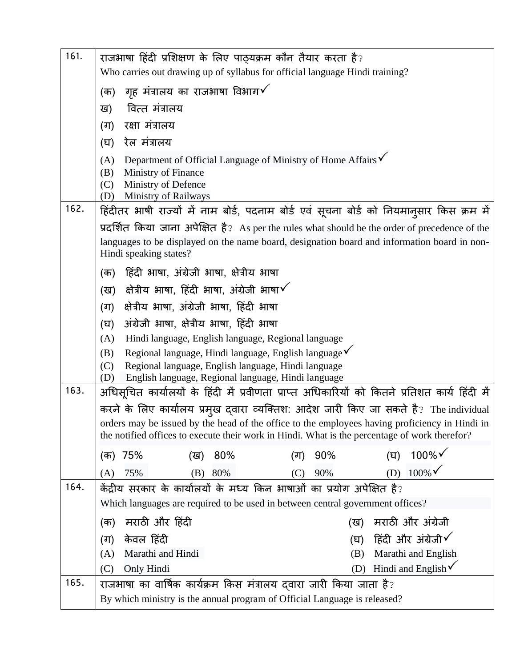| 161. | राजभाषा हिंदी प्रशिक्षण के लिए पाठ्यक्रम कौन तैयार करता है?                                                                                                                                     |  |  |
|------|-------------------------------------------------------------------------------------------------------------------------------------------------------------------------------------------------|--|--|
|      | Who carries out drawing up of syllabus for official language Hindi training?                                                                                                                    |  |  |
|      | गृह मंत्रालय का राजभाषा विभाग $\checkmark$<br>(क)                                                                                                                                               |  |  |
|      | वित्त मंत्रालय<br>ख)                                                                                                                                                                            |  |  |
|      | रक्षा मंत्रालय<br>(ग)                                                                                                                                                                           |  |  |
|      | रेल मंत्रालय<br>(घ)                                                                                                                                                                             |  |  |
|      | Department of Official Language of Ministry of Home Affairs V<br>(A)                                                                                                                            |  |  |
|      | (B)<br>Ministry of Finance<br>(C)                                                                                                                                                               |  |  |
|      | Ministry of Defence<br><b>Ministry of Railways</b><br>(D)                                                                                                                                       |  |  |
| 162. | हिंदीतर भाषी राज्यों में नाम बोर्ड, पदनाम बोर्ड एवं सूचना बोर्ड को नियमान्सार किस क्रम में                                                                                                      |  |  |
|      | प्रदर्शित किया जाना अपेक्षित है? As per the rules what should be the order of precedence of the                                                                                                 |  |  |
|      | languages to be displayed on the name board, designation board and information board in non-<br>Hindi speaking states?                                                                          |  |  |
|      | हिंदी भाषा, अंग्रेजी भाषा, क्षेत्रीय भाषा<br>(क)                                                                                                                                                |  |  |
|      | क्षेत्रीय भाषा, हिंदी भाषा, अंग्रेजी भाषा $\checkmark$<br>(ख)                                                                                                                                   |  |  |
|      | क्षेत्रीय भाषा, अंग्रेजी भाषा, हिंदी भाषा<br>(ग)                                                                                                                                                |  |  |
|      | अंग्रेजी भाषा, क्षेत्रीय भाषा, हिंदी भाषा<br>(घ)                                                                                                                                                |  |  |
|      | (A)<br>Hindi language, English language, Regional language                                                                                                                                      |  |  |
|      | Regional language, Hindi language, English language√<br>(B)<br>(C)                                                                                                                              |  |  |
|      | Regional language, English language, Hindi language<br>English language, Regional language, Hindi language<br>(D)                                                                               |  |  |
| 163. | अधिसूचित कार्यालयों के हिंदी में प्रवीणता प्राप्त अधिकारियों को कितने प्रतिशत कार्य हिंदी में                                                                                                   |  |  |
|      | करने के लिए कार्यालय प्रमुख दवारा व्यक्तिश: आदेश जारी किए जा सकते है? The individual                                                                                                            |  |  |
|      | orders may be issued by the head of the office to the employees having proficiency in Hindi in<br>the notified offices to execute their work in Hindi. What is the percentage of work therefor? |  |  |
|      | $100\%$<br>90%<br>75%<br>80%<br>(घ)<br>(क)<br>(ख)<br>(ग)                                                                                                                                        |  |  |
|      | $100\%$<br>(D)<br>90%<br>75%<br>80%<br>(B)<br>(C)<br>(A)                                                                                                                                        |  |  |
| 164. | केंद्रीय सरकार के कार्यालयों के मध्य किन भाषाओं का प्रयोग अपेक्षित है?                                                                                                                          |  |  |
|      | Which languages are required to be used in between central government offices?                                                                                                                  |  |  |
|      | मराठी और हिंदी<br>मराठी और अंग्रेजी<br>(क)<br>(ख)                                                                                                                                               |  |  |
|      | हिंदी और अंग्रेजी $\checkmark$<br>केवल हिंदी<br>(ग)<br>(घ)                                                                                                                                      |  |  |
|      | Marathi and Hindi<br>Marathi and English<br>(A)<br>(B)                                                                                                                                          |  |  |
| 165. | Hindi and English $\checkmark$<br>Only Hindi<br>(C)<br>(D)                                                                                                                                      |  |  |
|      | राजभाषा का वार्षिक कार्यक्रम किस मंत्रालय दवारा जारी किया जाता है?<br>By which ministry is the annual program of Official Language is released?                                                 |  |  |
|      |                                                                                                                                                                                                 |  |  |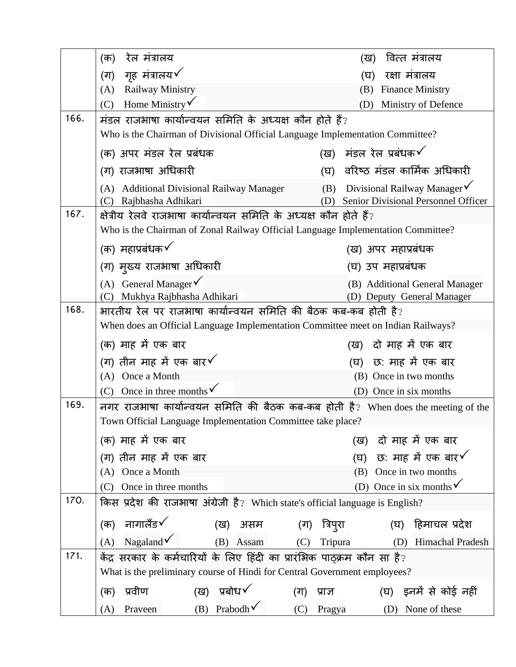|      | रेल मंत्रालय<br>(क)                                                               | वित्त मंत्रालय<br>(ख)                                                                     |  |
|------|-----------------------------------------------------------------------------------|-------------------------------------------------------------------------------------------|--|
|      | गृह मंत्रालय√<br>(ग)                                                              | रक्षा मंत्रालय<br>(घ)                                                                     |  |
|      | <b>Railway Ministry</b><br>(A)                                                    | <b>Finance Ministry</b><br>(B)                                                            |  |
|      | Home Ministry $\checkmark$<br>(C)                                                 | Ministry of Defence<br>(D)                                                                |  |
| 166. | मंडल राजभाषा कार्यान्वयन समिति के अध्यक्ष कौन होते हैं?                           |                                                                                           |  |
|      | Who is the Chairman of Divisional Official Language Implementation Committee?     |                                                                                           |  |
|      | (क) अपर मंडल रेल प्रबंधक                                                          | (ख) मंडल रेल प्रबंधक $\checkmark$                                                         |  |
|      | (ग) राजभाषा अधिकारी                                                               | (घ)  वरिष्ठ मंडल कार्मिक अधिकारी                                                          |  |
|      | (A) Additional Divisional Railway Manager<br>Rajbhasha Adhikari<br>(C)            | (B) Divisional Railway Manager $\checkmark$<br>Senior Divisional Personnel Officer<br>(D) |  |
| 167. | क्षेत्रीय रेलवे राजभाषा कार्यान्वयन समिति के अध्यक्ष कौन होते हैं?                |                                                                                           |  |
|      | Who is the Chairman of Zonal Railway Official Language Implementation Committee?  |                                                                                           |  |
|      | (क) महाप्रबंधक $\checkmark$                                                       | (ख) अपर महाप्रबंधक                                                                        |  |
|      | (ग) मुख्य राजभाषा अधिकारी                                                         | (घ) उप महाप्रबंधक                                                                         |  |
|      | (A) General Manager $\sqrt{}$                                                     | (B) Additional General Manager                                                            |  |
|      | Mukhya Rajbhasha Adhikari<br>(C)                                                  | (D) Deputy General Manager                                                                |  |
| 168. | भारतीय रेल पर राजभाषा कार्यान्वयन समिति की बैठक कब-कब होती है?                    |                                                                                           |  |
|      | When does an Official Language Implementation Committee meet on Indian Railways?  |                                                                                           |  |
|      | (क) माह में एक बार                                                                | (ख) दो माह में एक बार                                                                     |  |
|      | (ग) तीन माह में एक बार $\checkmark$                                               | (घ) छ: माह में एक बार                                                                     |  |
|      | (A) Once a Month                                                                  | (B) Once in two months                                                                    |  |
|      | (C) Once in three months $\checkmark$                                             | (D) Once in six months                                                                    |  |
| 169. | नगर राजभाषा कार्यान्वयन समिति की बैठक कब-कब होती है? When does the meeting of the |                                                                                           |  |
|      | Town Official Language Implementation Committee take place?                       |                                                                                           |  |
|      | (क) माह में एक बार                                                                | दो माह में एक बार<br>(ख)                                                                  |  |
|      | (ग) तीन माह में एक बार                                                            | छ: माह में एक बार $\checkmark$<br>(घ)                                                     |  |
|      | Once a Month<br>(A)                                                               | Once in two months<br>(B)                                                                 |  |
|      | Once in three months<br>(C)                                                       | (D) Once in six months $\checkmark$                                                       |  |
| 170. | किस प्रदेश की राजभाषा अंग्रेजी है? Which state's official language is English?    |                                                                                           |  |
|      | नागालैंड√<br>(क)<br>(ख) असम                                                       | (घ) हिमाचल प्रदेश<br>(ग) त्रिप् <b>रा</b>                                                 |  |
|      | Nagaland $\checkmark$<br>(A)<br>(B) Assam                                         | (C)<br>Tripura<br>Himachal Pradesh<br>(D)                                                 |  |
| 171. | केंद्र सरकार के कर्मचारियों के लिए हिंदी का प्रारंभिक पाठ्क्रम कौन सा है?         |                                                                                           |  |
|      | What is the preliminary course of Hindi for Central Government employees?         |                                                                                           |  |
|      | (ख) प्रबोध $\checkmark$<br>प्रवीण<br>(क)<br>(ग)                                   | (घ) -इनमें से कोई नहीं<br>प्राज्ञ                                                         |  |
|      | (B) Prabodh $\checkmark$<br>Praveen<br>(A)                                        | (C) Pragya<br>None of these<br>(D)                                                        |  |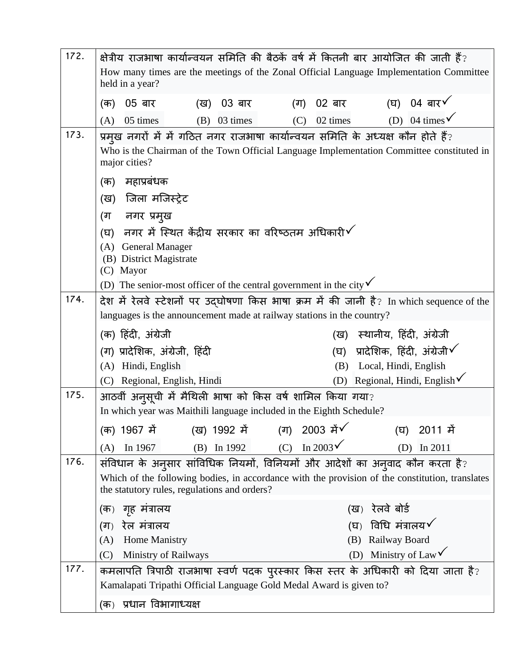| 172. | क्षेत्रीय राजभाषा कार्यान्वयन समिति की बैठकें वर्ष में कितनी बार आयोजित की जाती हैं?                                                                                                                                            |  |  |
|------|---------------------------------------------------------------------------------------------------------------------------------------------------------------------------------------------------------------------------------|--|--|
|      | How many times are the meetings of the Zonal Official Language Implementation Committee<br>held in a year?                                                                                                                      |  |  |
|      | (घ) 04 बार $\checkmark$<br>02 बार<br>05 बार<br>03 बार<br>(ग)<br>(क)<br>(ख)                                                                                                                                                      |  |  |
|      | (D) 04 times $\sqrt{ }$<br>02 times<br>05 times<br>$(B)$ 03 times<br>(C)<br>(A)                                                                                                                                                 |  |  |
| 173. | प्रमुख नगरों में में गठित नगर राजभाषा कार्यान्वयन समिति के अध्यक्ष कौन होते हैं?<br>Who is the Chairman of the Town Official Language Implementation Committee constituted in<br>major cities?                                  |  |  |
|      | महाप्रबंधक<br>(क)                                                                                                                                                                                                               |  |  |
|      | (ख) जिला मजिस्ट्रेट                                                                                                                                                                                                             |  |  |
|      | नगर प्रमुख<br>(ग                                                                                                                                                                                                                |  |  |
|      | नगर में स्थित केंद्रीय सरकार का वरिष्ठतम अधिकारी $\checkmark$<br>(ঘ)                                                                                                                                                            |  |  |
|      | <b>General Manager</b><br>(A)<br>(B) District Magistrate<br>(C) Mayor                                                                                                                                                           |  |  |
|      | (D) The senior-most officer of the central government in the city $\checkmark$                                                                                                                                                  |  |  |
| 174. | देश में रेलवे स्टेशनों पर उद्घोषणा किस भाषा क्रम में की जानी है? In which sequence of the                                                                                                                                       |  |  |
|      | languages is the announcement made at railway stations in the country?                                                                                                                                                          |  |  |
|      | (क) हिंदी, अंग्रेजी<br>(ख) स्थानीय, हिंदी, अंग्रेजी                                                                                                                                                                             |  |  |
|      | प्रादेशिक, हिंदी, अंग्रेजी $\checkmark$<br>(ग) प्रादेशिक, अंग्रेजी, हिंदी<br>(घ)                                                                                                                                                |  |  |
|      | (A) Hindi, English<br>Local, Hindi, English<br>(B)                                                                                                                                                                              |  |  |
| 175. | (D) Regional, Hindi, English $\checkmark$<br>(C) Regional, English, Hindi<br>आठवीं अनुसूची में मैथिली भाषा को किस वर्ष शामिल किया गया?                                                                                          |  |  |
|      | In which year was Maithili language included in the Eighth Schedule?                                                                                                                                                            |  |  |
|      | (ख) 1992 ਸੇਂ<br>2003 में√<br>(क) 1967 में<br>(ग)<br>(घ)<br>2011 में                                                                                                                                                             |  |  |
|      | In 2003 $\checkmark$<br>(C)<br>(B) In $1992$<br>In 1967<br>In 2011<br>(D)<br>(A)                                                                                                                                                |  |  |
| 176. | संविधान के अनुसार सांविधिक नियमों, विनियमों और आदेशों का अनुवाद कौन करता है?<br>Which of the following bodies, in accordance with the provision of the constitution, translates<br>the statutory rules, regulations and orders? |  |  |
|      | रेलवे बोर्ड<br>(क) गृह मंत्रालय<br>(ख)                                                                                                                                                                                          |  |  |
|      | विधि मंत्रालय $\checkmark$<br>रेल मंत्रालय<br>$(\nabla)$<br>(ग)                                                                                                                                                                 |  |  |
|      | Railway Board<br>Home Manistry<br>(A)<br>(B)                                                                                                                                                                                    |  |  |
|      | (D) Ministry of Law $\checkmark$<br>(C)<br>Ministry of Railways                                                                                                                                                                 |  |  |
| 177. | कमलापति त्रिपाठी राजभाषा स्वर्ण पदक पुरस्कार किस स्तर के अधिकारी को दिया जाता है?<br>Kamalapati Tripathi Official Language Gold Medal Award is given to?                                                                        |  |  |
|      | (क)  प्रधान विभागाध्यक्ष                                                                                                                                                                                                        |  |  |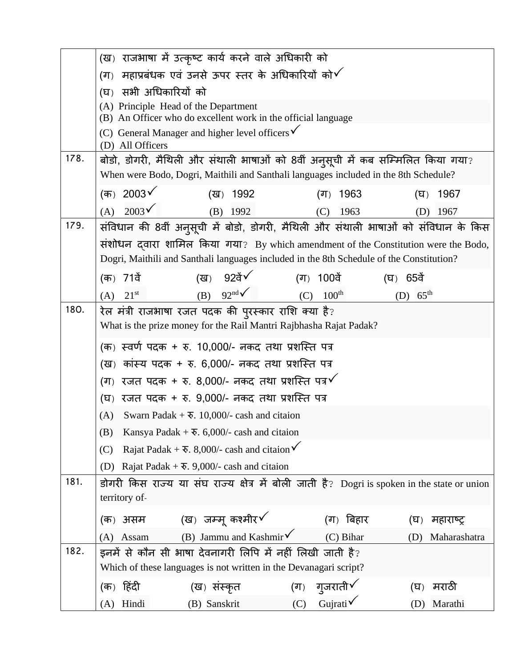|      | (ख)  राजभाषा में उत्कृष्ट कार्य करने वाले अधिकारी को                                         |                                                 |                      |
|------|----------------------------------------------------------------------------------------------|-------------------------------------------------|----------------------|
|      | महाप्रबंधक एवं उनसे ऊपर स्तर के अधिकारियों को $\checkmark$<br>$(T_5)$                        |                                                 |                      |
|      | सभी अधिकारियों को<br>(घ)                                                                     |                                                 |                      |
|      | (A) Principle Head of the Department                                                         |                                                 |                      |
|      | (B) An Officer who do excellent work in the official language                                |                                                 |                      |
|      | (C) General Manager and higher level officers $\checkmark$<br>(D) All Officers               |                                                 |                      |
| 178. | बोडो, डोगरी, मैथिली और संथाली भाषाओं को 8वीं अनुसूची में कब सम्मिलित किया गया?               |                                                 |                      |
|      | When were Bodo, Dogri, Maithili and Santhali languages included in the 8th Schedule?         |                                                 |                      |
|      | (क) 2003 $\checkmark$<br>(ख) 1992                                                            | (ग) $1963$                                      | 1967<br>(घ)          |
|      | $2003\sqrt{}$<br>(A)<br>$(B)$ 1992                                                           | (C)<br>1963                                     | 1967<br>(D)          |
| 179. | संविधान की 8वीं अनुसूची में बोडो, डोगरी, मैथिली और संथाली भाषाओं को संविधान के किस           |                                                 |                      |
|      | संशोधन दवारा शामिल किया गया? By which amendment of the Constitution were the Bodo,           |                                                 |                      |
|      | Dogri, Maithili and Santhali languages included in the 8th Schedule of the Constitution?     |                                                 |                      |
|      | (ख) 92ਰੇਂ <u>V</u><br>(क) 71वें                                                              | (ग) 100वें                                      | (घ) 65वें            |
|      | (B) $92nd\checkmark$<br>$21^{\rm st}$<br>(A)                                                 | $100^{\text{th}}$<br>(C)                        | (D) $65^{\text{th}}$ |
| 180. | रेल मंत्री राजभाषा रजत पदक की पुरस्कार राशि क्या है?                                         |                                                 |                      |
|      | What is the prize money for the Rail Mantri Rajbhasha Rajat Padak?                           |                                                 |                      |
|      | (क) स्वर्ण पदक + रु. 10,000/- नकद तथा प्रशस्ति पत्र                                          |                                                 |                      |
|      | (ख) कांस्य पदक + रु. 6,000/- नकद तथा प्रशस्ति पत्र                                           |                                                 |                      |
|      | (ग) रजत पदक + रु. 8,000/- नकद तथा प्रशस्ति पत्र $\checkmark$                                 |                                                 |                      |
|      | (घ) रजत पदक + रु. 9,000/- नकद तथा प्रशस्ति पत्र                                              |                                                 |                      |
|      | Swarn Padak + $\overline{\mathbf{v}}$ . 10,000/- cash and citaion<br>(A)                     |                                                 |                      |
|      | Kansya Padak + $\overline{\mathbf{v}}$ . 6,000/- cash and citaion<br>(B)                     |                                                 |                      |
|      | Rajat Padak + $\overline{\mathbf{v}}$ . 8,000/- cash and citaion $\checkmark$<br>(C)         |                                                 |                      |
|      | Rajat Padak + $\overline{\mathbf{v}}$ . 9,000/- cash and citaion<br>(D)                      |                                                 |                      |
| 181. | डोगरी किस राज्य या संघ राज्य क्षेत्र में बोली जाती है? Dogri is spoken in the state or union |                                                 |                      |
|      | territory of-                                                                                |                                                 |                      |
|      | (क) असम $\qquad$ (ख) जम्मू कश्मीर $\checkmark$                                               | (ग) बिहार                                       | महाराष्ट्र<br>(घ)    |
|      | (B) Jammu and Kashmir $\checkmark$<br>Assam<br>(A)                                           | (C) Bihar                                       | Maharashatra<br>(D)  |
| 182. | इनमें से कौन सी भाषा देवनागरी लिपि में नहीं लिखी जाती है?                                    |                                                 |                      |
|      | Which of these languages is not written in the Devanagari script?                            |                                                 |                      |
|      | (क) हिंदी<br>(ख) संस्कृत                                                                     | गुजराती√<br>$(\overline{\mathsf{d}\mathsf{T}})$ | मराठी<br>(घ)         |
|      | (A) Hindi<br>(B) Sanskrit                                                                    | Gujrati√<br>(C)                                 | (D) Marathi          |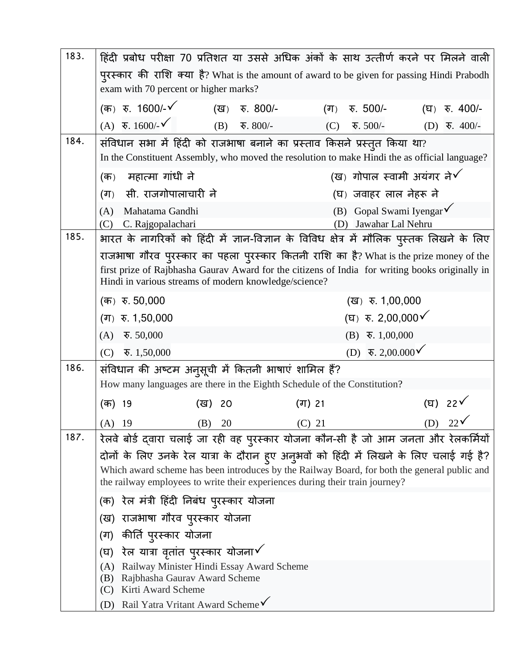| 183.                                                                                                                                                                                                                                                                    | हिंदी प्रबोध परीक्षा 70 प्रतिशत या उससे अधिक अंकों के साथ उत्तीर्ण करने पर मिलने वाली                                                                                       |                                                                     |                                       |  |
|-------------------------------------------------------------------------------------------------------------------------------------------------------------------------------------------------------------------------------------------------------------------------|-----------------------------------------------------------------------------------------------------------------------------------------------------------------------------|---------------------------------------------------------------------|---------------------------------------|--|
|                                                                                                                                                                                                                                                                         | पुरस्कार की राशि क्या है? What is the amount of award to be given for passing Hindi Prabodh<br>exam with 70 percent or higher marks?                                        |                                                                     |                                       |  |
|                                                                                                                                                                                                                                                                         | (क) रु. 1600/- <b>√</b><br>रु. 800/-<br>(ख)                                                                                                                                 | रु. 500/-<br>(ग)                                                    | रु. 400/-<br>(घ)                      |  |
|                                                                                                                                                                                                                                                                         | $(A)$ $\overline{\mathbf{v}}$ . 1600/- $\check{\mathbf{v}}$<br>रु. $800/-$<br>(B)                                                                                           | (C)<br>ক. $500/-$                                                   | $(D)$ $\overline{\mathbf{v}}$ . 400/- |  |
| 184.                                                                                                                                                                                                                                                                    | संविधान सभा में हिंदी को राजभाषा बनाने का प्रस्ताव किसने प्रस्तुत किया था?<br>In the Constituent Assembly, who moved the resolution to make Hindi the as official language? |                                                                     |                                       |  |
|                                                                                                                                                                                                                                                                         | (ख) गोपाल स्वामी अयंगर ने $\checkmark$<br>महात्मा गांधी ने<br>(क)                                                                                                           |                                                                     |                                       |  |
|                                                                                                                                                                                                                                                                         | सी. राजगोपालाचारी ने<br>(ग)                                                                                                                                                 | (घ) जवाहर लाल नेहरू ने                                              |                                       |  |
|                                                                                                                                                                                                                                                                         | Mahatama Gandhi<br>(A)<br>C. Rajgopalachari<br>(C)                                                                                                                          | Gopal Swami Iyengar $\checkmark$<br>(B)<br>Jawahar Lal Nehru<br>(D) |                                       |  |
| 185.                                                                                                                                                                                                                                                                    | भारत के नागरिकों को हिंदी में ज्ञान-विज्ञान के विविध क्षेत्र में मौलिक पुस्तक लिखने के लिए                                                                                  |                                                                     |                                       |  |
| राजभाषा गौरव पुरस्कार का पहला पुरस्कार कितनी राशि का है? What is the prize money of the<br>first prize of Rajbhasha Gaurav Award for the citizens of India for writing books originally in<br>Hindi in various streams of modern knowledge/science?                     |                                                                                                                                                                             |                                                                     |                                       |  |
|                                                                                                                                                                                                                                                                         | (क) रु. 50,000                                                                                                                                                              | (ख) रु. 1,00,000                                                    |                                       |  |
|                                                                                                                                                                                                                                                                         | (घ) $\overline{x}$ . 2,00,000 $\checkmark$<br>(ग) $\overline{x}$ . 1,50,000                                                                                                 |                                                                     |                                       |  |
|                                                                                                                                                                                                                                                                         | $\overline{\mathbf{v}}$ . 50,000<br>(A)                                                                                                                                     | $(B) \quad \overline{\mathbf{v}}. 1,00,000$                         |                                       |  |
|                                                                                                                                                                                                                                                                         | (C)<br>$\overline{\mathbf{v}}$ . 1,50,000                                                                                                                                   | $\overline{\mathbf{v}}$ . 2,00.000 $\checkmark$<br>(D)              |                                       |  |
| 186.                                                                                                                                                                                                                                                                    | संविधान की अष्टम अनुसूची में कितनी भाषाएं शामिल हैं?<br>How many languages are there in the Eighth Schedule of the Constitution?                                            |                                                                     |                                       |  |
|                                                                                                                                                                                                                                                                         |                                                                                                                                                                             |                                                                     |                                       |  |
|                                                                                                                                                                                                                                                                         | (क) 19<br>(ख) 20                                                                                                                                                            | (ग) 21                                                              | (घ) 22 $\checkmark$                   |  |
|                                                                                                                                                                                                                                                                         | $(A)$ 19<br>(B) 20                                                                                                                                                          | $(C)$ 21                                                            | $(D)$ 22 $\checkmark$                 |  |
| 187.                                                                                                                                                                                                                                                                    | रेलवे बोर्ड द्वारा चलाई जा रही वह पुरस्कार योजना कौन-सी है जो आम जनता और रेलकर्मियों                                                                                        |                                                                     |                                       |  |
| दोनों के लिए उनके रेल यात्रा के दौरान हुए अनुभवों को हिंदी में लिखने के लिए चलाई गई है?<br>Which award scheme has been introduces by the Railway Board, for both the general public and<br>the railway employees to write their experiences during their train journey? |                                                                                                                                                                             |                                                                     |                                       |  |
|                                                                                                                                                                                                                                                                         | (क)  रेल मंत्री हिंदी निबंध पुरस्कार योजना<br>(ख) राजभाषा गौरव पुरस्कार योजना                                                                                               |                                                                     |                                       |  |
|                                                                                                                                                                                                                                                                         |                                                                                                                                                                             |                                                                     |                                       |  |
|                                                                                                                                                                                                                                                                         | (ग)  कीर्ति प् <b>रस्कार योज</b> ना                                                                                                                                         |                                                                     |                                       |  |
|                                                                                                                                                                                                                                                                         | रेल यात्रा वृतांत पुरस्कार योजना $\checkmark$<br>(घ)                                                                                                                        |                                                                     |                                       |  |
| Railway Minister Hindi Essay Award Scheme<br>(A)<br>Rajbhasha Gaurav Award Scheme<br>(B)<br>Kirti Award Scheme<br>(C)                                                                                                                                                   |                                                                                                                                                                             |                                                                     |                                       |  |
|                                                                                                                                                                                                                                                                         | Rail Yatra Vritant Award Scheme√<br>(D)                                                                                                                                     |                                                                     |                                       |  |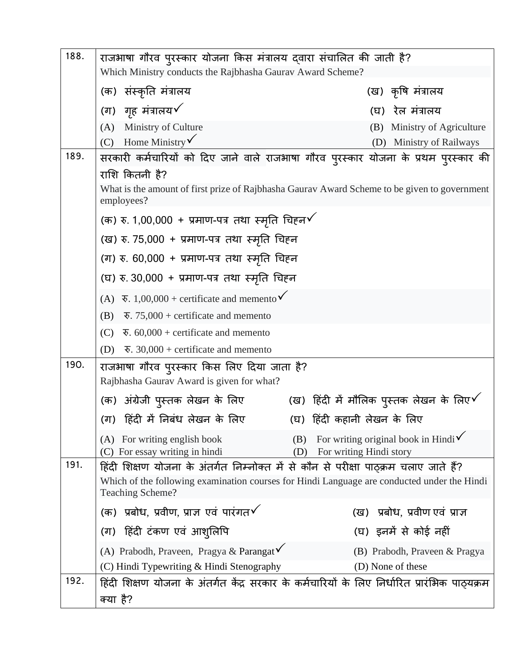| 188. | राजभाषा गौरव पुरस्कार योजना किस मंत्रालय दवारा संचालित की जाती है?                                         |                                                                                |  |
|------|------------------------------------------------------------------------------------------------------------|--------------------------------------------------------------------------------|--|
|      | Which Ministry conducts the Rajbhasha Gaurav Award Scheme?                                                 |                                                                                |  |
|      | (क) संस्कृति मंत्रालय                                                                                      | (ख) कृषि मंत्रालय                                                              |  |
|      | (ग) गृह मंत्रालय $\checkmark$                                                                              | रेल मंत्रालय<br>(घ)                                                            |  |
|      | (A) Ministry of Culture                                                                                    | Ministry of Agriculture<br>(B)                                                 |  |
|      | (C) Home Ministry $\checkmark$                                                                             | Ministry of Railways<br>(D)                                                    |  |
| 189. | सरकारी कर्मचारियों को दिए जाने वाले राजभाषा गौरव पुरस्कार योजना के प्रथम पुरस्कार की                       |                                                                                |  |
|      | राशि कितनी है?                                                                                             |                                                                                |  |
|      | What is the amount of first prize of Rajbhasha Gaurav Award Scheme to be given to government<br>employees? |                                                                                |  |
|      | (क) रु. 1,00,000 + प्रमाण-पत्र तथा स्मृति चिहन $\checkmark$                                                |                                                                                |  |
|      | (ख) रु. 75,000 + प्रमाण-पत्र तथा स्मृति चिहन                                                               |                                                                                |  |
|      | (ग) रु. 60,000 + प्रमाण-पत्र तथा स्मृति चिहन                                                               |                                                                                |  |
|      | (घ) रु. 30,000 + प्रमाण-पत्र तथा स्मृति चिहन                                                               |                                                                                |  |
|      | (A) $\overline{\mathbf{v}}$ . 1,00,000 + certificate and memento $\check{\mathbf{v}}$                      |                                                                                |  |
|      | $\overline{\mathbf{v}}$ . 75,000 + certificate and memento<br>(B)                                          |                                                                                |  |
|      | (C)<br>$\overline{\mathbf{v}}$ . 60,000 + certificate and memento                                          |                                                                                |  |
|      | $\overline{\mathbf{v}}$ . 30,000 + certificate and memento<br>(D)                                          |                                                                                |  |
| 190. | राजभाषा गौरव पुरस्कार किस लिए दिया जाता है?<br>Rajbhasha Gaurav Award is given for what?                   |                                                                                |  |
|      | (क)  अंग्रेजी पुस्तक लेखन के लिए                                                                           | (ख) हिंदी में मौलिक पुस्तक लेखन के लिए $\checkmark$                            |  |
|      | (ग) हिंदी में निबंध लेखन के लिए                                                                            | (घ) हिंदी कहानी लेखन के लिए                                                    |  |
|      | (A) For writing english book<br>(B)<br>(C) For essay writing in hindi                                      | For writing original book in Hindi $\checkmark$<br>(D) For writing Hindi story |  |
| 191. | हिंदी शिक्षण योजना के अंतर्गत निम्नोक्त में से कौन से परीक्षा पाठक्रम चलाए जाते हैं?                       |                                                                                |  |
|      | Which of the following examination courses for Hindi Language are conducted under the Hindi                |                                                                                |  |
|      | (क) प्रबोध, प्रवीण, प्राज्ञ एवं पारंगत $\checkmark$                                                        | (ख)   प्रबोध, प्रवीण एवं  प्राज्ञ                                              |  |
|      | (ग) हिंदी टंकण एवं आश् <i>लिपि</i>                                                                         | (घ) इनमें से कोई नहीं                                                          |  |
|      | (A) Prabodh, Praveen, Pragya & Parangat $\checkmark$                                                       | (B) Prabodh, Praveen & Pragya                                                  |  |
|      | (C) Hindi Typewriting & Hindi Stenography                                                                  | (D) None of these                                                              |  |
| 192. | हिंदी शिक्षण योजना के अंतर्गत केंद्र सरकार के कर्मचारियों के लिए निर्धारित प्रारंभिक पाठ्यक्रम             |                                                                                |  |
|      | क्या है?                                                                                                   |                                                                                |  |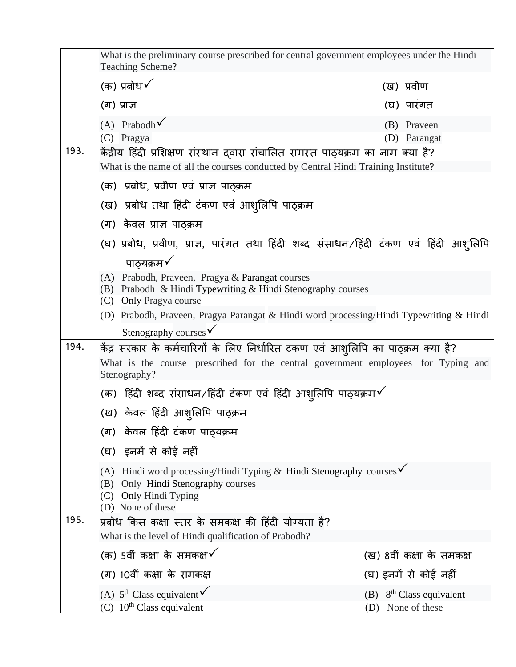|                                                                                                                       | What is the preliminary course prescribed for central government employees under the Hindi<br>Teaching Scheme?                                                                                   |     |                                                         |  |  |
|-----------------------------------------------------------------------------------------------------------------------|--------------------------------------------------------------------------------------------------------------------------------------------------------------------------------------------------|-----|---------------------------------------------------------|--|--|
|                                                                                                                       | (क) प्रबोध $\checkmark$                                                                                                                                                                          |     | (ख) प्रवीण                                              |  |  |
|                                                                                                                       | (ग) प्राज्ञ                                                                                                                                                                                      |     | (घ) पारंगत                                              |  |  |
|                                                                                                                       | (A) Prabodh $\checkmark$                                                                                                                                                                         |     | (B) Praveen                                             |  |  |
| 193.                                                                                                                  | (C) Pragya                                                                                                                                                                                       | (D) | Parangat                                                |  |  |
|                                                                                                                       | केंद्रीय हिंदी प्रशिक्षण संस्थान दवारा संचालित समस्त पाठ्यक्रम का नाम क्या है?<br>What is the name of all the courses conducted by Central Hindi Training Institute?                             |     |                                                         |  |  |
|                                                                                                                       | (क)  प्रबोध, प्रवीण एवं प्राज्ञ पाठ्क्रम                                                                                                                                                         |     |                                                         |  |  |
|                                                                                                                       |                                                                                                                                                                                                  |     |                                                         |  |  |
|                                                                                                                       | (ख)  प्रबोध तथा हिंदी टंकण एवं आशुलिपि पाठ्क्रम<br>(ग) केवल प्राज्ञ पाठ्क्रम                                                                                                                     |     |                                                         |  |  |
|                                                                                                                       |                                                                                                                                                                                                  |     |                                                         |  |  |
|                                                                                                                       | (घ) प्रबोध, प्रवीण, प्राज्ञ, पारंगत तथा हिंदी शब्द संसाधन/हिंदी टंकण एवं हिंदी आश्लिपि<br>पाठ्यक्रम $\checkmark$                                                                                 |     |                                                         |  |  |
|                                                                                                                       | (A) Prabodh, Praveen, Pragya & Parangat courses                                                                                                                                                  |     |                                                         |  |  |
|                                                                                                                       | (B) Prabodh & Hindi Typewriting & Hindi Stenography courses                                                                                                                                      |     |                                                         |  |  |
|                                                                                                                       | (C) Only Pragya course<br>(D) Prabodh, Praveen, Pragya Parangat & Hindi word processing/Hindi Typewriting & Hindi                                                                                |     |                                                         |  |  |
|                                                                                                                       | Stenography courses $\checkmark$                                                                                                                                                                 |     |                                                         |  |  |
| 194.                                                                                                                  | केंद्र सरकार के कर्मचारियों के लिए निर्धारित टंकण एवं आश् <i>लिपि का पाठ्क्रम क्या है</i> ?<br>What is the course prescribed for the central government employees for Typing and<br>Stenography? |     |                                                         |  |  |
|                                                                                                                       | (क) हिंदी शब्द संसाधन/हिंदी टंकण एवं हिंदी आशुलिपि पाठ्यक्रम $\checkmark$                                                                                                                        |     |                                                         |  |  |
|                                                                                                                       | (ख) केवल हिंदी आश्लिपि पाठ्क्रम                                                                                                                                                                  |     |                                                         |  |  |
|                                                                                                                       | (ग)  केवल हिंदी टंकण पाठ्यक्रम                                                                                                                                                                   |     |                                                         |  |  |
|                                                                                                                       | (घ) इनमें से कोई नहीं                                                                                                                                                                            |     |                                                         |  |  |
| (A) Hindi word processing/Hindi Typing & Hindi Stenography courses $\checkmark$<br>(B) Only Hindi Stenography courses |                                                                                                                                                                                                  |     |                                                         |  |  |
|                                                                                                                       | (C) Only Hindi Typing<br>(D) None of these                                                                                                                                                       |     |                                                         |  |  |
| 195.                                                                                                                  | प्रबोध किस कक्षा स्तर के समकक्ष की हिंदी योग्यता है?                                                                                                                                             |     |                                                         |  |  |
|                                                                                                                       | What is the level of Hindi qualification of Prabodh?                                                                                                                                             |     |                                                         |  |  |
|                                                                                                                       | (क) 5वीं कक्षा के समकक्ष $\checkmark$                                                                                                                                                            |     | (ख) 8वीं कक्षा के समकक्ष                                |  |  |
|                                                                                                                       | (ग) 10वीं कक्षा के समकक्ष                                                                                                                                                                        |     | (घ) इनमें से कोई नहीं                                   |  |  |
|                                                                                                                       | (A) $5^{th}$ Class equivalent $\checkmark$<br>(C) $10^{th}$ Class equivalent                                                                                                                     | (D) | $(B)$ 8 <sup>th</sup> Class equivalent<br>None of these |  |  |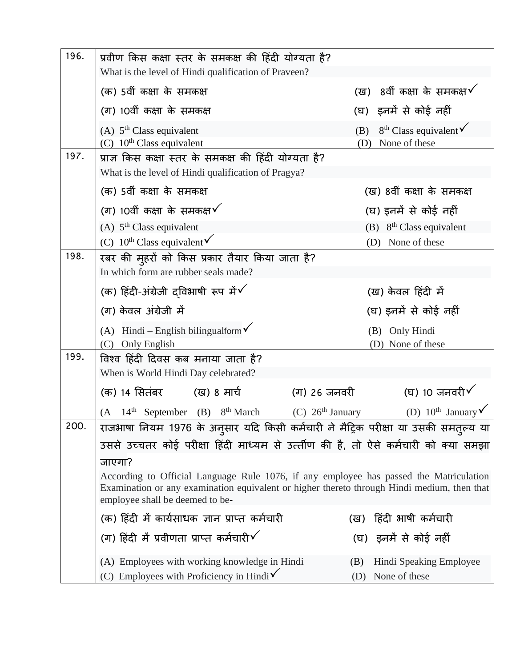| 196. | प्रवीण किस कक्षा स्तर के समकक्ष की हिंदी योग्यता है?<br>What is the level of Hindi qualification of Praveen? |                                                                                                                                                                                       |  |
|------|--------------------------------------------------------------------------------------------------------------|---------------------------------------------------------------------------------------------------------------------------------------------------------------------------------------|--|
|      | (क) 5वीं कक्षा के समकक्ष                                                                                     | (ख) 8वीं कक्षा के समकक्ष $\checkmark$                                                                                                                                                 |  |
|      | (ग) 10वीं कक्षा के समकक्ष                                                                                    | (घ)) इनमें से कोई नहीं                                                                                                                                                                |  |
|      | (A) $5th Class equivalent$                                                                                   | $8th Class equivalent6$<br>(B)                                                                                                                                                        |  |
|      | (C) $10th$ Class equivalent                                                                                  | None of these<br>(D)                                                                                                                                                                  |  |
| 197. | प्राज्ञ किस कक्षा स्तर के समकक्ष की हिंदी योग्यता है?                                                        |                                                                                                                                                                                       |  |
|      | What is the level of Hindi qualification of Pragya?                                                          |                                                                                                                                                                                       |  |
|      | (क) 5वीं कक्षा के समकक्ष                                                                                     | (ख) 8वीं कक्षा के समकक्ष                                                                                                                                                              |  |
|      | (ग) 10वीं कक्षा के समकक्ष $\checkmark$                                                                       | (घ) इनमें से कोई नहीं                                                                                                                                                                 |  |
|      | (A) $5th Class equivalent$                                                                                   | (B) $8th Class equivalent$                                                                                                                                                            |  |
|      | (C) $10^{\text{th}}$ Class equivalent $\checkmark$                                                           | (D) None of these                                                                                                                                                                     |  |
| 198. | रबर की मुहरों को किस प्रकार तैयार किया जाता है?                                                              |                                                                                                                                                                                       |  |
|      | In which form are rubber seals made?                                                                         |                                                                                                                                                                                       |  |
|      | (क) हिंदी-अंग्रेजी दविभाषी रूप में $\checkmark$                                                              | (ख) केवल हिंदी में                                                                                                                                                                    |  |
|      | (ग) केवल अंग्रेजी में                                                                                        | (घ) इनमें से कोई नहीं                                                                                                                                                                 |  |
|      | (A) Hindi – English bilingualform $\checkmark$                                                               | (B) Only Hindi                                                                                                                                                                        |  |
|      | (C) Only English                                                                                             | (D) None of these                                                                                                                                                                     |  |
| 199. | विश्व हिंदी दिवस कब मनाया जाता है?                                                                           |                                                                                                                                                                                       |  |
|      | When is World Hindi Day celebrated?                                                                          |                                                                                                                                                                                       |  |
|      | (क) 14 सितंबर         (ख) 8 मार्च                                                                            | (घ) 10 जनवरी $\checkmark$<br>(ग) 26 जनवरी                                                                                                                                             |  |
|      | $14th$ September (B) $8th$ March<br>(A)                                                                      | (D) $10^{\text{th}}$ January<br>$(C)$ 26 <sup>th</sup> January                                                                                                                        |  |
| 200. |                                                                                                              | राजभाषा नियम 1976 के अनुसार यदि किसी कर्मचारी ने मैट्रिक परीक्षा या उसकी समत्ल्य या                                                                                                   |  |
|      |                                                                                                              | उससे उच्चतर कोई परीक्षा हिंदी माध्यम से उत्तीण की है, तो ऐसे कर्मचारी को क्या समझा                                                                                                    |  |
|      | जाएगा?                                                                                                       |                                                                                                                                                                                       |  |
|      | employee shall be deemed to be-                                                                              | According to Official Language Rule 1076, if any employee has passed the Matriculation<br>Examination or any examination equivalent or higher thereto through Hindi medium, then that |  |
|      | (क) हिंदी में कार्यसाधक ज्ञान प्राप्त कर्मचारी                                                               | हिंदी भाषी कर्मचारी<br>(ख)                                                                                                                                                            |  |
|      | (ग) हिंदी में प्रवीणता प्राप्त कर्मचारी $\checkmark$                                                         | (घ) इनमें से कोई नहीं                                                                                                                                                                 |  |
|      | (A) Employees with working knowledge in Hindi                                                                | Hindi Speaking Employee<br>(B)                                                                                                                                                        |  |
|      | (C) Employees with Proficiency in Hindi $\checkmark$                                                         | (D) None of these                                                                                                                                                                     |  |